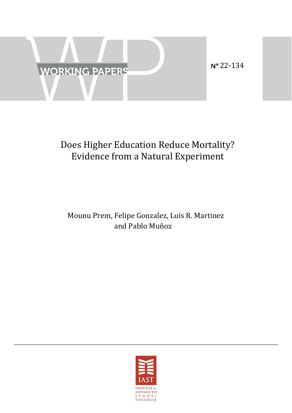

22-134

## Does Higher Education Reduce Mortality? Evidence from a Natural Experiment

## Mounu Prem, Felipe Gonzalez, Luis R. Martinez and Pablo Muñoz

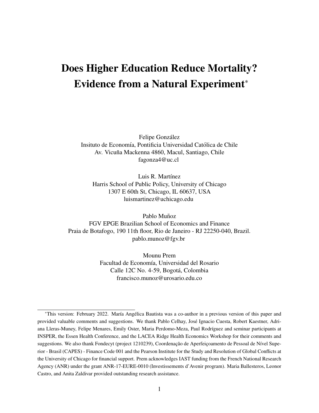# <span id="page-1-0"></span>Does Higher Education Reduce Mortality? Evidence from a Natural Experiment<sup>∗</sup>

Felipe González Insituto de Economía, Pontificia Universidad Católica de Chile Av. Vicuña Mackenna 4860, Macul, Santiago, Chile fagonza4@uc.cl

Luis R. Martínez Harris School of Public Policy, University of Chicago 1307 E 60th St, Chicago, IL 60637, USA luismartinez@uchicago.edu

Pablo Muñoz FGV EPGE Brazilian School of Economics and Finance Praia de Botafogo, 190 11th floor, Rio de Janeiro - RJ 22250-040, Brazil. pablo.munoz@fgv.br

> Mounu Prem Facultad de Economía, Universidad del Rosario Calle 12C No. 4-59, Bogotá, Colombia francisco.munoz@urosario.edu.co

<sup>\*</sup>This version: February 2022. María Angélica Bautista was a co-author in a previous version of this paper and provided valuable comments and suggestions. We thank Pablo Celhay, Jose Ignacio Cuesta, Robert Kaestner, Adri- ´ ana Lleras-Muney, Felipe Menares, Emily Oster, Maria Perdomo-Meza, Paul Rodríguez and seminar participants at INSPER, the Essen Health Conference, and the LACEA Ridge Health Economics Workshop for their comments and suggestions. We also thank Fondecyt (project 1210239), Coordenação de Aperfeiçoamento de Pessoal de Nível Superior - Brasil (CAPES) - Finance Code 001 and the Pearson Institute for the Study and Resolution of Global Conflicts at the University of Chicago for financial support. Prem acknowledges IAST funding from the French National Research Agency (ANR) under the grant ANR-17-EURE-0010 (Investissements d'Avenir program). Maria Ballesteros, Leonor Castro, and Anita Zaldivar provided outstanding research assistance.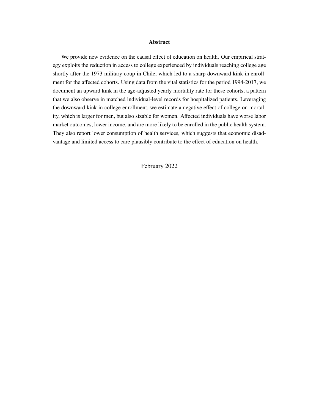#### Abstract

We provide new evidence on the causal effect of education on health. Our empirical strategy exploits the reduction in access to college experienced by individuals reaching college age shortly after the 1973 military coup in Chile, which led to a sharp downward kink in enrollment for the affected cohorts. Using data from the vital statistics for the period 1994-2017, we document an upward kink in the age-adjusted yearly mortality rate for these cohorts, a pattern that we also observe in matched individual-level records for hospitalized patients. Leveraging the downward kink in college enrollment, we estimate a negative effect of college on mortality, which is larger for men, but also sizable for women. Affected individuals have worse labor market outcomes, lower income, and are more likely to be enrolled in the public health system. They also report lower consumption of health services, which suggests that economic disadvantage and limited access to care plausibly contribute to the effect of education on health.

February 2022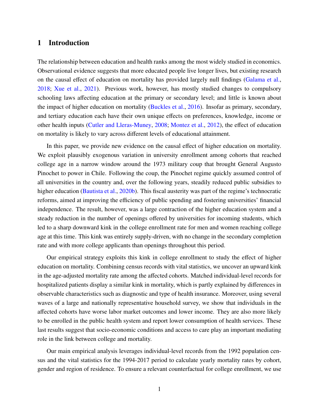## 1 Introduction

The relationship between education and health ranks among the most widely studied in economics. Observational evidence suggests that more educated people live longer lives, but existing research on the causal effect of education on mortality has provided largely null findings [\(Galama et al.,](#page-34-0) [2018;](#page-34-0) [Xue et al.,](#page-35-0) [2021\)](#page-35-0). Previous work, however, has mostly studied changes to compulsory schooling laws affecting education at the primary or secondary level; and little is known about the impact of higher education on mortality [\(Buckles et al.,](#page-32-0) [2016\)](#page-32-0). Insofar as primary, secondary, and tertiary education each have their own unique effects on preferences, knowledge, income or other health inputs [\(Cutler and Lleras-Muney,](#page-33-0) [2008;](#page-33-0) [Montez et al.,](#page-35-1) [2012\)](#page-35-1), the effect of education on mortality is likely to vary across different levels of educational attainment.

In this paper, we provide new evidence on the causal effect of higher education on mortality. We exploit plausibly exogenous variation in university enrollment among cohorts that reached college age in a narrow window around the 1973 military coup that brought General Augusto Pinochet to power in Chile. Following the coup, the Pinochet regime quickly assumed control of all universities in the country and, over the following years, steadily reduced public subsidies to higher education [\(Bautista et al.,](#page-32-1) [2020b\)](#page-32-1). This fiscal austerity was part of the regime's technocratic reforms, aimed at improving the efficiency of public spending and fostering universities' financial independence. The result, however, was a large contraction of the higher education system and a steady reduction in the number of openings offered by universities for incoming students, which led to a sharp downward kink in the college enrollment rate for men and women reaching college age at this time. This kink was entirely supply-driven, with no change in the secondary completion rate and with more college applicants than openings throughout this period.

Our empirical strategy exploits this kink in college enrollment to study the effect of higher education on mortality. Combining census records with vital statistics, we uncover an upward kink in the age-adjusted mortality rate among the affected cohorts. Matched individual-level records for hospitalized patients display a similar kink in mortality, which is partly explained by differences in observable characteristics such as diagnostic and type of health insurance. Moreover, using several waves of a large and nationally representative household survey, we show that individuals in the affected cohorts have worse labor market outcomes and lower income. They are also more likely to be enrolled in the public health system and report lower consumption of health services. These last results suggest that socio-economic conditions and access to care play an important mediating role in the link between college and mortality.

Our main empirical analysis leverages individual-level records from the 1992 population census and the vital statistics for the 1994-2017 period to calculate yearly mortality rates by cohort, gender and region of residence. To ensure a relevant counterfactual for college enrollment, we use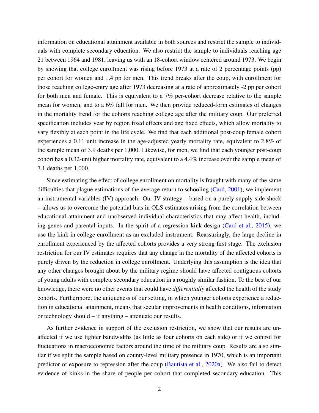information on educational attainment available in both sources and restrict the sample to individuals with complete secondary education. We also restrict the sample to individuals reaching age 21 between 1964 and 1981, leaving us with an 18-cohort window centered around 1973. We begin by showing that college enrollment was rising before 1973 at a rate of 2 percentage points (pp) per cohort for women and 1.4 pp for men. This trend breaks after the coup, with enrollment for those reaching college-entry age after 1973 decreasing at a rate of approximately -2 pp per cohort for both men and female. This is equivalent to a 7% per-cohort decrease relative to the sample mean for women, and to a 6% fall for men. We then provide reduced-form estimates of changes in the mortality trend for the cohorts reaching college age after the military coup. Our preferred specification includes year by region fixed effects and age fixed effects, which allow mortality to vary flexibly at each point in the life cycle. We find that each additional post-coup female cohort experiences a 0.11 unit increase in the age-adjusted yearly mortality rate, equivalent to 2.8% of the sample mean of 3.9 deaths per 1,000. Likewise, for men, we find that each younger post-coup cohort has a 0.32-unit higher mortality rate, equivalent to a 4.4% increase over the sample mean of 7.1 deaths per 1,000.

Since estimating the effect of college enrollment on mortality is fraught with many of the same difficulties that plague estimations of the average return to schooling [\(Card,](#page-33-1) [2001\)](#page-33-1), we implement an instrumental variables (IV) approach. Our IV strategy – based on a purely supply-side shock – allows us to overcome the potential bias in OLS estimates arising from the correlation between educational attainment and unobserved individual characteristics that may affect health, including genes and parental inputs. In the spirit of a regression kink design [\(Card et al.,](#page-33-2) [2015\)](#page-33-2), we use the kink in college enrollment as an excluded instrument. Reassuringly, the large decline in enrollment experienced by the affected cohorts provides a very strong first stage. The exclusion restriction for our IV estimates requires that any change in the mortality of the affected cohorts is purely driven by the reduction in college enrollment. Underlying this assumption is the idea that any other changes brought about by the military regime should have affected contiguous cohorts of young adults with complete secondary education in a roughly similar fashion. To the best of our knowledge, there were no other events that could have *di*ff*erentially* affected the health of the study cohorts. Furthermore, the uniqueness of our setting, in which younger cohorts experience a reduction in educational attainment, means that secular improvements in health conditions, information or technology should – if anything – attenuate our results.

As further evidence in support of the exclusion restriction, we show that our results are unaffected if we use tighter bandwidths (as little as four cohorts on each side) or if we control for fluctuations in macroeconomic factors around the time of the military coup. Results are also similar if we split the sample based on county-level military presence in 1970, which is an important predictor of exposure to repression after the coup [\(Bautista et al.,](#page-32-2) [2020a\)](#page-32-2). We also fail to detect evidence of kinks in the share of people per cohort that completed secondary education. This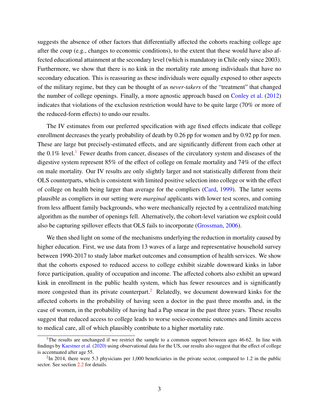suggests the absence of other factors that differentially affected the cohorts reaching college age after the coup (e.g., changes to economic conditions), to the extent that these would have also affected educational attainment at the secondary level (which is mandatory in Chile only since 2003). Furthermore, we show that there is no kink in the mortality rate among individuals that have no secondary education. This is reassuring as these individuals were equally exposed to other aspects of the military regime, but they can be thought of as *never-takers* of the "treatment" that changed the number of college openings. Finally, a more agnostic approach based on [Conley et al.](#page-33-3) [\(2012\)](#page-33-3) indicates that violations of the exclusion restriction would have to be quite large (70% or more of the reduced-form effects) to undo our results.

The IV estimates from our preferred specification with age fixed effects indicate that college enrollment decreases the yearly probability of death by 0.26 pp for women and by 0.92 pp for men. These are large but precisely-estimated effects, and are significantly different from each other at the  $0.1\%$  $0.1\%$  $0.1\%$  level.<sup>1</sup> Fewer deaths from cancer, diseases of the circulatory system and diseases of the digestive system represent 85% of the effect of college on female mortality and 74% of the effect on male mortality. Our IV results are only slightly larger and not statistically different from their OLS counterparts, which is consistent with limited positive selection into college or with the effect of college on health being larger than average for the compliers [\(Card,](#page-33-4) [1999\)](#page-33-4). The latter seems plausible as compliers in our setting were *marginal* applicants with lower test scores, and coming from less affluent family backgrounds, who were mechanically rejected by a centralized matching algorithm as the number of openings fell. Alternatively, the cohort-level variation we exploit could also be capturing spillover effects that OLS fails to incorporate [\(Grossman,](#page-34-1) [2006\)](#page-34-1).

We then shed light on some of the mechanisms underlying the reduction in mortality caused by higher education. First, we use data from 13 waves of a large and representative household survey between 1990-2017 to study labor market outcomes and consumption of health services. We show that the cohorts exposed to reduced access to college exhibit sizable downward kinks in labor force participation, quality of occupation and income. The affected cohorts also exhibit an upward kink in enrollment in the public health system, which has fewer resources and is significantly more congested than its private counterpart.<sup>[2](#page-1-0)</sup> Relatedly, we document downward kinks for the affected cohorts in the probability of having seen a doctor in the past three months and, in the case of women, in the probability of having had a Pap smear in the past three years. These results suggest that reduced access to college leads to worse socio-economic outcomes and limits access to medical care, all of which plausibly contribute to a higher mortality rate.

<sup>&</sup>lt;sup>1</sup>The results are unchanged if we restrict the sample to a common support between ages 46-62. In line with findings by [Kaestner et al.](#page-34-2) [\(2020\)](#page-34-2) using observational data for the US, our results also suggest that the effect of college is accentuated after age 55.

 $2$ In 2014, there were 5.3 physicians per 1,000 beneficiaries in the private sector, compared to 1.2 in the public sector. See section [2.2](#page-8-0) for details.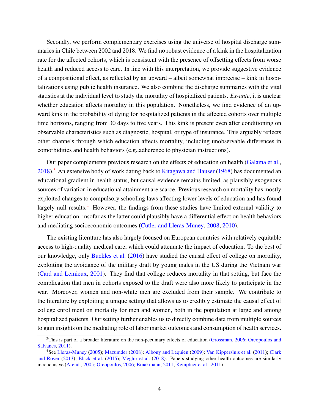Secondly, we perform complementary exercises using the universe of hospital discharge summaries in Chile between 2002 and 2018. We find no robust evidence of a kink in the hospitalization rate for the affected cohorts, which is consistent with the presence of offsetting effects from worse health and reduced access to care. In line with this interpretation, we provide suggestive evidence of a compositional effect, as reflected by an upward – albeit somewhat imprecise – kink in hospitalizations using public health insurance. We also combine the discharge summaries with the vital statistics at the individual level to study the mortality of hospitalized patients. *Ex-ante*, it is unclear whether education affects mortality in this population. Nonetheless, we find evidence of an upward kink in the probability of dying for hospitalized patients in the affected cohorts over multiple time horizons, ranging from 30 days to five years. This kink is present even after conditioning on observable characteristics such as diagnostic, hospital, or type of insurance. This arguably reflects other channels through which education affects mortality, including unobservable differences in comorbidities and health behaviors (e.g.,adherence to physician instructions).

Our paper complements previous research on the effects of education on health [\(Galama et al.,](#page-34-0)  $2018$ .<sup>[3](#page-1-0)</sup> An extensive body of work dating back to [Kitagawa and Hauser](#page-34-3) [\(1968\)](#page-34-3) has documented an educational gradient in health status, but causal evidence remains limited, as plausibly exogenous sources of variation in educational attainment are scarce. Previous research on mortality has mostly exploited changes to compulsory schooling laws affecting lower levels of education and has found largely null results.<sup>[4](#page-1-0)</sup> However, the findings from these studies have limited external validity to higher education, insofar as the latter could plausibly have a differential effect on health behaviors and mediating socioeconomic outcomes [\(Cutler and Lleras-Muney,](#page-33-0) [2008,](#page-33-0) [2010\)](#page-33-5).

The existing literature has also largely focused on European countries with relatively equitable access to high-quality medical care, which could attenuate the impact of education. To the best of our knowledge, only [Buckles et al.](#page-32-0) [\(2016\)](#page-32-0) have studied the causal effect of college on mortality, exploiting the avoidance of the military draft by young males in the US during the Vietnam war [\(Card and Lemieux,](#page-33-6) [2001\)](#page-33-6). They find that college reduces mortality in that setting, but face the complication that men in cohorts exposed to the draft were also more likely to participate in the war. Moreover, women and non-white men are excluded from their sample. We contribute to the literature by exploiting a unique setting that allows us to credibly estimate the causal effect of college enrollment on mortality for men and women, both in the population at large and among hospitalized patients. Our setting further enables us to directly combine data from multiple sources to gain insights on the mediating role of labor market outcomes and consumption of health services.

<sup>&</sup>lt;sup>3</sup>This is part of a broader literature on the non-pecuniary effects of education [\(Grossman,](#page-34-1) [2006;](#page-34-1) [Oreopoulos and](#page-35-2) [Salvanes,](#page-35-2) [2011\)](#page-35-2).

<sup>&</sup>lt;sup>4</sup>See [Lleras-Muney](#page-34-4) [\(2005\)](#page-34-4); [Mazumder](#page-34-5) [\(2008\)](#page-34-5); [Albouy and Lequien](#page-32-3) [\(2009\)](#page-32-3); [Van Kippersluis et al.](#page-35-3) [\(2011\)](#page-35-3); [Clark](#page-33-7) [and Royer](#page-33-7) [\(2013\)](#page-33-7); [Black et al.](#page-32-4) [\(2015\)](#page-32-4); [Meghir et al.](#page-34-6) [\(2018\)](#page-34-6). Papers studying other health outcomes are similarly inconclusive [\(Arendt,](#page-32-5) [2005;](#page-32-5) [Oreopoulos,](#page-35-4) [2006;](#page-35-4) [Braakmann,](#page-32-6) [2011;](#page-32-6) [Kemptner et al.,](#page-34-7) [2011\)](#page-34-7).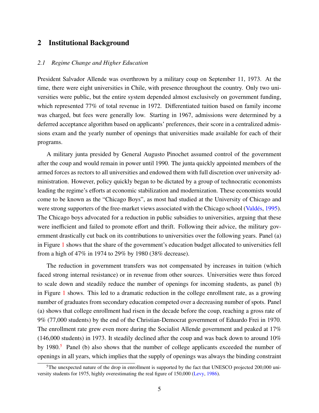## 2 Institutional Background

#### *2.1 Regime Change and Higher Education*

President Salvador Allende was overthrown by a military coup on September 11, 1973. At the time, there were eight universities in Chile, with presence throughout the country. Only two universities were public, but the entire system depended almost exclusively on government funding, which represented 77% of total revenue in 1972. Differentiated tuition based on family income was charged, but fees were generally low. Starting in 1967, admissions were determined by a deferred acceptance algorithm based on applicants' preferences, their score in a centralized admissions exam and the yearly number of openings that universities made available for each of their programs.

A military junta presided by General Augusto Pinochet assumed control of the government after the coup and would remain in power until 1990. The junta quickly appointed members of the armed forces as rectors to all universities and endowed them with full discretion over university administration. However, policy quickly began to be dictated by a group of technocratic economists leading the regime's efforts at economic stabilization and modernization. These economists would come to be known as the "Chicago Boys", as most had studied at the University of Chicago and were strong supporters of the free-market views associated with the Chicago school (Valdés, [1995\)](#page-35-5). The Chicago boys advocated for a reduction in public subsidies to universities, arguing that these were inefficient and failed to promote effort and thrift. Following their advice, the military government drastically cut back on its contributions to universities over the following years. Panel (a) in Figure [1](#page-36-0) shows that the share of the government's education budget allocated to universities fell from a high of 47% in 1974 to 29% by 1980 (38% decrease).

The reduction in government transfers was not compensated by increases in tuition (which faced strong internal resistance) or in revenue from other sources. Universities were thus forced to scale down and steadily reduce the number of openings for incoming students, as panel (b) in Figure [1](#page-36-0) shows. This led to a dramatic reduction in the college enrollment rate, as a growing number of graduates from secondary education competed over a decreasing number of spots. Panel (a) shows that college enrollment had risen in the decade before the coup, reaching a gross rate of 9% (77,000 students) by the end of the Christian-Democrat government of Eduardo Frei in 1970. The enrollment rate grew even more during the Socialist Allende government and peaked at 17% (146,000 students) in 1973. It steadily declined after the coup and was back down to around 10% by  $1980<sup>5</sup>$  $1980<sup>5</sup>$  $1980<sup>5</sup>$  Panel (b) also shows that the number of college applicants exceeded the number of openings in all years, which implies that the supply of openings was always the binding constraint

 $5$ The unexpected nature of the drop in enrollment is supported by the fact that UNESCO projected 200,000 university students for 1975, highly overestimating the real figure of 150,000 [\(Levy,](#page-34-8) [1986\)](#page-34-8).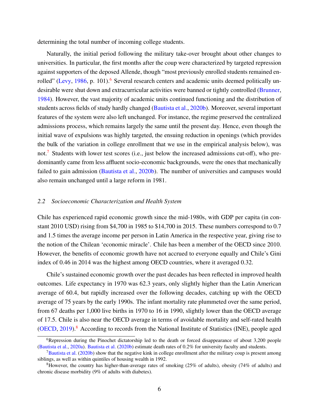determining the total number of incoming college students.

Naturally, the initial period following the military take-over brought about other changes to universities. In particular, the first months after the coup were characterized by targeted repression against supporters of the deposed Allende, though "most previously enrolled students remained en-rolled" [\(Levy,](#page-34-8)  $1986$  $1986$ , p. 101).<sup>6</sup> Several research centers and academic units deemed politically undesirable were shut down and extracurricular activities were banned or tightly controlled [\(Brunner,](#page-32-7) [1984\)](#page-32-7). However, the vast majority of academic units continued functioning and the distribution of students across fields of study hardly changed [\(Bautista et al.,](#page-32-1) [2020b\)](#page-32-1). Moreover, several important features of the system were also left unchanged. For instance, the regime preserved the centralized admissions process, which remains largely the same until the present day. Hence, even though the initial wave of expulsions was highly targeted, the ensuing reduction in openings (which provides the bulk of the variation in college enrollment that we use in the empirical analysis below), was not.<sup>[7](#page-1-0)</sup> Students with lower test scores (i.e., just below the increased admissions cut-off), who predominantly came from less affluent socio-economic backgrounds, were the ones that mechanically failed to gain admission [\(Bautista et al.,](#page-32-1) [2020b\)](#page-32-1). The number of universities and campuses would also remain unchanged until a large reform in 1981.

#### <span id="page-8-0"></span>*2.2 Socioeconomic Characterization and Health System*

Chile has experienced rapid economic growth since the mid-1980s, with GDP per capita (in constant 2010 USD) rising from \$4,700 in 1985 to \$14,700 in 2015. These numbers correspond to 0.7 and 1.5 times the average income per person in Latin America in the respective year, giving rise to the notion of the Chilean 'economic miracle'. Chile has been a member of the OECD since 2010. However, the benefits of economic growth have not accrued to everyone equally and Chile's Gini index of 0.46 in 2014 was the highest among OECD countries, where it averaged 0.32.

Chile's sustained economic growth over the past decades has been reflected in improved health outcomes. Life expectancy in 1970 was 62.3 years, only slightly higher than the Latin American average of 60.4, but rapidly increased over the following decades, catching up with the OECD average of 75 years by the early 1990s. The infant mortality rate plummeted over the same period, from 67 deaths per 1,000 live births in 1970 to 16 in 1990, slightly lower than the OECD average of 17.5. Chile is also near the OECD average in terms of avoidable mortality and self-rated health [\(OECD,](#page-35-6) [2019\)](#page-35-6).[8](#page-1-0) According to records from the National Institute of Statistics (INE), people aged

<sup>&</sup>lt;sup>6</sup>Repression during the Pinochet dictatorship led to the death or forced disappearance of about 3,200 people [\(Bautista et al.,](#page-32-2) [2020a\)](#page-32-2). [Bautista et al.](#page-32-1) [\(2020b\)](#page-32-1) estimate death rates of 0.2% for university faculty and students.

 $7B$ autista et al. [\(2020b\)](#page-32-1) show that the negative kink in college enrollment after the military coup is present among siblings, as well as within quintiles of housing wealth in 1992.

 $8$ However, the country has higher-than-average rates of smoking (25% of adults), obesity (74% of adults) and chronic disease morbidity (9% of adults with diabetes).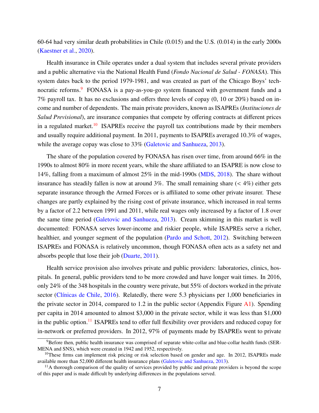60-64 had very similar death probabilities in Chile (0.015) and the U.S. (0.014) in the early 2000s [\(Kaestner et al.,](#page-34-2) [2020\)](#page-34-2).

Health insurance in Chile operates under a dual system that includes several private providers and a public alternative via the National Health Fund (*Fondo Nacional de Salud - FONASA*). This system dates back to the period 1979-1981, and was created as part of the Chicago Boys' tech-nocratic reforms.<sup>[9](#page-1-0)</sup> FONASA is a pay-as-you-go system financed with government funds and a 7% payroll tax. It has no exclusions and offers three levels of copay (0, 10 or 20%) based on income and number of dependents. The main private providers, known as ISAPREs (*Instituciones de Salud Previsional*), are insurance companies that compete by offering contracts at different prices in a regulated market.<sup>[10](#page-1-0)</sup> ISAPREs receive the payroll tax contributions made by their members and usually require additional payment. In 2011, payments to ISAPREs averaged 10.3% of wages, while the average copay was close to 33% [\(Galetovic and Sanhueza,](#page-34-9) [2013\)](#page-34-9).

The share of the population covered by FONASA has risen over time, from around 66% in the 1990s to almost 80% in more recent years, while the share affiliated to an ISAPRE is now close to 14%, falling from a maximum of almost 25% in the mid-1990s [\(MDS,](#page-34-10) [2018\)](#page-34-10). The share without insurance has steadily fallen is now at around  $3\%$ . The small remaining share ( $\lt 4\%$ ) either gets separate insurance through the Armed Forces or is affiliated to some other private insurer. These changes are partly explained by the rising cost of private insurance, which increased in real terms by a factor of 2.2 between 1991 and 2011, while real wages only increased by a factor of 1.8 over the same time period [\(Galetovic and Sanhueza,](#page-34-9) [2013\)](#page-34-9). Cream skimming in this market is well documented: FONASA serves lower-income and riskier people, while ISAPREs serve a richer, healthier, and younger segment of the population [\(Pardo and Schott,](#page-35-7) [2012\)](#page-35-7). Switching between ISAPREs and FONASA is relatively uncommon, though FONASA often acts as a safety net and absorbs people that lose their job [\(Duarte,](#page-33-8) [2011\)](#page-33-8).

Health service provision also involves private and public providers: laboratories, clinics, hospitals. In general, public providers tend to be more crowded and have longer wait times. In 2016, only 24% of the 348 hospitals in the country were private, but 55% of doctors worked in the private sector (Clínicas de Chile, [2016\)](#page-33-9). Relatedly, there were 5.3 physicians per 1,000 beneficiaries in the private sector in 2014, compared to 1.2 in the public sector (Appendix Figure [A1\)](#page-73-0). Spending per capita in 2014 amounted to almost \$3,000 in the private sector, while it was less than \$1,000 in the public option.<sup>[11](#page-1-0)</sup> ISAPREs tend to offer full flexibility over providers and reduced copay for in-network or preferred providers. In 2012, 97% of payments made by ISAPREs went to private

<sup>9</sup>Before then, public health insurance was comprised of separate white-collar and blue-collar health funds (SER-MENA and SNS), which were created in 1942 and 1952, respectively.

 $10$ These firms can implement risk pricing or risk selection based on gender and age. In 2012, ISAPREs made available more than 52,000 different health insurance plans [\(Galetovic and Sanhueza,](#page-34-9) [2013\)](#page-34-9).

 $<sup>11</sup>A$  thorough comparison of the quality of services provided by public and private providers is beyond the scope</sup> of this paper and is made difficult by underlying differences in the populations served.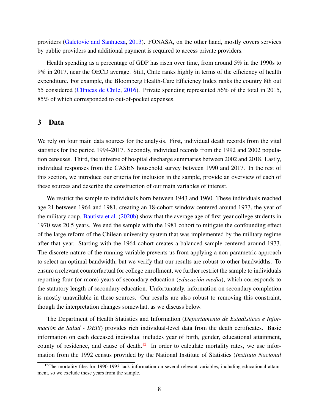providers [\(Galetovic and Sanhueza,](#page-34-9) [2013\)](#page-34-9). FONASA, on the other hand, mostly covers services by public providers and additional payment is required to access private providers.

Health spending as a percentage of GDP has risen over time, from around 5% in the 1990s to 9% in 2017, near the OECD average. Still, Chile ranks highly in terms of the efficiency of health expenditure. For example, the Bloomberg Health-Care Efficiency Index ranks the country 8th out 55 considered (Clínicas de Chile, [2016\)](#page-33-9). Private spending represented 56% of the total in 2015, 85% of which corresponded to out-of-pocket expenses.

### 3 Data

We rely on four main data sources for the analysis. First, individual death records from the vital statistics for the period 1994-2017. Secondly, individual records from the 1992 and 2002 population censuses. Third, the universe of hospital discharge summaries between 2002 and 2018. Lastly, individual responses from the CASEN household survey between 1990 and 2017. In the rest of this section, we introduce our criteria for inclusion in the sample, provide an overview of each of these sources and describe the construction of our main variables of interest.

We restrict the sample to individuals born between 1943 and 1960. These individuals reached age 21 between 1964 and 1981, creating an 18-cohort window centered around 1973, the year of the military coup. [Bautista et al.](#page-32-1) [\(2020b\)](#page-32-1) show that the average age of first-year college students in 1970 was 20.5 years. We end the sample with the 1981 cohort to mitigate the confounding effect of the large reform of the Chilean university system that was implemented by the military regime after that year. Starting with the 1964 cohort creates a balanced sample centered around 1973. The discrete nature of the running variable prevents us from applying a non-parametric approach to select an optimal bandwidth, but we verify that our results are robust to other bandwidths. To ensure a relevant counterfactual for college enrollment, we further restrict the sample to individuals reporting four (or more) years of secondary education (*educación media*), which corresponds to the statutory length of secondary education. Unfortunately, information on secondary completion is mostly unavailable in these sources. Our results are also robust to removing this constraint, though the interpretation changes somewhat, as we discuss below.

The Department of Health Statistics and Information (*Departamento de Estad´ısticas e Información de Salud - DEIS*) provides rich individual-level data from the death certificates. Basic information on each deceased individual includes year of birth, gender, educational attainment, county of residence, and cause of death. $12$  In order to calculate mortality rates, we use information from the 1992 census provided by the National Institute of Statistics (*Instituto Nacional*

<sup>&</sup>lt;sup>12</sup>The mortality files for 1990-1993 lack information on several relevant variables, including educational attainment, so we exclude these years from the sample.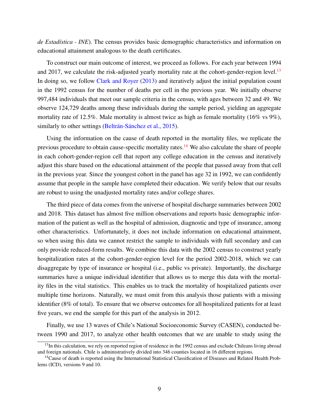*de Estad´ıstica - INE*). The census provides basic demographic characteristics and information on educational attainment analogous to the death certificates.

To construct our main outcome of interest, we proceed as follows. For each year between 1994 and 2017, we calculate the risk-adjusted yearly mortality rate at the cohort-gender-region level.<sup>[13](#page-1-0)</sup> In doing so, we follow [Clark and Royer](#page-33-7) [\(2013\)](#page-33-7) and iteratively adjust the initial population count in the 1992 census for the number of deaths per cell in the previous year. We initially observe 997,484 individuals that meet our sample criteria in the census, with ages between 32 and 49. We observe 124,729 deaths among these individuals during the sample period, yielding an aggregate mortality rate of 12.5%. Male mortality is almost twice as high as female mortality (16% vs 9%), similarly to other settings (Beltrán-Sánchez et al., [2015\)](#page-32-8).

Using the information on the cause of death reported in the mortality files, we replicate the previous procedure to obtain cause-specific mortality rates.<sup>[14](#page-1-0)</sup> We also calculate the share of people in each cohort-gender-region cell that report any college education in the census and iteratively adjust this share based on the educational attainment of the people that passed away from that cell in the previous year. Since the youngest cohort in the panel has age 32 in 1992, we can confidently assume that people in the sample have completed their education. We verify below that our results are robust to using the unadjusted mortality rates and/or college shares.

The third piece of data comes from the universe of hospital discharge summaries between 2002 and 2018. This dataset has almost five million observations and reports basic demographic information of the patient as well as the hospital of admission, diagnostic and type of insurance, among other characteristics. Unfortunately, it does not include information on educational attainment, so when using this data we cannot restrict the sample to individuals with full secondary and can only provide reduced-form results. We combine this data with the 2002 census to construct yearly hospitalization rates at the cohort-gender-region level for the period 2002-2018, which we can disaggregate by type of insurance or hospital (i.e., public vs private). Importantly, the discharge summaries have a unique individual identifier that allows us to merge this data with the mortality files in the vital statistics. This enables us to track the mortality of hospitalized patients over multiple time horizons. Naturally, we must omit from this analysis those patients with a missing identifier (8% of total). To ensure that we observe outcomes for all hospitalized patients for at least five years, we end the sample for this part of the analysis in 2012.

Finally, we use 13 waves of Chile's National Socioeconomic Survey (CASEN), conducted between 1990 and 2017, to analyze other health outcomes that we are unable to study using the

<sup>&</sup>lt;sup>13</sup>In this calculation, we rely on reported region of residence in the 1992 census and exclude Chileans living abroad and foreign nationals. Chile is administratively divided into 346 counties located in 16 different regions.

<sup>&</sup>lt;sup>14</sup>Cause of death is reported using the International Statistical Classification of Diseases and Related Health Problems (ICD), versions 9 and 10.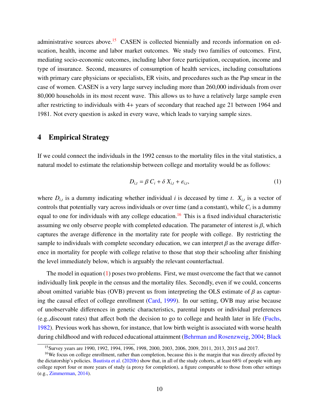administrative sources above.<sup>[15](#page-1-0)</sup> CASEN is collected biennially and records information on education, health, income and labor market outcomes. We study two families of outcomes. First, mediating socio-economic outcomes, including labor force participation, occupation, income and type of insurance. Second, measures of consumption of health services, including consultations with primary care physicians or specialists, ER visits, and procedures such as the Pap smear in the case of women. CASEN is a very large survey including more than 260,000 individuals from over 80,000 households in its most recent wave. This allows us to have a relatively large sample even after restricting to individuals with 4+ years of secondary that reached age 21 between 1964 and 1981. Not every question is asked in every wave, which leads to varying sample sizes.

## 4 Empirical Strategy

If we could connect the individuals in the 1992 census to the mortality files in the vital statistics, a natural model to estimate the relationship between college and mortality would be as follows:

<span id="page-12-0"></span>
$$
D_{i,t} = \beta C_i + \delta X_{i,t} + \varepsilon_{i,t},\tag{1}
$$

where  $D_{i,t}$  is a dummy indicating whether individual *i* is deceased by time *t*.  $X_{i,t}$  is a vector of controls that potentially vary across individuals or over time (and a constant), while  $C_i$  is a dummy equal to one for individuals with any college education.<sup>[16](#page-1-0)</sup> This is a fixed individual characteristic assuming we only observe people with completed education. The parameter of interest is  $\beta$ , which captures the average difference in the mortality rate for people with college. By restricting the sample to individuals with complete secondary education, we can interpret  $\beta$  as the average difference in mortality for people with college relative to those that stop their schooling after finishing the level immediately below, which is arguably the relevant counterfactual.

The model in equation  $(1)$  poses two problems. First, we must overcome the fact that we cannot individually link people in the census and the mortality files. Secondly, even if we could, concerns about omitted variable bias (OVB) prevent us from interpreting the OLS estimate of  $\beta$  as capturing the causal effect of college enrollment [\(Card,](#page-33-4) [1999\)](#page-33-4). In our setting, OVB may arise because of unobservable differences in genetic characteristics, parental inputs or individual preferences (e.g.,discount rates) that affect both the decision to go to college and health later in life [\(Fuchs,](#page-34-11) [1982\)](#page-34-11). Previous work has shown, for instance, that low birth weight is associated with worse health during childhood and with reduced educational attainment [\(Behrman and Rosenzweig,](#page-32-9) [2004;](#page-32-9) [Black](#page-32-10)

<sup>&</sup>lt;sup>15</sup>[Survey years are 1990, 1992, 1994, 1996, 1998, 2000, 2003, 2006, 2009, 2011, 2013, 2015 and 2017.](#page-32-10)

<sup>&</sup>lt;sup>16</sup>[We focus on college enrollment, rather than completion, because this is the margin that was directly a](#page-32-10)ffected by the dictatorship's policies. [Bautista et al.](#page-32-1) [\(2020b\) show that, in all of the study cohorts, at least 68% of people with any](#page-32-10) [college report four or more years of study \(a proxy for completion\), a figure comparable to those from other settings](#page-32-10) (e.g., [Zimmerman,](#page-32-10) [2014\)](#page-35-8).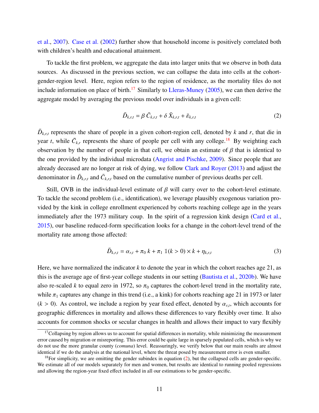[et al.,](#page-32-10) [2007\)](#page-32-10). [Case et al.](#page-33-10) [\(2002\)](#page-33-10) further show that household income is positively correlated both with children's health and educational attainment.

To tackle the first problem, we aggregate the data into larger units that we observe in both data sources. As discussed in the previous section, we can collapse the data into cells at the cohortgender-region level. Here, region refers to the region of residence, as the mortality files do not include information on place of birth.<sup>[17](#page-1-0)</sup> Similarly to [Lleras-Muney](#page-34-4) [\(2005\)](#page-34-4), we can then derive the aggregate model by averaging the previous model over individuals in a given cell:

<span id="page-13-0"></span>
$$
\bar{D}_{k,r,t} = \beta \bar{C}_{k,r,t} + \delta \bar{X}_{k,r,t} + \bar{\varepsilon}_{k,r,t}
$$
\n(2)

 $\bar{D}_{k,r,t}$  represents the share of people in a given cohort-region cell, denoted by *k* and *r*, that die in year *t*, while  $\bar{C}_{k,r}$  represents the share of people per cell with any college.<sup>[18](#page-1-0)</sup> By weighting each observation by the number of people in that cell, we obtain an estimate of  $\beta$  that is identical to the one provided by the individual microdata [\(Angrist and Pischke,](#page-32-11) [2009\)](#page-32-11). Since people that are already deceased are no longer at risk of dying, we follow [Clark and Royer](#page-33-7) [\(2013\)](#page-33-7) and adjust the denominator in  $\bar{D}_{k,r,t}$  and  $\bar{C}_{k,r,t}$  based on the cumulative number of previous deaths per cell.

Still, OVB in the individual-level estimate of  $\beta$  will carry over to the cohort-level estimate. To tackle the second problem (i.e., identification), we leverage plausibly exogenous variation provided by the kink in college enrollment experienced by cohorts reaching college age in the years immediately after the 1973 military coup. In the spirit of a regression kink design [\(Card et al.,](#page-33-2) [2015\)](#page-33-2), our baseline reduced-form specification looks for a change in the cohort-level trend of the mortality rate among those affected:

<span id="page-13-1"></span>
$$
\bar{D}_{k,r,t} = \alpha_{r,t} + \pi_0 \; k + \pi_1 \; \mathbb{1}(k > 0) \times k + \eta_{k,r,t} \tag{3}
$$

Here, we have normalized the indicator *k* to denote the year in which the cohort reaches age 21, as this is the average age of first-year college students in our setting [\(Bautista et al.,](#page-32-1) [2020b\)](#page-32-1). We have also re-scaled *k* to equal zero in 1972, so  $\pi_0$  captures the cohort-level trend in the mortality rate, while  $\pi_1$  captures any change in this trend (i.e., a kink) for cohorts reaching age 21 in 1973 or later  $(k > 0)$ . As control, we include a region by year fixed effect, denoted by  $\alpha_{r,t}$ , which accounts for geographic differences in mortality and allows these differences to vary flexibly over time. It also accounts for common shocks or secular changes in health and allows their impact to vary flexibly

 $17$ Collapsing by region allows us to account for spatial differences in mortality, while minimizing the measurement error caused by migration or misreporting. This error could be quite large in sparsely populated cells, which is why we do not use the more granular county (*comuna*) level. Reassuringly, we verify below that our main results are almost identical if we do the analysis at the national level, where the threat posed by measurement error is even smaller.

 $18$ For simplicity, we are omitting the gender subindex in equation [\(2\)](#page-13-0), but the collapsed cells are gender-specific. We estimate all of our models separately for men and women, but results are identical to running pooled regressions and allowing the region-year fixed effect included in all our estimations to be gender-specific.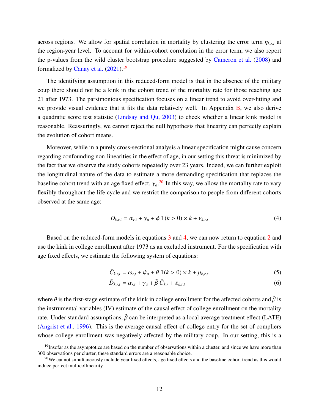across regions. We allow for spatial correlation in mortality by clustering the error term  $\eta_{k,rt}$  at the region-year level. To account for within-cohort correlation in the error term, we also report the p-values from the wild cluster bootstrap procedure suggested by [Cameron et al.](#page-32-12) [\(2008\)](#page-32-12) and formalized by [Canay et al.](#page-33-11)  $(2021).<sup>19</sup>$  $(2021).<sup>19</sup>$  $(2021).<sup>19</sup>$  $(2021).<sup>19</sup>$ 

The identifying assumption in this reduced-form model is that in the absence of the military coup there should not be a kink in the cohort trend of the mortality rate for those reaching age 21 after 1973. The parsimonious specification focuses on a linear trend to avoid over-fitting and we provide visual evidence that it fits the data relatively well. In Appendix [B,](#page-82-0) we also derive a quadratic score test statistic [\(Lindsay and Qu,](#page-34-12) [2003\)](#page-34-12) to check whether a linear kink model is reasonable. Reassuringly, we cannot reject the null hypothesis that linearity can perfectly explain the evolution of cohort means.

Moreover, while in a purely cross-sectional analysis a linear specification might cause concern regarding confounding non-linearities in the effect of age, in our setting this threat is minimized by the fact that we observe the study cohorts repeatedly over 23 years. Indeed, we can further exploit the longitudinal nature of the data to estimate a more demanding specification that replaces the baseline cohort trend with an age fixed effect,  $\gamma_a$ .<sup>[20](#page-1-0)</sup> In this way, we allow the mortality rate to vary flexibly throughout the life cycle and we restrict the comparison to people from different cohorts observed at the same age:

<span id="page-14-0"></span>
$$
\bar{D}_{k,r,t} = \alpha_{r,t} + \gamma_a + \phi \, \mathbb{1}(k > 0) \times k + \nu_{k,r,t} \tag{4}
$$

Based on the reduced-form models in equations [3](#page-13-1) and [4,](#page-14-0) we can now return to equation [2](#page-13-0) and use the kink in college enrollment after 1973 as an excluded instrument. For the specification with age fixed effects, we estimate the following system of equations:

<span id="page-14-1"></span>
$$
\bar{C}_{k,r,t} = \omega_{r,t} + \psi_a + \theta \, \mathbb{1}(k > 0) \times k + \mu_{k,r,t},\tag{5}
$$

$$
\bar{D}_{k,r,t} = \alpha_{r,t} + \gamma_a + \tilde{\beta} \bar{C}_{k,r} + \bar{\varepsilon}_{k,r,t}
$$
\n(6)

where  $\theta$  is the first-stage estimate of the kink in college enrollment for the affected cohorts and  $\tilde{\beta}$  is the instrumental variables (IV) estimate of the causal effect of college enrollment on the mortality rate. Under standard assumptions,  $\tilde{\beta}$  can be interpreted as a local average treatment effect (LATE) [\(Angrist et al.,](#page-32-13) [1996\)](#page-32-13). This is the average causal effect of college entry for the set of compliers whose college enrollment was negatively affected by the military coup. In our setting, this is a

 $19$ Insofar as the asymptotics are based on the number of observations within a cluster, and since we have more than 300 observations per cluster, these standard errors are a reasonable choice.

<sup>&</sup>lt;sup>20</sup>We cannot simultaneously include year fixed effects, age fixed effects and the baseline cohort trend as this would induce perfect multicollinearity.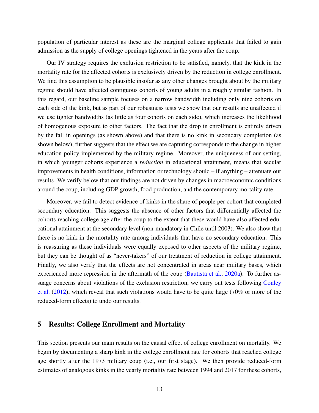population of particular interest as these are the marginal college applicants that failed to gain admission as the supply of college openings tightened in the years after the coup.

Our IV strategy requires the exclusion restriction to be satisfied, namely, that the kink in the mortality rate for the affected cohorts is exclusively driven by the reduction in college enrollment. We find this assumption to be plausible insofar as any other changes brought about by the military regime should have affected contiguous cohorts of young adults in a roughly similar fashion. In this regard, our baseline sample focuses on a narrow bandwidth including only nine cohorts on each side of the kink, but as part of our robustness tests we show that our results are unaffected if we use tighter bandwidths (as little as four cohorts on each side), which increases the likelihood of homogenous exposure to other factors. The fact that the drop in enrollment is entirely driven by the fall in openings (as shown above) and that there is no kink in secondary completion (as shown below), further suggests that the effect we are capturing corresponds to the change in higher education policy implemented by the military regime. Moreover, the uniqueness of our setting, in which younger cohorts experience a *reduction* in educational attainment, means that secular improvements in health conditions, information or technology should – if anything – attenuate our results. We verify below that our findings are not driven by changes in macroeconomic conditions around the coup, including GDP growth, food production, and the contemporary mortality rate.

Moreover, we fail to detect evidence of kinks in the share of people per cohort that completed secondary education. This suggests the absence of other factors that differentially affected the cohorts reaching college age after the coup to the extent that these would have also affected educational attainment at the secondary level (non-mandatory in Chile until 2003). We also show that there is no kink in the mortality rate among individuals that have no secondary education. This is reassuring as these individuals were equally exposed to other aspects of the military regime, but they can be thought of as "never-takers" of our treatment of reduction in college attainment. Finally, we also verify that the effects are not concentrated in areas near military bases, which experienced more repression in the aftermath of the coup [\(Bautista et al.,](#page-32-2) [2020a\)](#page-32-2). To further assuage concerns about violations of the exclusion restriction, we carry out tests following [Conley](#page-33-3) [et al.](#page-33-3) [\(2012\)](#page-33-3), which reveal that such violations would have to be quite large (70% or more of the reduced-form effects) to undo our results.

## 5 Results: College Enrollment and Mortality

This section presents our main results on the causal effect of college enrollment on mortality. We begin by documenting a sharp kink in the college enrollment rate for cohorts that reached college age shortly after the 1973 military coup (i.e., our first stage). We then provide reduced-form estimates of analogous kinks in the yearly mortality rate between 1994 and 2017 for these cohorts,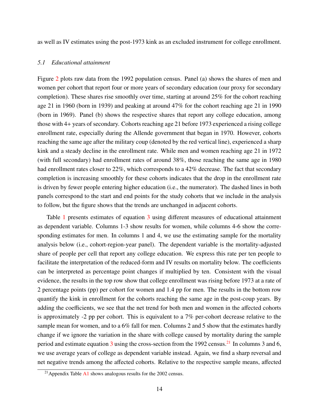as well as IV estimates using the post-1973 kink as an excluded instrument for college enrollment.

#### *5.1 Educational attainment*

Figure [2](#page-36-1) plots raw data from the 1992 population census. Panel (a) shows the shares of men and women per cohort that report four or more years of secondary education (our proxy for secondary completion). These shares rise smoothly over time, starting at around 25% for the cohort reaching age 21 in 1960 (born in 1939) and peaking at around 47% for the cohort reaching age 21 in 1990 (born in 1969). Panel (b) shows the respective shares that report any college education, among those with 4+ years of secondary. Cohorts reaching age 21 before 1973 experienced a rising college enrollment rate, especially during the Allende government that began in 1970. However, cohorts reaching the same age after the military coup (denoted by the red vertical line), experienced a sharp kink and a steady decline in the enrollment rate. While men and women reaching age 21 in 1972 (with full secondary) had enrollment rates of around 38%, those reaching the same age in 1980 had enrollment rates closer to 22%, which corresponds to a 42% decrease. The fact that secondary completion is increasing smoothly for these cohorts indicates that the drop in the enrollment rate is driven by fewer people entering higher education (i.e., the numerator). The dashed lines in both panels correspond to the start and end points for the study cohorts that we include in the analysis to follow, but the figure shows that the trends are unchanged in adjacent cohorts.

Table [1](#page-42-0) presents estimates of equation [3](#page-13-1) using different measures of educational attainment as dependent variable. Columns 1-3 show results for women, while columns 4-6 show the corresponding estimates for men. In columns 1 and 4, we use the estimating sample for the mortality analysis below (i.e., cohort-region-year panel). The dependent variable is the mortality-adjusted share of people per cell that report any college education. We express this rate per ten people to facilitate the interpretation of the reduced-form and IV results on mortality below. The coefficients can be interpreted as percentage point changes if multiplied by ten. Consistent with the visual evidence, the results in the top row show that college enrollment was rising before 1973 at a rate of 2 percentage points (pp) per cohort for women and 1.4 pp for men. The results in the bottom row quantify the kink in enrollment for the cohorts reaching the same age in the post-coup years. By adding the coefficients, we see that the net trend for both men and women in the affected cohorts is approximately -2 pp per cohort. This is equivalent to a 7% per-cohort decrease relative to the sample mean for women, and to a 6% fall for men. Columns 2 and 5 show that the estimates hardly change if we ignore the variation in the share with college caused by mortality during the sample period and estimate equation  $3$  using the cross-section from the 1992 census.<sup>[21](#page-1-0)</sup> In columns  $3$  and  $6$ , we use average years of college as dependent variable instead. Again, we find a sharp reversal and net negative trends among the affected cohorts. Relative to the respective sample means, affected

<sup>&</sup>lt;sup>21</sup> Appendix Table  $\overline{A1}$  $\overline{A1}$  $\overline{A1}$  shows analogous results for the 2002 census.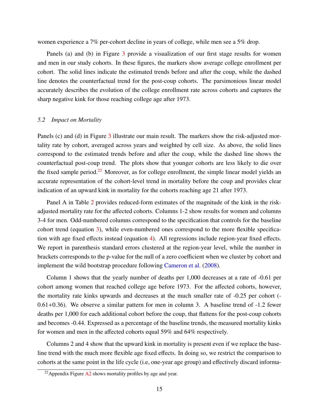women experience a 7% per-cohort decline in years of college, while men see a 5% drop.

Panels (a) and (b) in Figure [3](#page-37-0) provide a visualization of our first stage results for women and men in our study cohorts. In these figures, the markers show average college enrollment per cohort. The solid lines indicate the estimated trends before and after the coup, while the dashed line denotes the counterfactual trend for the post-coup cohorts. The parsimonious linear model accurately describes the evolution of the college enrollment rate across cohorts and captures the sharp negative kink for those reaching college age after 1973.

#### *5.2 Impact on Mortality*

Panels (c) and (d) in Figure [3](#page-37-0) illustrate our main result. The markers show the risk-adjusted mortality rate by cohort, averaged across years and weighted by cell size. As above, the solid lines correspond to the estimated trends before and after the coup, while the dashed line shows the counterfactual post-coup trend. The plots show that younger cohorts are less likely to die over the fixed sample period.<sup>[22](#page-1-0)</sup> Moreover, as for college enrollment, the simple linear model yields an accurate representation of the cohort-level trend in mortality before the coup and provides clear indication of an upward kink in mortality for the cohorts reaching age 21 after 1973.

Panel A in Table [2](#page-43-0) provides reduced-form estimates of the magnitude of the kink in the riskadjusted mortality rate for the affected cohorts. Columns 1-2 show results for women and columns 3-4 for men. Odd-numbered columns correspond to the specification that controls for the baseline cohort trend (equation [3\)](#page-13-1), while even-numbered ones correspond to the more flexible specification with age fixed effects instead (equation [4\)](#page-14-0). All regressions include region-year fixed effects. We report in parenthesis standard errors clustered at the region-year level, while the number in brackets corresponds to the p-value for the null of a zero coefficient when we cluster by cohort and implement the wild bootstrap procedure following [Cameron et al.](#page-32-12) [\(2008\)](#page-32-12).

Column 1 shows that the yearly number of deaths per 1,000 decreases at a rate of -0.61 per cohort among women that reached college age before 1973. For the affected cohorts, however, the mortality rate kinks upwards and decreases at the much smaller rate of -0.25 per cohort (- 0.61+0.36). We observe a similar pattern for men in column 3. A baseline trend of -1.2 fewer deaths per 1,000 for each additional cohort before the coup, that flattens for the post-coup cohorts and becomes -0.44. Expressed as a percentage of the baseline trends, the measured mortality kinks for women and men in the affected cohorts equal 59% and 64% respectively.

Columns 2 and 4 show that the upward kink in mortality is present even if we replace the baseline trend with the much more flexible age fixed effects. In doing so, we restrict the comparison to cohorts at the same point in the life cycle (i.e, one-year age group) and effectively discard informa-

<sup>&</sup>lt;sup>22</sup>Appendix Figure  $A2$  shows mortality profiles by age and year.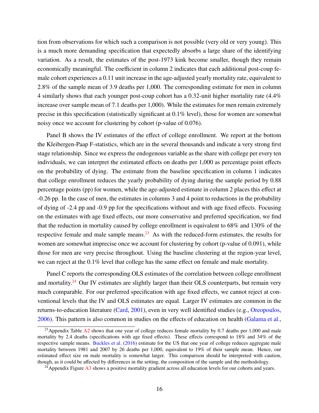tion from observations for which such a comparison is not possible (very old or very young). This is a much more demanding specification that expectedly absorbs a large share of the identifying variation. As a result, the estimates of the post-1973 kink become smaller, though they remain economically meaningful. The coefficient in column 2 indicates that each additional post-coup female cohort experiences a 0.11 unit increase in the age-adjusted yearly mortality rate, equivalent to 2.8% of the sample mean of 3.9 deaths per 1,000. The corresponding estimate for men in column 4 similarly shows that each younger post-coup cohort has a 0.32-unit higher mortality rate (4.4% increase over sample mean of 7.1 deaths per 1,000). While the estimates for men remain extremely precise in this specification (statistically significant at 0.1% level), those for women are somewhat noisy once we account for clustering by cohort (p-value of 0.076).

Panel B shows the IV estimates of the effect of college enrollment. We report at the bottom the Kleibergen-Paap F-statistics, which are in the several thousands and indicate a very strong first stage relationship. Since we express the endogenous variable as the share with college per every ten individuals, we can interpret the estimated effects on deaths per 1,000 as percentage point effects on the probability of dying. The estimate from the baseline specification in column 1 indicates that college enrollment reduces the yearly probability of dying during the sample period by 0.88 percentage points (pp) for women, while the age-adjusted estimate in column 2 places this effect at -0.26 pp. In the case of men, the estimates in columns 3 and 4 point to reductions in the probability of dying of -2.4 pp and -0.9 pp for the specifications without and with age fixed effects. Focusing on the estimates with age fixed effects, our more conservative and preferred specification, we find that the reduction in mortality caused by college enrollment is equivalent to 68% and 130% of the respective female and male sample means.<sup>[23](#page-1-0)</sup> As with the reduced-form estimates, the results for women are somewhat imprecise once we account for clustering by cohort (p-value of 0.091), while those for men are very precise throughout. Using the baseline clustering at the region-year level, we can reject at the 0.1% level that college has the same effect on female and male mortality.

Panel C reports the corresponding OLS estimates of the correlation between college enrollment and mortality.<sup>[24](#page-1-0)</sup> Our IV estimates are slightly larger than their OLS counterparts, but remain very much comparable. For our preferred specification with age fixed effects, we cannot reject at conventional levels that the IV and OLS estimates are equal. Larger IV estimates are common in the returns-to-education literature [\(Card,](#page-33-1) [2001\)](#page-33-1), even in very well identified studies (e.g., [Oreopoulos,](#page-35-4) [2006\)](#page-35-4). This pattern is also common in studies on the effects of education on health [\(Galama et al.,](#page-34-0)

<sup>&</sup>lt;sup>23</sup>Appendix Table  $A2$  shows that one year of college reduces female mortality by 0.7 deaths per 1,000 and male mortality by 2.4 deaths (specifications with age fixed effects). These effects correspond to 18% and 34% of the respective sample means. [Buckles et al.](#page-32-0) [\(2016\)](#page-32-0) estimate for the US that one year of college reduces aggregate male mortality between 1981 and 2007 by 26 deaths per 1,000, equivalent to 19% of their sample mean. Hence, our estimated effect size on male mortality is somewhat larger. This comparison should be interpreted with caution, though, as it could be affected by differences in the setting, the composition of the sample and the methodology.

<sup>&</sup>lt;sup>24</sup>Appendix Figure  $\overline{A}3$  shows a positive mortality gradient across all education levels for our cohorts and years.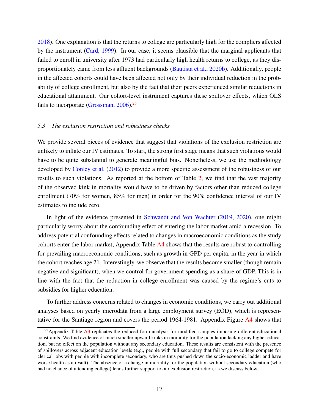[2018\)](#page-34-0). One explanation is that the returns to college are particularly high for the compliers affected by the instrument [\(Card,](#page-33-4) [1999\)](#page-33-4). In our case, it seems plausible that the marginal applicants that failed to enroll in university after 1973 had particularly high health returns to college, as they disproportionately came from less affluent backgrounds [\(Bautista et al.,](#page-32-1) [2020b\)](#page-32-1). Additionally, people in the affected cohorts could have been affected not only by their individual reduction in the probability of college enrollment, but also by the fact that their peers experienced similar reductions in educational attainment. Our cohort-level instrument captures these spillover effects, which OLS fails to incorporate [\(Grossman,](#page-34-1) [2006\)](#page-34-1).[25](#page-1-0)

#### *5.3 The exclusion restriction and robustness checks*

We provide several pieces of evidence that suggest that violations of the exclusion restriction are unlikely to inflate our IV estimates. To start, the strong first stage means that such violations would have to be quite substantial to generate meaningful bias. Nonetheless, we use the methodology developed by [Conley et al.](#page-33-3) [\(2012\)](#page-33-3) to provide a more specific assessment of the robustness of our results to such violations. As reported at the bottom of Table [2,](#page-43-0) we find that the vast majority of the observed kink in mortality would have to be driven by factors other than reduced college enrollment (70% for women, 85% for men) in order for the 90% confidence interval of our IV estimates to include zero.

In light of the evidence presented in [Schwandt and Von Wachter](#page-35-9) [\(2019,](#page-35-9) [2020\)](#page-35-10), one might particularly worry about the confounding effect of entering the labor market amid a recession. To address potential confounding effects related to changes in macroeconomic conditions as the study cohorts enter the labor market, Appendix Table [A4](#page-51-0) shows that the results are robust to controlling for prevailing macroeconomic conditions, such as growth in GPD per capita, in the year in which the cohort reaches age 21. Interestingly, we observe that the results become smaller (though remain negative and significant), when we control for government spending as a share of GDP. This is in line with the fact that the reduction in college enrollment was caused by the regime's cuts to subsidies for higher education.

To further address concerns related to changes in economic conditions, we carry out additional analyses based on yearly microdata from a large employment survey (EOD), which is representative for the Santiago region and covers the period 1964-1981. Appendix Figure [A4](#page-76-0) shows that

<sup>&</sup>lt;sup>25</sup>Appendix Table  $\overline{A}3$  replicates the reduced-form analysis for modified samples imposing different educational constraints. We find evidence of much smaller upward kinks in mortality for the population lacking any higher education, but no effect on the population without any secondary education. These results are consistent with the presence of spillovers across adjacent education levels (e.g., people with full secondary that fail to go to college compete for clerical jobs with people with incomplete secondary, who are thus pushed down the socio-economic ladder and have worse health as a result). The absence of a change in mortality for the population without secondary education (who had no chance of attending college) lends further support to our exclusion restriction, as we discuss below.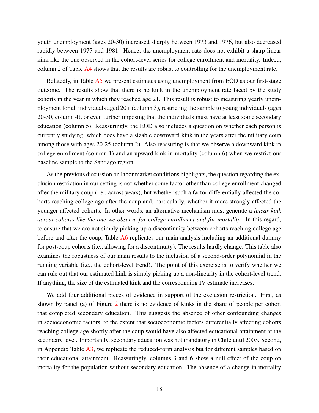youth unemployment (ages 20-30) increased sharply between 1973 and 1976, but also decreased rapidly between 1977 and 1981. Hence, the unemployment rate does not exhibit a sharp linear kink like the one observed in the cohort-level series for college enrollment and mortality. Indeed, column 2 of Table [A4](#page-51-0) shows that the results are robust to controlling for the unemployment rate.

Relatedly, in Table [A5](#page-52-0) we present estimates using unemployment from EOD as our first-stage outcome. The results show that there is no kink in the unemployment rate faced by the study cohorts in the year in which they reached age 21. This result is robust to measuring yearly unemployment for all individuals aged 20+ (column 3), restricting the sample to young individuals (ages 20-30, column 4), or even further imposing that the individuals must have at least some secondary education (column 5). Reassuringly, the EOD also includes a question on whether each person is currently studying, which does have a sizable downward kink in the years after the military coup among those with ages 20-25 (column 2). Also reassuring is that we observe a downward kink in college enrollment (column 1) and an upward kink in mortality (column 6) when we restrict our baseline sample to the Santiago region.

As the previous discussion on labor market conditions highlights, the question regarding the exclusion restriction in our setting is not whether some factor other than college enrollment changed after the military coup (i.e., across years), but whether such a factor differentially affected the cohorts reaching college age after the coup and, particularly, whether it more strongly affected the younger affected cohorts. In other words, an alternative mechanism must generate a *linear kink across cohorts like the one we observe for college enrollment and for mortality*. In this regard, to ensure that we are not simply picking up a discontinuity between cohorts reaching college age before and after the coup, Table [A6](#page-53-0) replicates our main analysis including an additional dummy for post-coup cohorts (i.e., allowing for a discontinuity). The results hardly change. This table also examines the robustness of our main results to the inclusion of a second-order polynomial in the running variable (i.e., the cohort-level trend). The point of this exercise is to verify whether we can rule out that our estimated kink is simply picking up a non-linearity in the cohort-level trend. If anything, the size of the estimated kink and the corresponding IV estimate increases.

We add four additional pieces of evidence in support of the exclusion restriction. First, as shown by panel (a) of Figure [2](#page-36-1) there is no evidence of kinks in the share of people per cohort that completed secondary education. This suggests the absence of other confounding changes in socioeconomic factors, to the extent that socioeconomic factors differentially affecting cohorts reaching college age shortly after the coup would have also affected educational attainment at the secondary level. Importantly, secondary education was not mandatory in Chile until 2003. Second, in Appendix Table [A3,](#page-50-0) we replicate the reduced-form analysis but for different samples based on their educational attainment. Reassuringly, columns 3 and 6 show a null effect of the coup on mortality for the population without secondary education. The absence of a change in mortality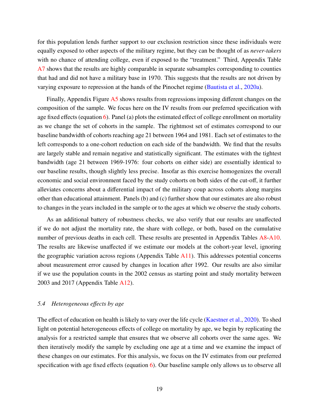for this population lends further support to our exclusion restriction since these individuals were equally exposed to other aspects of the military regime, but they can be thought of as *never-takers* with no chance of attending college, even if exposed to the "treatment." Third, Appendix Table [A7](#page-54-0) shows that the results are highly comparable in separate subsamples corresponding to counties that had and did not have a military base in 1970. This suggests that the results are not driven by varying exposure to repression at the hands of the Pinochet regime [\(Bautista et al.,](#page-32-2) [2020a\)](#page-32-2).

Finally, Appendix Figure [A5](#page-77-0) shows results from regressions imposing different changes on the composition of the sample. We focus here on the IV results from our preferred specification with age fixed effects (equation [6\)](#page-14-1). Panel (a) plots the estimated effect of college enrollment on mortality as we change the set of cohorts in the sample. The rightmost set of estimates correspond to our baseline bandwidth of cohorts reaching age 21 between 1964 and 1981. Each set of estimates to the left corresponds to a one-cohort reduction on each side of the bandwidth. We find that the results are largely stable and remain negative and statistically significant. The estimates with the tightest bandwidth (age 21 between 1969-1976: four cohorts on either side) are essentially identical to our baseline results, though slightly less precise. Insofar as this exercise homogenizes the overall economic and social environment faced by the study cohorts on both sides of the cut-off, it further alleviates concerns about a differential impact of the military coup across cohorts along margins other than educational attainment. Panels (b) and (c) further show that our estimates are also robust to changes in the years included in the sample or to the ages at which we observe the study cohorts.

As an additional battery of robustness checks, we also verify that our results are unaffected if we do not adjust the mortality rate, the share with college, or both, based on the cumulative number of previous deaths in each cell. These results are presented in Appendix Tables [A8](#page-55-0)[-A10.](#page-57-0) The results are likewise unaffected if we estimate our models at the cohort-year level, ignoring the geographic variation across regions (Appendix Table [A11\)](#page-58-0). This addresses potential concerns about measurement error caused by changes in location after 1992. Our results are also similar if we use the population counts in the 2002 census as starting point and study mortality between 2003 and 2017 (Appendix Table [A12\)](#page-59-0).

#### *5.4 Heterogeneous e*ff*ects by age*

The effect of education on health is likely to vary over the life cycle [\(Kaestner et al.,](#page-34-2) [2020\)](#page-34-2). To shed light on potential heterogeneous effects of college on mortality by age, we begin by replicating the analysis for a restricted sample that ensures that we observe all cohorts over the same ages. We then iteratively modify the sample by excluding one age at a time and we examine the impact of these changes on our estimates. For this analysis, we focus on the IV estimates from our preferred specification with age fixed effects (equation  $6$ ). Our baseline sample only allows us to observe all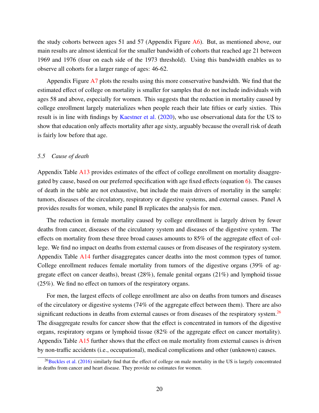the study cohorts between ages 51 and 57 (Appendix Figure [A6\)](#page-78-0). But, as mentioned above, our main results are almost identical for the smaller bandwidth of cohorts that reached age 21 between 1969 and 1976 (four on each side of the 1973 threshold). Using this bandwidth enables us to observe all cohorts for a larger range of ages: 46-62.

Appendix Figure [A7](#page-79-0) plots the results using this more conservative bandwidth. We find that the estimated effect of college on mortality is smaller for samples that do not include individuals with ages 58 and above, especially for women. This suggests that the reduction in mortality caused by college enrollment largely materializes when people reach their late fifties or early sixties. This result is in line with findings by [Kaestner et al.](#page-34-2) [\(2020\)](#page-34-2), who use observational data for the US to show that education only affects mortality after age sixty, arguably because the overall risk of death is fairly low before that age.

#### *5.5 Cause of death*

Appendix Table [A13](#page-60-0) provides estimates of the effect of college enrollment on mortality disaggregated by cause, based on our preferred specification with age fixed effects (equation [6\)](#page-14-1). The causes of death in the table are not exhaustive, but include the main drivers of mortality in the sample: tumors, diseases of the circulatory, respiratory or digestive systems, and external causes. Panel A provides results for women, while panel B replicates the analysis for men.

The reduction in female mortality caused by college enrollment is largely driven by fewer deaths from cancer, diseases of the circulatory system and diseases of the digestive system. The effects on mortality from these three broad causes amounts to 85% of the aggregate effect of college. We find no impact on deaths from external causes or from diseases of the respiratory system. Appendix Table [A14](#page-61-0) further disaggregates cancer deaths into the most common types of tumor. College enrollment reduces female mortality from tumors of the digestive organs (39% of aggregate effect on cancer deaths), breast (28%), female genital organs (21%) and lymphoid tissue (25%). We find no effect on tumors of the respiratory organs.

For men, the largest effects of college enrollment are also on deaths from tumors and diseases of the circulatory or digestive systems (74% of the aggregate effect between them). There are also significant reductions in deaths from external causes or from diseases of the respiratory system.<sup>[26](#page-1-0)</sup> The disaggregate results for cancer show that the effect is concentrated in tumors of the digestive organs, respiratory organs or lymphoid tissue (82% of the aggregate effect on cancer mortality). Appendix Table [A15](#page-62-0) further shows that the effect on male mortality from external causes is driven by non-traffic accidents (i.e., occupational), medical complications and other (unknown) causes.

 $^{26}$ [Buckles et al.](#page-32-0) [\(2016\)](#page-32-0) similarly find that the effect of college on male mortality in the US is largely concentrated in deaths from cancer and heart disease. They provide no estimates for women.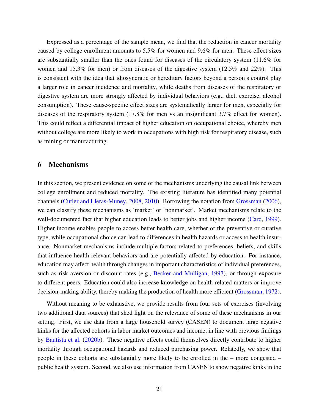Expressed as a percentage of the sample mean, we find that the reduction in cancer mortality caused by college enrollment amounts to 5.5% for women and 9.6% for men. These effect sizes are substantially smaller than the ones found for diseases of the circulatory system (11.6% for women and 15.3% for men) or from diseases of the digestive system (12.5% and 22%). This is consistent with the idea that idiosyncratic or hereditary factors beyond a person's control play a larger role in cancer incidence and mortality, while deaths from diseases of the respiratory or digestive system are more strongly affected by individual behaviors (e.g., diet, exercise, alcohol consumption). These cause-specific effect sizes are systematically larger for men, especially for diseases of the respiratory system (17.8% for men vs an insignificant 3.7% effect for women). This could reflect a differential impact of higher education on occupational choice, whereby men without college are more likely to work in occupations with high risk for respiratory disease, such as mining or manufacturing.

## 6 Mechanisms

In this section, we present evidence on some of the mechanisms underlying the causal link between college enrollment and reduced mortality. The existing literature has identified many potential channels [\(Cutler and Lleras-Muney,](#page-33-0) [2008,](#page-33-0) [2010\)](#page-33-5). Borrowing the notation from [Grossman](#page-34-1) [\(2006\)](#page-34-1), we can classify these mechanisms as 'market' or 'nonmarket'. Market mechanisms relate to the well-documented fact that higher education leads to better jobs and higher income [\(Card,](#page-33-4) [1999\)](#page-33-4). Higher income enables people to access better health care, whether of the preventive or curative type, while occupational choice can lead to differences in health hazards or access to health insurance. Nonmarket mechanisms include multiple factors related to preferences, beliefs, and skills that influence health-relevant behaviors and are potentially affected by education. For instance, education may affect health through changes in important characteristics of individual preferences, such as risk aversion or discount rates (e.g., [Becker and Mulligan,](#page-32-14) [1997\)](#page-32-14), or through exposure to different peers. Education could also increase knowledge on health-related matters or improve decision-making ability, thereby making the production of health more efficient [\(Grossman,](#page-34-13) [1972\)](#page-34-13).

Without meaning to be exhaustive, we provide results from four sets of exercises (involving two additional data sources) that shed light on the relevance of some of these mechanisms in our setting. First, we use data from a large household survey (CASEN) to document large negative kinks for the affected cohorts in labor market outcomes and income, in line with previous findings by [Bautista et al.](#page-32-1) [\(2020b\)](#page-32-1). These negative effects could themselves directly contribute to higher mortality through occupational hazards and reduced purchasing power. Relatedly, we show that people in these cohorts are substantially more likely to be enrolled in the – more congested – public health system. Second, we also use information from CASEN to show negative kinks in the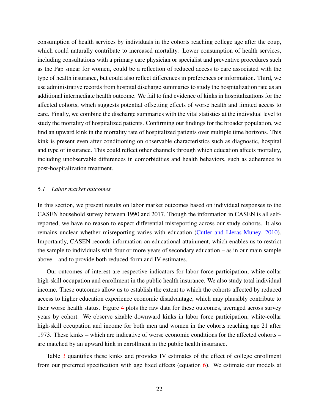consumption of health services by individuals in the cohorts reaching college age after the coup, which could naturally contribute to increased mortality. Lower consumption of health services, including consultations with a primary care physician or specialist and preventive procedures such as the Pap smear for women, could be a reflection of reduced access to care associated with the type of health insurance, but could also reflect differences in preferences or information. Third, we use administrative records from hospital discharge summaries to study the hospitalization rate as an additional intermediate health outcome. We fail to find evidence of kinks in hospitalizations for the affected cohorts, which suggests potential offsetting effects of worse health and limited access to care. Finally, we combine the discharge summaries with the vital statistics at the individual level to study the mortality of hospitalized patients. Confirming our findings for the broader population, we find an upward kink in the mortality rate of hospitalized patients over multiple time horizons. This kink is present even after conditioning on observable characteristics such as diagnostic, hospital and type of insurance. This could reflect other channels through which education affects mortality, including unobservable differences in comorbidities and health behaviors, such as adherence to post-hospitalization treatment.

#### *6.1 Labor market outcomes*

In this section, we present results on labor market outcomes based on individual responses to the CASEN household survey between 1990 and 2017. Though the information in CASEN is all selfreported, we have no reason to expect differential misreporting across our study cohorts. It also remains unclear whether misreporting varies with education [\(Cutler and Lleras-Muney,](#page-33-5) [2010\)](#page-33-5). Importantly, CASEN records information on educational attainment, which enables us to restrict the sample to individuals with four or more years of secondary education – as in our main sample above – and to provide both reduced-form and IV estimates.

Our outcomes of interest are respective indicators for labor force participation, white-collar high-skill occupation and enrollment in the public health insurance. We also study total individual income. These outcomes allow us to establish the extent to which the cohorts affected by reduced access to higher education experience economic disadvantage, which may plausibly contribute to their worse health status. Figure [4](#page-38-0) plots the raw data for these outcomes, averaged across survey years by cohort. We observe sizable downward kinks in labor force participation, white-collar high-skill occupation and income for both men and women in the cohorts reaching age 21 after 1973. These kinks – which are indicative of worse economic conditions for the affected cohorts – are matched by an upward kink in enrollment in the public health insurance.

Table [3](#page-44-0) quantifies these kinks and provides IV estimates of the effect of college enrollment from our preferred specification with age fixed effects (equation [6\)](#page-14-1). We estimate our models at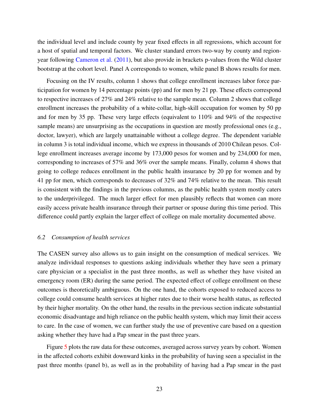the individual level and include county by year fixed effects in all regressions, which account for a host of spatial and temporal factors. We cluster standard errors two-way by county and regionyear following [Cameron et al.](#page-33-12) [\(2011\)](#page-33-12), but also provide in brackets p-values from the Wild cluster bootstrap at the cohort level. Panel A corresponds to women, while panel B shows results for men.

Focusing on the IV results, column 1 shows that college enrollment increases labor force participation for women by 14 percentage points (pp) and for men by 21 pp. These effects correspond to respective increases of 27% and 24% relative to the sample mean. Column 2 shows that college enrollment increases the probability of a white-collar, high-skill occupation for women by 50 pp and for men by 35 pp. These very large effects (equivalent to 110% and 94% of the respective sample means) are unsurprising as the occupations in question are mostly professional ones (e.g., doctor, lawyer), which are largely unattainable without a college degree. The dependent variable in column 3 is total individual income, which we express in thousands of 2010 Chilean pesos. College enrollment increases average income by 173,000 pesos for women and by 234,000 for men, corresponding to increases of 57% and 36% over the sample means. Finally, column 4 shows that going to college reduces enrollment in the public health insurance by 20 pp for women and by 41 pp for men, which corresponds to decreases of 32% and 74% relative to the mean. This result is consistent with the findings in the previous columns, as the public health system mostly caters to the underprivileged. The much larger effect for men plausibly reflects that women can more easily access private health insurance through their partner or spouse during this time period. This difference could partly explain the larger effect of college on male mortality documented above.

#### *6.2 Consumption of health services*

The CASEN survey also allows us to gain insight on the consumption of medical services. We analyze individual responses to questions asking individuals whether they have seen a primary care physician or a specialist in the past three months, as well as whether they have visited an emergency room (ER) during the same period. The expected effect of college enrollment on these outcomes is theoretically ambiguous. On the one hand, the cohorts exposed to reduced access to college could consume health services at higher rates due to their worse health status, as reflected by their higher mortality. On the other hand, the results in the previous section indicate substantial economic disadvantage and high reliance on the public health system, which may limit their access to care. In the case of women, we can further study the use of preventive care based on a question asking whether they have had a Pap smear in the past three years.

Figure [5](#page-39-0) plots the raw data for these outcomes, averaged across survey years by cohort. Women in the affected cohorts exhibit downward kinks in the probability of having seen a specialist in the past three months (panel b), as well as in the probability of having had a Pap smear in the past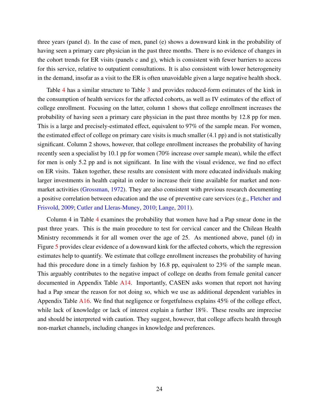three years (panel d). In the case of men, panel (e) shows a downward kink in the probability of having seen a primary care physician in the past three months. There is no evidence of changes in the cohort trends for ER visits (panels c and g), which is consistent with fewer barriers to access for this service, relative to outpatient consultations. It is also consistent with lower heterogeneity in the demand, insofar as a visit to the ER is often unavoidable given a large negative health shock.

Table [4](#page-45-0) has a similar structure to Table [3](#page-44-0) and provides reduced-form estimates of the kink in the consumption of health services for the affected cohorts, as well as IV estimates of the effect of college enrollment. Focusing on the latter, column 1 shows that college enrollment increases the probability of having seen a primary care physician in the past three months by 12.8 pp for men. This is a large and precisely-estimated effect, equivalent to 97% of the sample mean. For women, the estimated effect of college on primary care visits is much smaller (4.1 pp) and is not statistically significant. Column 2 shows, however, that college enrollment increases the probability of having recently seen a specialist by 10.1 pp for women (70% increase over sample mean), while the effect for men is only 5.2 pp and is not significant. In line with the visual evidence, we find no effect on ER visits. Taken together, these results are consistent with more educated individuals making larger investments in health capital in order to increase their time available for market and nonmarket activities [\(Grossman,](#page-34-13) [1972\)](#page-34-13). They are also consistent with previous research documenting a positive correlation between education and the use of preventive care services (e.g., [Fletcher and](#page-33-13) [Frisvold,](#page-33-13) [2009;](#page-33-13) [Cutler and Lleras-Muney,](#page-33-5) [2010;](#page-33-5) [Lange,](#page-34-14) [2011\)](#page-34-14).

Column 4 in Table [4](#page-45-0) examines the probability that women have had a Pap smear done in the past three years. This is the main procedure to test for cervical cancer and the Chilean Health Ministry recommends it for all women over the age of 25. As mentioned above, panel (d) in Figure [5](#page-39-0) provides clear evidence of a downward kink for the affected cohorts, which the regression estimates help to quantify. We estimate that college enrollment increases the probability of having had this procedure done in a timely fashion by 16.8 pp, equivalent to 23% of the sample mean. This arguably contributes to the negative impact of college on deaths from female genital cancer documented in Appendix Table [A14.](#page-61-0) Importantly, CASEN asks women that report not having had a Pap smear the reason for not doing so, which we use as additional dependent variables in Appendix Table [A16.](#page-63-0) We find that negligence or forgetfulness explains 45% of the college effect, while lack of knowledge or lack of interest explain a further 18%. These results are imprecise and should be interpreted with caution. They suggest, however, that college affects health through non-market channels, including changes in knowledge and preferences.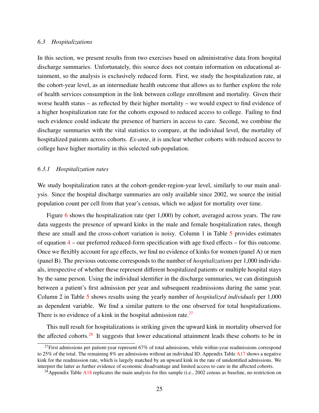#### *6.3 Hospitalizations*

In this section, we present results from two exercises based on administrative data from hospital discharge summaries. Unfortunately, this source does not contain information on educational attainment, so the analysis is exclusively reduced form. First, we study the hospitalization rate, at the cohort-year level, as an intermediate health outcome that allows us to further explore the role of health services consumption in the link between college enrollment and mortality. Given their worse health status – as reflected by their higher mortality – we would expect to find evidence of a higher hospitalization rate for the cohorts exposed to reduced access to college. Failing to find such evidence could indicate the presence of barriers in access to care. Second, we combine the discharge summaries with the vital statistics to compare, at the individual level, the mortality of hospitalized patients across cohorts. *Ex-ante*, it is unclear whether cohorts with reduced access to college have higher mortality in this selected sub-population.

#### *6.3.1 Hospitalization rates*

We study hospitalization rates at the cohort-gender-region-year level, similarly to our main analysis. Since the hospital discharge summaries are only available since 2002, we source the initial population count per cell from that year's census, which we adjust for mortality over time.

Figure [6](#page-40-0) shows the hospitalization rate (per 1,000) by cohort, averaged across years. The raw data suggests the presence of upward kinks in the male and female hospitalization rates, though these are small and the cross-cohort variation is noisy. Column 1 in Table [5](#page-46-0) provides estimates of equation  $4$  – our preferred reduced-form specification with age fixed effects – for this outcome. Once we flexibly account for age effects, we find no evidence of kinks for women (panel A) or men (panel B). The previous outcome corresponds to the number of *hospitalizations* per 1,000 individuals, irrespective of whether these represent different hospitalized patients or multiple hospital stays by the same person. Using the individual identifier in the discharge summaries, we can distinguish between a patient's first admission per year and subsequent readmissions during the same year. Column 2 in Table [5](#page-46-0) shows results using the yearly number of *hospitalized individuals* per 1,000 as dependent variable. We find a similar pattern to the one observed for total hospitalizations. There is no evidence of a kink in the hospital admission rate.<sup>[27](#page-1-0)</sup>

This null result for hospitalizations is striking given the upward kink in mortality observed for the affected cohorts.<sup>[28](#page-1-0)</sup> It suggests that lower educational attainment leads these cohorts to be in

<sup>&</sup>lt;sup>27</sup>First admissions per patient-year represent 67% of total admissions, while within-year readmissions correspond to 25% of the total. The remaining 8% are admissions without an individual ID. Appendix Table [A17](#page-64-0) shows a negative kink for the readmission rate, which is largely matched by an upward kink in the rate of unidentified admissions. We interpret the latter as further evidence of economic disadvantage and limited access to care in the affected cohorts.

<sup>&</sup>lt;sup>28</sup>Appendix Table [A18](#page-65-0) replicates the main analysis for this sample (i.e., 2002 census as baseline, no restriction on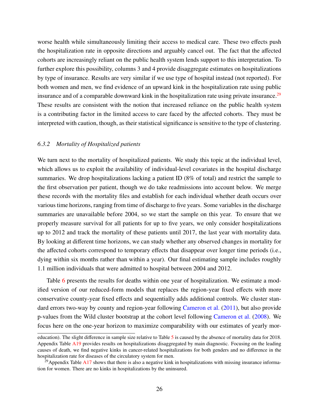worse health while simultaneously limiting their access to medical care. These two effects push the hospitalization rate in opposite directions and arguably cancel out. The fact that the affected cohorts are increasingly reliant on the public health system lends support to this interpretation. To further explore this possibility, columns 3 and 4 provide disaggregate estimates on hospitalizations by type of insurance. Results are very similar if we use type of hospital instead (not reported). For both women and men, we find evidence of an upward kink in the hospitalization rate using public insurance and of a comparable downward kink in the hospitalization rate using private insurance.<sup>[29](#page-1-0)</sup> These results are consistent with the notion that increased reliance on the public health system is a contributing factor in the limited access to care faced by the affected cohorts. They must be interpreted with caution, though, as their statistical significance is sensitive to the type of clustering.

#### *6.3.2 Mortality of Hospitalized patients*

We turn next to the mortality of hospitalized patients. We study this topic at the individual level, which allows us to exploit the availability of individual-level covariates in the hospital discharge summaries. We drop hospitalizations lacking a patient ID (8% of total) and restrict the sample to the first observation per patient, though we do take readmissions into account below. We merge these records with the mortality files and establish for each individual whether death occurs over various time horizons, ranging from time of discharge to five years. Some variables in the discharge summaries are unavailable before 2004, so we start the sample on this year. To ensure that we properly measure survival for all patients for up to five years, we only consider hospitalizations up to 2012 and track the mortality of these patients until 2017, the last year with mortality data. By looking at different time horizons, we can study whether any observed changes in mortality for the affected cohorts correspond to temporary effects that disappear over longer time periods (i.e., dying within six months rather than within a year). Our final estimating sample includes roughly 1.1 million individuals that were admitted to hospital between 2004 and 2012.

Table [6](#page-47-0) presents the results for deaths within one year of hospitalization. We estimate a modified version of our reduced-form models that replaces the region-year fixed effects with more conservative county-year fixed effects and sequentially adds additional controls. We cluster stan-dard errors two-way by county and region-year following [Cameron et al.](#page-33-12) [\(2011\)](#page-33-12), but also provide p-values from the Wild cluster bootstrap at the cohort level following [Cameron et al.](#page-32-12) [\(2008\)](#page-32-12). We focus here on the one-year horizon to maximize comparability with our estimates of yearly mor-

education). The slight difference in sample size relative to Table [5](#page-46-0) is caused by the absence of mortality data for 2018. Appendix Table [A19](#page-66-0) provides results on hospitalizations disaggregated by main diagnostic. Focusing on the leading causes of death, we find negative kinks in cancer-related hospitalizations for both genders and no difference in the hospitalization rate for diseases of the circulatory system for men.

<sup>&</sup>lt;sup>29</sup>Appendix Table [A17](#page-64-0) shows that there is also a negative kink in hospitalizations with missing insurance information for women. There are no kinks in hospitalizations by the uninsured.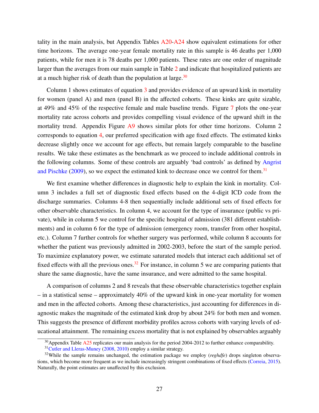tality in the main analysis, but Appendix Tables [A20-](#page-67-0)[A24](#page-71-0) show equivalent estimations for other time horizons. The average one-year female mortality rate in this sample is 46 deaths per 1,000 patients, while for men it is 78 deaths per 1,000 patients. These rates are one order of magnitude larger than the averages from our main sample in Table [2](#page-43-0) and indicate that hospitalized patients are at a much higher risk of death than the population at large. $30$ 

Column 1 shows estimates of equation [3](#page-13-1) and provides evidence of an upward kink in mortality for women (panel A) and men (panel B) in the affected cohorts. These kinks are quite sizable, at 49% and 45% of the respective female and male baseline trends. Figure [7](#page-40-1) plots the one-year mortality rate across cohorts and provides compelling visual evidence of the upward shift in the mortality trend. Appendix Figure [A9](#page-81-0) shows similar plots for other time horizons. Column 2 corresponds to equation [4,](#page-14-0) our preferred specification with age fixed effects. The estimated kinks decrease slightly once we account for age effects, but remain largely comparable to the baseline results. We take these estimates as the benchmark as we proceed to include additional controls in the following columns. Some of these controls are arguably 'bad controls' as defined by [Angrist](#page-32-11) [and Pischke](#page-32-11)  $(2009)$ , so we expect the estimated kink to decrease once we control for them.<sup>[31](#page-1-0)</sup>

We first examine whether differences in diagnostic help to explain the kink in mortality. Column 3 includes a full set of diagnostic fixed effects based on the 4-digit ICD code from the discharge summaries. Columns 4-8 then sequentially include additional sets of fixed effects for other observable characteristics. In column 4, we account for the type of insurance (public vs private), while in column 5 we control for the specific hospital of admission (381 different establishments) and in column 6 for the type of admission (emergency room, transfer from other hospital, etc.). Column 7 further controls for whether surgery was performed, while column 8 accounts for whether the patient was previously admitted in 2002-2003, before the start of the sample period. To maximize explanatory power, we estimate saturated models that interact each additional set of fixed effects with all the previous ones.<sup>[32](#page-1-0)</sup> For instance, in column 5 we are comparing patients that share the same diagnostic, have the same insurance, and were admitted to the same hospital.

A comparison of columns 2 and 8 reveals that these observable characteristics together explain – in a statistical sense – approximately 40% of the upward kink in one-year mortality for women and men in the affected cohorts. Among these characteristics, just accounting for differences in diagnostic makes the magnitude of the estimated kink drop by about 24% for both men and women. This suggests the presence of different morbidity profiles across cohorts with varying levels of educational attainment. The remaining excess mortality that is not explained by observables arguably

 $30$ Appendix Table  $A25$  replicates our main analysis for the period 2004-2012 to further enhance comparability.

<sup>&</sup>lt;sup>31</sup>[Cutler and Lleras-Muney](#page-33-0) [\(2008,](#page-33-0) [2010\)](#page-33-5) employ a similar strategy.

<sup>32</sup>While the sample remains unchanged, the estimation package we employ (*reghdfe*) drops singleton observations, which become more frequent as we include increasingly stringent combinations of fixed effects [\(Correia,](#page-33-14) [2015\)](#page-33-14). Naturally, the point estimates are unaffected by this exclusion.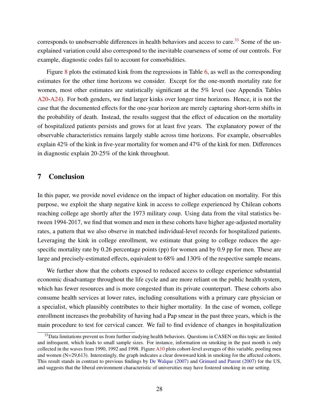corresponds to unobservable differences in health behaviors and access to care.<sup>[33](#page-1-0)</sup> Some of the unexplained variation could also correspond to the inevitable coarseness of some of our controls. For example, diagnostic codes fail to account for comorbidities.

Figure [8](#page-41-0) plots the estimated kink from the regressions in Table [6,](#page-47-0) as well as the corresponding estimates for the other time horizons we consider. Except for the one-month mortality rate for women, most other estimates are statistically significant at the 5% level (see Appendix Tables [A20-](#page-67-0)[A24\)](#page-71-0). For both genders, we find larger kinks over longer time horizons. Hence, it is not the case that the documented effects for the one-year horizon are merely capturing short-term shifts in the probability of death. Instead, the results suggest that the effect of education on the mortality of hospitalized patients persists and grows for at least five years. The explanatory power of the observable characteristics remains largely stable across time horizons. For example, observables explain 42% of the kink in five-year mortality for women and 47% of the kink for men. Differences in diagnostic explain 20-25% of the kink throughout.

### 7 Conclusion

In this paper, we provide novel evidence on the impact of higher education on mortality. For this purpose, we exploit the sharp negative kink in access to college experienced by Chilean cohorts reaching college age shortly after the 1973 military coup. Using data from the vital statistics between 1994-2017, we find that women and men in these cohorts have higher age-adjusted mortality rates, a pattern that we also observe in matched individual-level records for hospitalized patients. Leveraging the kink in college enrollment, we estimate that going to college reduces the agespecific mortality rate by 0.26 percentage points (pp) for women and by 0.9 pp for men. These are large and precisely-estimated effects, equivalent to 68% and 130% of the respective sample means.

We further show that the cohorts exposed to reduced access to college experience substantial economic disadvantage throughout the life cycle and are more reliant on the public health system, which has fewer resources and is more congested than its private counterpart. These cohorts also consume health services at lower rates, including consultations with a primary care physician or a specialist, which plausibly contributes to their higher mortality. In the case of women, college enrollment increases the probability of having had a Pap smear in the past three years, which is the main procedure to test for cervical cancer. We fail to find evidence of changes in hospitalization

<sup>&</sup>lt;sup>33</sup>Data limitations prevent us from further studying health behaviors. Questions in CASEN on this topic are limited and infrequent, which leads to small sample sizes. For instance, information on smoking in the past month is only collected in the waves from 1990, 1992 and 1998. Figure [A10](#page-84-0) plots cohort-level averages of this variable, pooling men and women (N=29,613). Interestingly, the graph indicates a clear downward kink in smoking for the affected cohorts. This result stands in contrast to previous findings by [De Walque](#page-33-15) [\(2007\)](#page-33-15) and [Grimard and Parent](#page-34-15) [\(2007\)](#page-34-15) for the US, and suggests that the liberal environment characteristic of universities may have fostered smoking in our setting.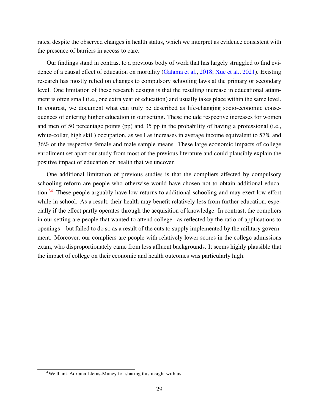rates, despite the observed changes in health status, which we interpret as evidence consistent with the presence of barriers in access to care.

Our findings stand in contrast to a previous body of work that has largely struggled to find evidence of a causal effect of education on mortality [\(Galama et al.,](#page-34-0) [2018;](#page-34-0) [Xue et al.,](#page-35-0) [2021\)](#page-35-0). Existing research has mostly relied on changes to compulsory schooling laws at the primary or secondary level. One limitation of these research designs is that the resulting increase in educational attainment is often small (i.e., one extra year of education) and usually takes place within the same level. In contrast, we document what can truly be described as life-changing socio-economic consequences of entering higher education in our setting. These include respective increases for women and men of 50 percentage points (pp) and 35 pp in the probability of having a professional (i.e., white-collar, high skill) occupation, as well as increases in average income equivalent to 57% and 36% of the respective female and male sample means. These large economic impacts of college enrollment set apart our study from most of the previous literature and could plausibly explain the positive impact of education on health that we uncover.

One additional limitation of previous studies is that the compliers affected by compulsory schooling reform are people who otherwise would have chosen not to obtain additional educa-tion.<sup>[34](#page-1-0)</sup> These people arguably have low returns to additional schooling and may exert low effort while in school. As a result, their health may benefit relatively less from further education, especially if the effect partly operates through the acquisition of knowledge. In contrast, the compliers in our setting are people that wanted to attend college –as reflected by the ratio of applications to openings – but failed to do so as a result of the cuts to supply implemented by the military government. Moreover, our compliers are people with relatively lower scores in the college admissions exam, who disproportionately came from less affluent backgrounds. It seems highly plausible that the impact of college on their economic and health outcomes was particularly high.

<sup>34</sup>We thank Adriana Lleras-Muney for sharing this insight with us.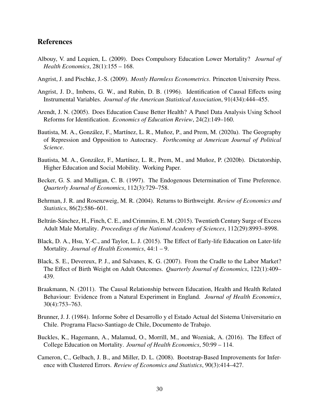## References

- <span id="page-32-3"></span>Albouy, V. and Lequien, L. (2009). Does Compulsory Education Lower Mortality? *Journal of Health Economics*, 28(1):155 – 168.
- <span id="page-32-11"></span>Angrist, J. and Pischke, J.-S. (2009). *Mostly Harmless Econometrics*. Princeton University Press.
- <span id="page-32-13"></span>Angrist, J. D., Imbens, G. W., and Rubin, D. B. (1996). Identification of Causal Effects using Instrumental Variables. *Journal of the American Statistical Association*, 91(434):444–455.
- <span id="page-32-5"></span>Arendt, J. N. (2005). Does Education Cause Better Health? A Panel Data Analysis Using School Reforms for Identification. *Economics of Education Review*, 24(2):149–160.
- <span id="page-32-2"></span>Bautista, M. A., González, F., Martínez, L. R., Muñoz, P., and Prem, M. (2020a). The Geography of Repression and Opposition to Autocracy. *Forthcoming at American Journal of Political Science*.
- <span id="page-32-1"></span>Bautista, M. A., González, F., Martínez, L. R., Prem, M., and Muñoz, P. (2020b). Dictatorship, Higher Education and Social Mobility. Working Paper.
- <span id="page-32-14"></span>Becker, G. S. and Mulligan, C. B. (1997). The Endogenous Determination of Time Preference. *Quarterly Journal of Economics*, 112(3):729–758.
- <span id="page-32-9"></span>Behrman, J. R. and Rosenzweig, M. R. (2004). Returns to Birthweight. *Review of Economics and Statistics*, 86(2):586–601.
- <span id="page-32-8"></span>Beltrán-Sánchez, H., Finch, C. E., and Crimmins, E. M. (2015). Twentieth Century Surge of Excess Adult Male Mortality. *Proceedings of the National Academy of Sciences*, 112(29):8993–8998.
- <span id="page-32-4"></span>Black, D. A., Hsu, Y.-C., and Taylor, L. J. (2015). The Effect of Early-life Education on Later-life Mortality. *Journal of Health Economics*, 44:1 – 9.
- <span id="page-32-10"></span>Black, S. E., Devereux, P. J., and Salvanes, K. G. (2007). From the Cradle to the Labor Market? The Effect of Birth Weight on Adult Outcomes. *Quarterly Journal of Economics*, 122(1):409– 439.
- <span id="page-32-6"></span>Braakmann, N. (2011). The Causal Relationship between Education, Health and Health Related Behaviour: Evidence from a Natural Experiment in England. *Journal of Health Economics*, 30(4):753–763.
- <span id="page-32-7"></span>Brunner, J. J. (1984). Informe Sobre el Desarrollo y el Estado Actual del Sistema Universitario en Chile. Programa Flacso-Santiago de Chile, Documento de Trabajo.
- <span id="page-32-0"></span>Buckles, K., Hagemann, A., Malamud, O., Morrill, M., and Wozniak, A. (2016). The Effect of College Education on Mortality. *Journal of Health Economics*, 50:99 – 114.
- <span id="page-32-12"></span>Cameron, C., Gelbach, J. B., and Miller, D. L. (2008). Bootstrap-Based Improvements for Inference with Clustered Errors. *Review of Economics and Statistics*, 90(3):414–427.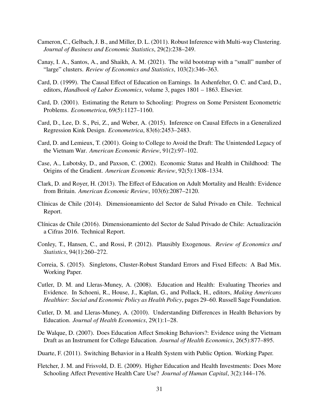- <span id="page-33-12"></span>Cameron, C., Gelbach, J. B., and Miller, D. L. (2011). Robust Inference with Multi-way Clustering. *Journal of Business and Economic Statistics*, 29(2):238–249.
- <span id="page-33-11"></span>Canay, I. A., Santos, A., and Shaikh, A. M. (2021). The wild bootstrap with a "small" number of "large" clusters. *Review of Economics and Statistics*, 103(2):346–363.
- <span id="page-33-4"></span>Card, D. (1999). The Causal Effect of Education on Earnings. In Ashenfelter, O. C. and Card, D., editors, *Handbook of Labor Economics*, volume 3, pages 1801 – 1863. Elsevier.
- <span id="page-33-1"></span>Card, D. (2001). Estimating the Return to Schooling: Progress on Some Persistent Econometric Problems. *Econometrica*, 69(5):1127–1160.
- <span id="page-33-2"></span>Card, D., Lee, D. S., Pei, Z., and Weber, A. (2015). Inference on Causal Effects in a Generalized Regression Kink Design. *Econometrica*, 83(6):2453–2483.
- <span id="page-33-6"></span>Card, D. and Lemieux, T. (2001). Going to College to Avoid the Draft: The Unintended Legacy of the Vietnam War. *American Economic Review*, 91(2):97–102.
- <span id="page-33-10"></span>Case, A., Lubotsky, D., and Paxson, C. (2002). Economic Status and Health in Childhood: The Origins of the Gradient. *American Economic Review*, 92(5):1308–1334.
- <span id="page-33-7"></span>Clark, D. and Royer, H. (2013). The Effect of Education on Adult Mortality and Health: Evidence from Britain. *American Economic Review*, 103(6):2087–2120.
- Cl´ınicas de Chile (2014). Dimensionamiento del Sector de Salud Privado en Chile. Technical Report.
- <span id="page-33-9"></span>Clínicas de Chile (2016). Dimensionamiento del Sector de Salud Privado de Chile: Actualización a Cifras 2016. Technical Report.
- <span id="page-33-3"></span>Conley, T., Hansen, C., and Rossi, P. (2012). Plausibly Exogenous. *Review of Economics and Statistics*, 94(1):260–272.
- <span id="page-33-14"></span>Correia, S. (2015). Singletons, Cluster-Robust Standard Errors and Fixed Effects: A Bad Mix. Working Paper.
- <span id="page-33-0"></span>Cutler, D. M. and Lleras-Muney, A. (2008). Education and Health: Evaluating Theories and Evidence. In Schoeni, R., House, J., Kaplan, G., and Pollack, H., editors, *Making Americans Healthier: Social and Economic Policy as Health Policy*, pages 29–60. Russell Sage Foundation.
- <span id="page-33-5"></span>Cutler, D. M. and Lleras-Muney, A. (2010). Understanding Differences in Health Behaviors by Education. *Journal of Health Economics*, 29(1):1–28.
- <span id="page-33-15"></span>De Walque, D. (2007). Does Education Affect Smoking Behaviors?: Evidence using the Vietnam Draft as an Instrument for College Education. *Journal of Health Economics*, 26(5):877–895.
- <span id="page-33-8"></span>Duarte, F. (2011). Switching Behavior in a Health System with Public Option. Working Paper.
- <span id="page-33-13"></span>Fletcher, J. M. and Frisvold, D. E. (2009). Higher Education and Health Investments: Does More Schooling Affect Preventive Health Care Use? *Journal of Human Capital*, 3(2):144–176.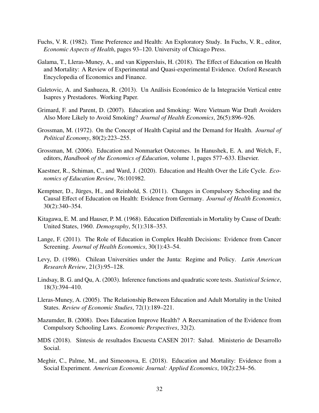- <span id="page-34-11"></span>Fuchs, V. R. (1982). Time Preference and Health: An Exploratory Study. In Fuchs, V. R., editor, *Economic Aspects of Health*, pages 93–120. University of Chicago Press.
- <span id="page-34-0"></span>Galama, T., Lleras-Muney, A., and van Kippersluis, H. (2018). The Effect of Education on Health and Mortality: A Review of Experimental and Quasi-experimental Evidence. Oxford Research Encyclopedia of Economics and Finance.
- <span id="page-34-9"></span>Galetovic, A. and Sanhueza, R. (2013). Un Análisis Económico de la Integración Vertical entre Isapres y Prestadores. Working Paper.
- <span id="page-34-15"></span>Grimard, F. and Parent, D. (2007). Education and Smoking: Were Vietnam War Draft Avoiders Also More Likely to Avoid Smoking? *Journal of Health Economics*, 26(5):896–926.
- <span id="page-34-13"></span>Grossman, M. (1972). On the Concept of Health Capital and the Demand for Health. *Journal of Political Economy*, 80(2):223–255.
- <span id="page-34-1"></span>Grossman, M. (2006). Education and Nonmarket Outcomes. In Hanushek, E. A. and Welch, F., editors, *Handbook of the Economics of Education*, volume 1, pages 577–633. Elsevier.
- <span id="page-34-2"></span>Kaestner, R., Schiman, C., and Ward, J. (2020). Education and Health Over the Life Cycle. *Economics of Education Review*, 76:101982.
- <span id="page-34-7"></span>Kemptner, D., Jürges, H., and Reinhold, S. (2011). Changes in Compulsory Schooling and the Causal Effect of Education on Health: Evidence from Germany. *Journal of Health Economics*, 30(2):340–354.
- <span id="page-34-3"></span>Kitagawa, E. M. and Hauser, P. M. (1968). Education Differentials in Mortality by Cause of Death: United States, 1960. *Demography*, 5(1):318–353.
- <span id="page-34-14"></span>Lange, F. (2011). The Role of Education in Complex Health Decisions: Evidence from Cancer Screening. *Journal of Health Economics*, 30(1):43–54.
- <span id="page-34-8"></span>Levy, D. (1986). Chilean Universities under the Junta: Regime and Policy. *Latin American Research Review*, 21(3):95–128.
- <span id="page-34-12"></span>Lindsay, B. G. and Qu, A. (2003). Inference functions and quadratic score tests. *Statistical Science*, 18(3):394–410.
- <span id="page-34-4"></span>Lleras-Muney, A. (2005). The Relationship Between Education and Adult Mortality in the United States. *Review of Economic Studies*, 72(1):189–221.
- <span id="page-34-5"></span>Mazumder, B. (2008). Does Education Improve Health? A Reexamination of the Evidence from Compulsory Schooling Laws. *Economic Perspectives*, 32(2).
- <span id="page-34-10"></span>MDS (2018). S´ıntesis de resultados Encuesta CASEN 2017: Salud. Ministerio de Desarrollo Social.
- <span id="page-34-6"></span>Meghir, C., Palme, M., and Simeonova, E. (2018). Education and Mortality: Evidence from a Social Experiment. *American Economic Journal: Applied Economics*, 10(2):234–56.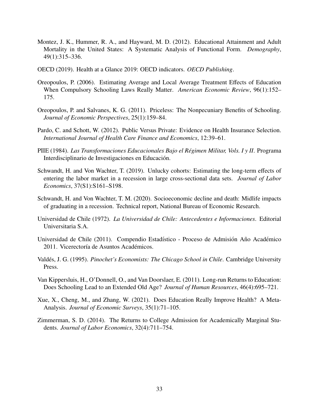- <span id="page-35-1"></span>Montez, J. K., Hummer, R. A., and Hayward, M. D. (2012). Educational Attainment and Adult Mortality in the United States: A Systematic Analysis of Functional Form. *Demography*, 49(1):315–336.
- <span id="page-35-6"></span>OECD (2019). Health at a Glance 2019: OECD indicators. *OECD Publishing*.
- <span id="page-35-4"></span>Oreopoulos, P. (2006). Estimating Average and Local Average Treatment Effects of Education When Compulsory Schooling Laws Really Matter. *American Economic Review*, 96(1):152– 175.
- <span id="page-35-2"></span>Oreopoulos, P. and Salvanes, K. G. (2011). Priceless: The Nonpecuniary Benefits of Schooling. *Journal of Economic Perspectives*, 25(1):159–84.
- <span id="page-35-7"></span>Pardo, C. and Schott, W. (2012). Public Versus Private: Evidence on Health Insurance Selection. *International Journal of Health Care Finance and Economics*, 12:39–61.
- PIIE (1984). *Las Transformaciones Educacionales Bajo el R´egimen Militar, Vols. I y II*. Programa Interdisciplinario de Investigaciones en Educación.
- <span id="page-35-9"></span>Schwandt, H. and Von Wachter, T. (2019). Unlucky cohorts: Estimating the long-term effects of entering the labor market in a recession in large cross-sectional data sets. *Journal of Labor Economics*, 37(S1):S161–S198.
- <span id="page-35-10"></span>Schwandt, H. and Von Wachter, T. M. (2020). Socioeconomic decline and death: Midlife impacts of graduating in a recession. Technical report, National Bureau of Economic Research.
- Universidad de Chile (1972). *La Universidad de Chile: Antecedentes e Informaciones*. Editorial Universitaria S.A.
- Universidad de Chile (2011). Compendio Estadístico Proceso de Admisión Año Académico 2011. Vicerectoría de Asuntos Académicos.
- <span id="page-35-5"></span>Valdés, J. G. (1995). Pinochet's Economists: The Chicago School in Chile. Cambridge University Press.
- <span id="page-35-3"></span>Van Kippersluis, H., O'Donnell, O., and Van Doorslaer, E. (2011). Long-run Returns to Education: Does Schooling Lead to an Extended Old Age? *Journal of Human Resources*, 46(4):695–721.
- <span id="page-35-0"></span>Xue, X., Cheng, M., and Zhang, W. (2021). Does Education Really Improve Health? A Meta-Analysis. *Journal of Economic Surveys*, 35(1):71–105.
- <span id="page-35-8"></span>Zimmerman, S. D. (2014). The Returns to College Admission for Academically Marginal Students. *Journal of Labor Economics*, 32(4):711–754.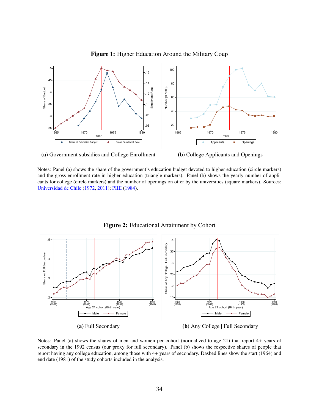

Figure 1: Higher Education Around the Military Coup





Notes: Panel (a) shows the share of the government's education budget devoted to higher education (circle markers) and the gross enrollment rate in higher education (triangle markers). Panel (b) shows the yearly number of applicants for college (circle markers) and the number of openings on offer by the universities (square markers). Sources: [Universidad de Chile](#page-35-0) [\(1972,](#page-35-0) [2011\)](#page-35-1); [PIIE](#page-35-2) [\(1984\)](#page-35-2).



Figure 2: Educational Attainment by Cohort

(a) Full Secondary

(b) Any College | Full Secondary

Notes: Panel (a) shows the shares of men and women per cohort (normalized to age 21) that report 4+ years of secondary in the 1992 census (our proxy for full secondary). Panel (b) shows the respective shares of people that report having any college education, among those with 4+ years of secondary. Dashed lines show the start (1964) and end date (1981) of the study cohorts included in the analysis.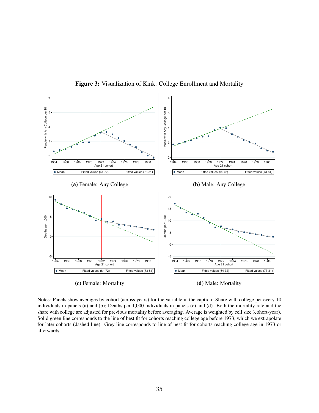

Figure 3: Visualization of Kink: College Enrollment and Mortality

Notes: Panels show averages by cohort (across years) for the variable in the caption: Share with college per every 10 individuals in panels (a) and (b); Deaths per 1,000 individuals in panels (c) and (d). Both the mortality rate and the share with college are adjusted for previous mortality before averaging. Average is weighted by cell size (cohort-year). Solid green line corresponds to the line of best fit for cohorts reaching college age before 1973, which we extrapolate for later cohorts (dashed line). Grey line corresponds to line of best fit for cohorts reaching college age in 1973 or afterwards.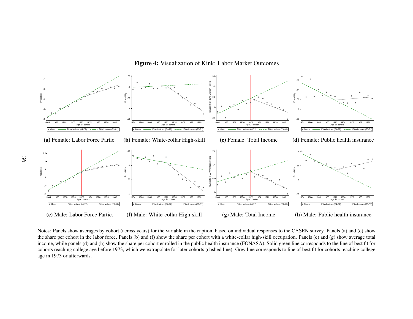

Figure 4: Visualization of Kink: Labor Market Outcomes

 income, while panels (d) and (h) show the share per cohort enrolled in the public health insurance (FONASA). Solid green line corresponds to the line of best fit for1966 1968 1970 1972 1974 1976 1978 1980<br>
Mean <u>—— Fitted values</u> (64-72) ----- Fitted values (73-8<br>
2) Male: Labor Force Partic.<br>
: Panels show averages by cohon<br>
are per cohort in the labor force.<br>
i.e., while panels (d) An all Fitted values (64-72)  $\rightarrow$  Fitted values (73-81)<br>
Male: Labor Force Partic.<br>
Panels show averages by cohort<br>
Per cohort in the labor force.<br>
while panels (d) and (h) show the reaching college age before 19'<br>
Panels  $\frac{1966}{\text{Mean}}$  1976 1978 1977 1977 1978 1980<br>  $\frac{\text{Mean}}{\text{Mean}}$  — Fitted values (64-72) ----- Fitted values (73-8<br>  $\text{Male: White-collar High-skill}$ <br>
Sy years) for the variable in the case (b) and (f) show the share per conduction the public Fitted values (64-72)  $---$  Fitted values (73-81)<br>ale: White-collar High-skill<br>ears) for the variable in the cap<br>and (f) show the share per coh<br>ber cohort enrolled in the public<br>we extrapolate for later cohorts  $\frac{1966}{\text{Mean}}$  1976 1978 1977 1977 1978 1980<br>  $\frac{\text{Mean}}{\text{Area}}$  1970 1978 1980<br>
(g) Male: Total Income<br>
ased on individual responses to the article values (73-8)<br>
(g) Male: Total Income<br>
ased on individual responses to the **g)** Male: Total Income<br>d on individual responses to the white-collar high-skill occupa<br>surance (FONASA). Solid gree<br>ine). Grey line corresponds to  $\frac{1966}{\text{Mean}}$  1976 1978 1977 1977 1978 1980<br>  $\frac{\text{Mean}}{\text{Area}}$  - Fitted values (64-72) ----- Fitted values (73-8<br>
Male: Public health insurance<br>
EN survey. Panels (a) and (e) show<br>
onels (c) and (g) show average to<br>
orresp Fitted values (64-72)  $---$  Fitted values (73-81)<br>ale: Public health insurance<br>survey. Panels (a) and (e) sho<br>ls (c) and (g) show average tot<br>responds to the line of best fit fit<br>it fit for cohorts reaching colleg Notes: Panels show averages by cohort (across years) for the variable in the caption, based on individual responses to the CASEN survey. Panels (a) and (e) show the share per cohort in the labor force. Panels (b) and (f) show the share per cohort with <sup>a</sup> white-collar high-skill occupation. Panels (c) and (g) show average total cohorts reaching college age before 1973, which we extrapolate for later cohorts (dashed line). Grey line corresponds to line of best fit for cohorts reaching collegeage in 1973 or afterwards.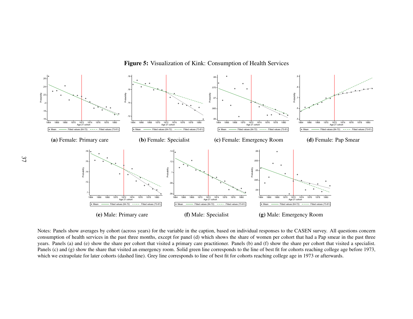

Figure 5: Visualization of Kink: Consumption of Health Services

 years. Panels (a) and (e) show the share per cohort that visited <sup>a</sup> primary care practitioner. Panels (b) and (f) show the share per cohort that visited <sup>a</sup> specialist. $\frac{1966}{\text{Mean}}$  1976 1978 1977 1977 1978 1980<br>  $\frac{\text{Mean}}{\text{Area}}$  Timed values (64-72) ----- Filted values (73-8<br> **(e)** Male: Primary care<br>
ges by cohort (across years) for<br>
vices in the past three months, as<br>
show the share Fitted values (64-72)  $---$  Fitted values (73-81)<br>
(e) Male: Primary care<br>
s by cohort (across years) for t<br>
ces in the past three months, e.<br>
w the share per cohort that vi<br>
share that visited an emergency<br>
r cohorts (dash  $\frac{1966}{\text{Mean}}$  1968 1970 1972 1974 1976 1978 1980<br>
Mean <del>— Filted values (64.72) ---- Filted values (73.8</del><br> **(f)** Male: Specialist<br>
where  $\frac{1}{\text{Mean}}$  (1) which shows the shapping care practitioner. Panel:<br>
Solid green l Fitted values (64-72)  $---$  Fitted values (73-81)<br>
(**f**) Male: Specialist<br>
e in the caption, based on indivantel (d) which shows the shaid<br>
mary care practitioner. Panels<br>
lid green line corresponds to the<br>
ponds to line of 1966 1968 1970 1972 1974 1976 1978 1980<br>  $\frac{\text{Mean}}{\text{Age 21 color}}$  1974 1976 1978 1980<br>
2) Male: Emergency Room<br>
esponses to the CASEN survey.<br>
omen per cohort that had a Pap is<br>
(f) show the share per cohort tilf best fit for c In  $\frac{F(\text{Hled values} (64-72) \text{ } \text{ } \text{ } -1 \text{ } -1 \text{ } -1 \text{ } -1 \text{ } -1 \text{ } -1 \text{ } -1 \text{ } -1 \text{ } -1 \text{ } -1 \text{ } -1 \text{ } -1 \text{ } -1 \text{ } -1 \text{ } -1 \text{ } -1 \text{ } -1 \text{ } -1 \text{ } -1 \text{ } -1 \text{ } -1 \text{ } -1 \text{ } -1 \text{ } -1 \text{ } -1 \text{ } -1 \text{ } -1 \text{ } -1 \text{ } -1 \text{ } -1 \text{ } -1 \text{ } -$ Notes: Panels show averages by cohort (across years) for the variable in the caption, based on individual responses to the CASEN survey. All questions concern consumption of health services in the pas<sup>t</sup> three months, excep<sup>t</sup> for panel (d) which shows the share of women per cohort that had <sup>a</sup> Pap smear in the pas<sup>t</sup> threePanels (c) and (g) show the share that visited an emergency room. Solid green line corresponds to the line of best fit for cohorts reaching college age before 1973, which we extrapolate for later cohorts (dashed line). Grey line corresponds to line of best fit for cohorts reaching college age in 1973 or afterwards.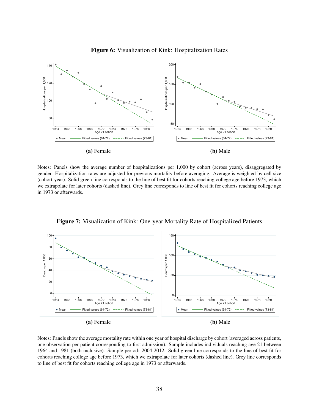

Figure 6: Visualization of Kink: Hospitalization Rates

Notes: Panels show the average number of hospitalizations per 1,000 by cohort (across years), disaggregated by gender. Hospitalization rates are adjusted for previous mortality before averaging. Average is weighted by cell size (cohort-year). Solid green line corresponds to the line of best fit for cohorts reaching college age before 1973, which we extrapolate for later cohorts (dashed line). Grey line corresponds to line of best fit for cohorts reaching college age in 1973 or afterwards.



Figure 7: Visualization of Kink: One-year Mortality Rate of Hospitalized Patients

Notes: Panels show the average mortality rate within one year of hospital discharge by cohort (averaged across patients, one observation per patient corresponding to first admission). Sample includes individuals reaching age 21 between 1964 and 1981 (both inclusive). Sample period: 2004-2012. Solid green line corresponds to the line of best fit for cohorts reaching college age before 1973, which we extrapolate for later cohorts (dashed line). Grey line corresponds to line of best fit for cohorts reaching college age in 1973 or afterwards.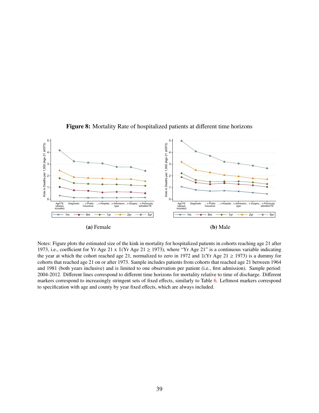

Figure 8: Mortality Rate of hospitalized patients at different time horizons

Notes: Figure plots the estimated size of the kink in mortality for hospitalized patients in cohorts reaching age 21 after 1973, i.e., coefficient for Yr Age 21 x  $\mathbb{1}(Yr \text{ Age } 21 \ge 1973)$ , where "Yr Age 21" is a continuous variable indicating the year at which the cohort reached age 21, normalized to zero in 1972 and  $\mathbb{1}(Yr \text{ Age } 21 \ge 1973)$  is a dummy for cohorts that reached age 21 on or after 1973. Sample includes patients from cohorts that reached age 21 between 1964 and 1981 (both years inclusive) and is limited to one observation per patient (i.e., first admission). Sample period: 2004-2012. Different lines correspond to different time horizons for mortality relative to time of discharge. Different markers correspond to increasingly stringent sets of fixed effects, similarly to Table [6.](#page-47-0) Leftmost markers correspond to specification with age and county by year fixed effects, which are always included.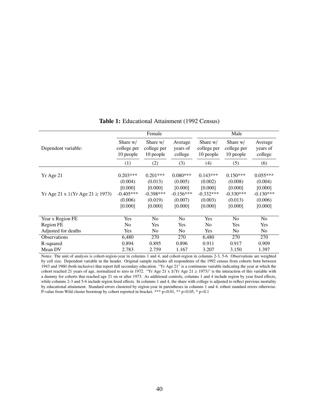|                                                        |                                        | Female                                 |                                   | Male                                   |                                        |                                   |  |
|--------------------------------------------------------|----------------------------------------|----------------------------------------|-----------------------------------|----------------------------------------|----------------------------------------|-----------------------------------|--|
| Dependent variable:                                    | Share $w/$<br>college per<br>10 people | Share $w/$<br>college per<br>10 people | Average<br>years of<br>college    | Share $w/$<br>college per<br>10 people | Share $w/$<br>college per<br>10 people | Average<br>years of<br>college    |  |
|                                                        | (1)                                    | (2)                                    | (3)                               | (4)                                    | (5)                                    | (6)                               |  |
| Yr Age 21                                              | $0.203***$<br>(0.004)                  | $0.201***$<br>(0.013)                  | $0.080***$<br>(0.005)             | $0.143***$<br>(0.002)                  | $0.150***$<br>(0.008)                  | $0.055***$<br>(0.004)             |  |
| Yr Age 21 x $\mathbb{I}(Yr \text{ Age } 21 \geq 1973)$ | [0.000]<br>$-0.405***$<br>(0.006)      | [0.000]<br>$-0.398***$<br>(0.019)      | [0.000]<br>$-0.156***$<br>(0.007) | [0.000]<br>$-0.332***$<br>(0.003)      | [0.000]<br>$-0.330***$<br>(0.013)      | [0.000]<br>$-0.130***$<br>(0.006) |  |
|                                                        | [0.000]                                | [0.000]                                | [0.000]                           | [0.000]                                | [0.000]                                | [0.000]                           |  |
| Year x Region FE                                       | Yes                                    | N <sub>o</sub>                         | N <sub>o</sub>                    | Yes                                    | N <sub>o</sub>                         | N <sub>o</sub>                    |  |
| Region FE                                              | N <sub>0</sub>                         | Yes                                    | Yes                               | N <sub>0</sub>                         | Yes                                    | Yes                               |  |
| Adjusted for deaths                                    | <b>Yes</b>                             | No                                     | No                                | Yes                                    | No                                     | No                                |  |
| <b>Observations</b>                                    | 6,480                                  | 270                                    | 270                               | 6,480                                  | 270                                    | 270                               |  |
| R-squared                                              | 0.894                                  | 0.895                                  | 0.896                             | 0.911                                  | 0.917                                  | 0.909                             |  |
| Mean DV                                                | 2.783                                  | 2.759                                  | 1.167                             | 3.207                                  | 3.150                                  | 1.397                             |  |

# Table 1: Educational Attainment (1992 Census)

Notes: The unit of analysis is cohort-region-year in columns 1 and 4, and cohort-region in columns 2-3, 5-6. Observations are weighted by cell size. Dependent variable in the header. Original sample includes all respondents of the 1992 census from cohorts born between 1943 and 1960 (both inclusive) that report full secondary education. "Yr Age 21" is a continuous variable indicating the year at which the cohort reached 21 years of age, normalized to zero in 1972. "Yr Age 21 x  $1(Yr \text{ Age } 21 \ge 1973)$ " is the interaction of this variable with a dummy for cohorts that reached age 21 on or after 1973. As additional controls, columns 1 and 4 include region by year fixed effects, while columns 2-3 and 5-6 include region fixed effects. In columns 1 and 4, the share with college is adjusted to reflect previous mortality by educational attainment. Standard errors clustered by region-year in parentheses in columns 1 and 4, robust standard errors otherwise. P-value from Wild cluster bootstrap by cohort reported in bracket. \*\*\* p<0.01, \*\* p<0.05, \* p<0.1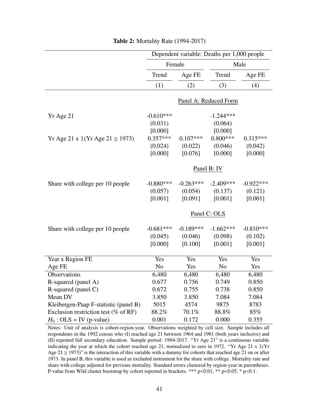|                                                       | Dependent variable: Deaths per 1,000 people |             |                       |             |  |  |  |
|-------------------------------------------------------|---------------------------------------------|-------------|-----------------------|-------------|--|--|--|
|                                                       | Female                                      |             |                       | Male        |  |  |  |
|                                                       | Trend                                       | Age FE      | Trend                 | Age FE      |  |  |  |
|                                                       | (1)                                         | (2)         | (3)                   | (4)         |  |  |  |
|                                                       |                                             |             | Panel A: Reduced Form |             |  |  |  |
| Yr Age 21                                             | $-0.610***$                                 |             | $-1.244***$           |             |  |  |  |
|                                                       | (0.031)                                     |             | (0.064)               |             |  |  |  |
|                                                       | [0.000]                                     |             | [0.000]               |             |  |  |  |
| Yr Age 21 x $\mathbb{I}(Yr \text{ Age } 21 \ge 1973)$ | $0.357***$                                  | $0.107***$  | $0.800***$            | $0.315***$  |  |  |  |
|                                                       | (0.024)                                     | (0.022)     | (0.046)               | (0.042)     |  |  |  |
|                                                       | [0.000]                                     | [0.076]     | [0.000]               | [0.000]     |  |  |  |
|                                                       |                                             |             | Panel B: IV           |             |  |  |  |
|                                                       |                                             |             |                       |             |  |  |  |
| Share with college per 10 people                      | $-0.880***$                                 | $-0.263***$ | $-2.409***$           | $-0.922***$ |  |  |  |
|                                                       | (0.057)                                     | (0.054)     | (0.137)               | (0.121)     |  |  |  |
|                                                       | [0.001]                                     | [0.091]     | [0.001]               | [0.001]     |  |  |  |
|                                                       |                                             |             | Panel C: OLS          |             |  |  |  |
| Share with college per 10 people                      | $-0.681***$                                 | $-0.189***$ | $-1.662***$           | $-0.810***$ |  |  |  |
|                                                       | (0.045)                                     | (0.046)     | (0.098)               | (0.102)     |  |  |  |
|                                                       | [0.000]                                     | [0.100]     | [0.001]               | [0.001]     |  |  |  |
|                                                       |                                             |             |                       |             |  |  |  |
| Year x Region FE                                      | Yes                                         | Yes         | Yes                   | Yes         |  |  |  |
| Age FE                                                | N <sub>o</sub>                              | Yes         | N <sub>o</sub>        | Yes         |  |  |  |
| Observations                                          | 6,480                                       | 6,480       | 6,480                 | 6,480       |  |  |  |
| R-squared (panel A)                                   | 0.677                                       | 0.756       | 0.749                 | 0.850       |  |  |  |
| $R$ -squared (panel C)                                | 0.672                                       | 0.755       | 0.738                 | 0.850       |  |  |  |
| Mean DV                                               | 3.850                                       | 3.850       | 7.084                 | 7.084       |  |  |  |
| Kleibergen-Paap F-statistic (panel B)                 | 5015                                        | 4574        | 9875                  | 8783        |  |  |  |
| Exclusion restriction test (% of RF)                  | 88.2%                                       | 70.1%       | 88.8%                 | 85%         |  |  |  |
| $H_0$ : OLS = IV (p-value)                            | 0.001                                       | 0.172       | 0.000                 | 0.355       |  |  |  |

Table 2: Mortality Rate (1994-2017)

Notes: Unit of analysis is cohort-region-year. Observations weighted by cell size. Sample includes all respondents in the 1992 census who (I) reached age 21 between 1964 and 1981 (both years inclusive) and (II) reported full secondary education. Sample period: 1994-2017. "Yr Age 21" is a continuous variable indicating the year at which the cohort reached age 21, normalized to zero in 1972. "Yr Age 21 x 1(Yr Age  $21 \ge 1973$ )" is the interaction of this variable with a dummy for cohorts that reached age 21 on or after 1973. In panel B, this variable is used as excluded instrument for the share with college. Mortality rate and share with college adjusted for previous mortality. Standard errors clustered by region-year in parentheses. P-value from Wild cluster bootstrap by cohort reported in brackets. \*\*\*  $p<0.01$ , \*\*  $p<0.05$ , \*  $p<0.1$ .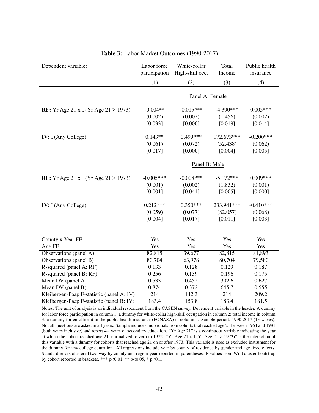| Dependent variable:                               | Labor force<br>participation | White-collar<br>High-skill occ. | Total<br>Income | Public health<br>insurance |
|---------------------------------------------------|------------------------------|---------------------------------|-----------------|----------------------------|
|                                                   | (1)                          | (2)                             | (3)             | (4)                        |
|                                                   |                              | Panel A: Female                 |                 |                            |
| <b>RF:</b> Yr Age 21 x $1$ (Yr Age 21 $\ge$ 1973) | $-0.004**$                   | $-0.015***$                     | $-4.390***$     | $0.005***$                 |
|                                                   | (0.002)                      | (0.002)                         | (1.456)         | (0.002)                    |
|                                                   | [0.033]                      | [0.000]                         | [0.019]         | [0.014]                    |
| IV: $\mathbb{I}(Any$ College)                     | $0.143**$                    | 0.499***                        | 172.673***      | $-0.200***$                |
|                                                   | (0.061)                      | (0.072)                         | (52.438)        | (0.062)                    |
|                                                   | [0.017]                      | [0.000]                         | [0.004]         | [0.005]                    |
|                                                   |                              | Panel B: Male                   |                 |                            |
| <b>RF:</b> Yr Age 21 x $1$ (Yr Age 21 $\ge$ 1973) | $-0.005***$                  | $-0.008***$                     | $-5.172***$     | $0.009***$                 |
|                                                   | (0.001)                      | (0.002)                         | (1.832)         | (0.001)                    |
|                                                   | [0.001]                      | [0.041]                         | [0.005]         | [0.000]                    |
| IV: $\mathbb{I}(Any$ College)                     | $0.212***$                   | $0.350***$                      | 233.941***      | $-0.410***$                |
|                                                   | (0.059)                      | (0.077)                         | (82.057)        | (0.068)                    |
|                                                   | [0.004]                      | [0.017]                         | [0.011]         | [0.003]                    |
|                                                   |                              |                                 |                 |                            |
| County x Year FE                                  | Yes                          | Yes                             | Yes             | Yes                        |
| Age FE                                            | Yes                          | Yes                             | Yes             | Yes                        |
| Observations (panel A)                            | 82,815                       | 39,677                          | 82,815          | 81,893                     |
| Observations (panel B)                            | 80,704                       | 63,978                          | 80,704          | 79,580                     |
| R-squared (panel A: RF)                           | 0.133                        | 0.128                           | 0.129           | 0.187                      |
| R-squared (panel B: RF)                           | 0.256                        | 0.139                           | 0.196           | 0.175                      |
| Mean DV (panel A)                                 | 0.533                        | 0.452                           | 302.6           | 0.627                      |
| Mean DV (panel B)                                 | 0.874                        | 0.372                           | 645.7           | 0.555                      |
| Kleibergen-Paap F-statistic (panel A: IV)         | 214                          | 142.3                           | 214             | 209.2                      |
| Kleibergen-Paap F-statistic (panel B: IV)         | 183.4                        | 153.8                           | 183.4           | 181.5                      |

|  |  |  |  |  | Table 3: Labor Market Outcomes (1990-2017) |  |
|--|--|--|--|--|--------------------------------------------|--|
|--|--|--|--|--|--------------------------------------------|--|

Notes: The unit of analysis is an individual respondent from the CASEN survey. Dependent variable in the header. A dummy for labor force participation in column 1; a dummy for white-collar high-skill occupation in column 2; total income in column 3; a dummy for enrollment in the public health insurance (FONASA) in column 4. Sample period: 1990-2017 (13 waves). Not all questions are asked in all years. Sample includes individuals from cohorts that reached age 21 between 1964 and 1981 (both years inclusive) and report 4+ years of secondary education. "Yr Age 21" is a continuous variable indicating the year at which the cohort reached age 21, normalized to zero in 1972. "Yr Age 21 x 1(Yr Age 21  $\geq$  1973)" is the interaction of this variable with a dummy for cohorts that reached age 21 on or after 1973. This variable is used as excluded instrument for the dummy for any college education. All regressions include year by county of residence by gender and age fixed effects. Standard errors clustered two-way by county and region-year reported in parentheses. P-values from Wild cluster bootstrap by cohort reported in brackets. \*\*\*  $p<0.01$ , \*\*  $p<0.05$ , \*  $p<0.1$ .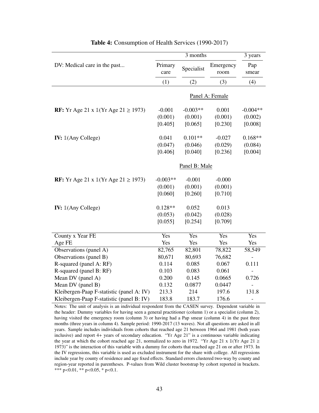|                                                   |                                  |                                 | 3 years                        |                                 |
|---------------------------------------------------|----------------------------------|---------------------------------|--------------------------------|---------------------------------|
| DV: Medical care in the past                      | Primary<br>care                  | Specialist                      | Emergency<br>room              | Pap<br>smear                    |
|                                                   | (1)                              | (2)                             | (3)                            | (4)                             |
|                                                   |                                  |                                 | Panel A: Female                |                                 |
| <b>RF:</b> Yr Age 21 x $1$ (Yr Age 21 $\ge$ 1973) | $-0.001$                         | $-0.003**$                      | 0.001                          | $-0.004**$                      |
|                                                   | (0.001)                          | (0.001)                         | (0.001)                        | (0.002)                         |
|                                                   | [0.405]                          | [0.065]                         | [0.230]                        | [0.008]                         |
| <b>IV:</b> $\mathbb{1}(Any$ College)              | 0.041<br>(0.047)<br>[0.406]      | $0.101**$<br>(0.046)<br>[0.040] | $-0.027$<br>(0.029)<br>[0.236] | $0.168**$<br>(0.084)<br>[0.004] |
|                                                   |                                  | Panel B: Male                   |                                |                                 |
| <b>RF:</b> Yr Age 21 x $1$ (Yr Age 21 $\ge$ 1973) | $-0.003**$<br>(0.001)<br>[0.060] | $-0.001$<br>(0.001)<br>[0.260]  | $-0.000$<br>(0.001)<br>[0.710] |                                 |
| <b>IV:</b> $\mathbb{I}$ (Any College)             | $0.128**$<br>(0.053)<br>[0.055]  | 0.052<br>(0.042)<br>[0.254]     | 0.013<br>(0.028)<br>[0.709]    |                                 |
| County x Year FE                                  | Yes                              | Yes                             | $\overline{\mathrm{Yes}}$      | Yes                             |
| Age FE                                            | Yes                              | Yes                             | Yes                            | Yes                             |
| Observations (panel A)                            | 82,765                           | 82,801                          | 78,822                         | 58,549                          |
| Observations (panel B)                            | 80,671                           | 80,693                          | 76,682                         |                                 |
| R-squared (panel A: RF)                           | 0.114                            | 0.085                           | 0.067                          | 0.111                           |
| R-squared (panel B: RF)                           | 0.103                            | 0.083                           | 0.061                          |                                 |
| Mean DV (panel A)                                 | 0.200                            | 0.145                           | 0.0665                         | 0.726                           |
| Mean DV (panel B)                                 | 0.132                            | 0.0877                          | 0.0447                         |                                 |
| Kleibergen-Paap F-statistic (panel A: IV)         | 213.3                            | 214                             | 197.6                          | 131.8                           |
| Kleibergen-Paap F-statistic (panel B: IV)         | 183.8                            | 183.7                           | 176.6                          |                                 |

Table 4: Consumption of Health Services (1990-2017)

Notes: The unit of analysis is an individual respondent from the CASEN survey. Dependent variable in the header: Dummy variables for having seen a general practitioner (column 1) or a specialist (column 2), having visited the emergency room (column 3) or having had a Pap smear (column 4) in the past three months (three years in column 4). Sample period: 1990-2017 (13 waves). Not all questions are asked in all years. Sample includes individuals from cohorts that reached age 21 between 1964 and 1981 (both years inclusive) and report 4+ years of secondary education. "Yr Age 21" is a continuous variable indicating the year at which the cohort reached age 21, normalized to zero in 1972. "Yr Age 21 x  $\mathbb{I}(Yr \text{ Age } 21 \geq$ 1973)" is the interaction of this variable with a dummy for cohorts that reached age 21 on or after 1973. In the IV regressions, this variable is used as excluded instrument for the share with college. All regressions include year by county of residence and age fixed effects. Standard errors clustered two-way by county and region-year reported in parentheses. P-values from Wild cluster bootstrap by cohort reported in brackets. \*\*\* p<0.01, \*\* p<0.05, \* p<0.1.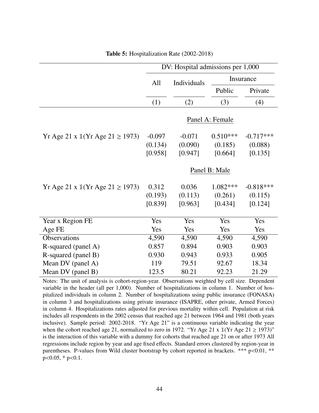|                                                       | DV: Hospital admissions per 1,000 |             |                 |             |  |  |
|-------------------------------------------------------|-----------------------------------|-------------|-----------------|-------------|--|--|
|                                                       | All                               | Individuals |                 | Insurance   |  |  |
|                                                       |                                   |             | Public          | Private     |  |  |
|                                                       | (1)                               | (2)         | (3)             | (4)         |  |  |
|                                                       |                                   |             | Panel A: Female |             |  |  |
| Yr Age 21 x $\mathbb{I}(Yr \text{ Age } 21 \ge 1973)$ | $-0.097$                          | $-0.071$    | $0.510***$      | $-0.717***$ |  |  |
|                                                       | (0.134)                           | (0.090)     | (0.185)         | (0.088)     |  |  |
|                                                       | [0.958]                           | [0.947]     | [0.664]         | [0.135]     |  |  |
|                                                       |                                   |             | Panel B: Male   |             |  |  |
| Yr Age 21 x $\mathbb{I}(Yr \text{ Age } 21 \ge 1973)$ | 0.312                             | 0.036       | 1.082***        | $-0.818***$ |  |  |
|                                                       | (0.193)                           | (0.113)     | (0.261)         | (0.115)     |  |  |
|                                                       | [0.839]                           | [0.963]     | [0.434]         | [0.124]     |  |  |
| Year x Region FE                                      | Yes                               | Yes         | Yes             | Yes         |  |  |
| Age FE                                                | Yes                               | Yes         | Yes             | Yes         |  |  |
| Observations                                          | 4,590                             | 4,590       | 4,590           | 4,590       |  |  |
| R-squared (panel A)                                   | 0.857                             | 0.894       | 0.903           | 0.903       |  |  |
| R-squared (panel B)                                   | 0.930                             | 0.943       | 0.933           | 0.905       |  |  |
| Mean DV (panel A)                                     | 119                               | 79.51       | 92.67           | 18.34       |  |  |
| Mean DV (panel B)                                     | 123.5                             | 80.21       | 92.23           | 21.29       |  |  |

|  | <b>Table 5:</b> Hospitalization Rate (2002-2018) |  |  |
|--|--------------------------------------------------|--|--|
|--|--------------------------------------------------|--|--|

Notes: The unit of analysis is cohort-region-year. Observations weighted by cell size. Dependent variable in the header (all per 1,000). Number of hospitalizations in column 1. Number of hospitalized individuals in column 2. Number of hospitalizations using public insurance (FONASA) in column 3 and hospitalizations using private insurance (ISAPRE, other private, Armed Forces) in column 4. Hospitalizations rates adjusted for previous mortality within cell. Population at risk includes all respondents in the 2002 census that reached age 21 between 1964 and 1981 (both years inclusive). Sample period: 2002-2018. "Yr Age 21" is a continuous variable indicating the year when the cohort reached age 21, normalized to zero in 1972. "Yr Age 21 x  $\mathbb{1}(Yr \text{ Age } 21 \ge 1973)$ " is the interaction of this variable with a dummy for cohorts that reached age 21 on or after 1973 All regressions include region by year and age fixed effects. Standard errors clustered by region-year in parentheses. P-values from Wild cluster bootstrap by cohort reported in brackets. \*\*\* p<0.01, \*\* <sup>p</sup><0.05, \* p<0.1.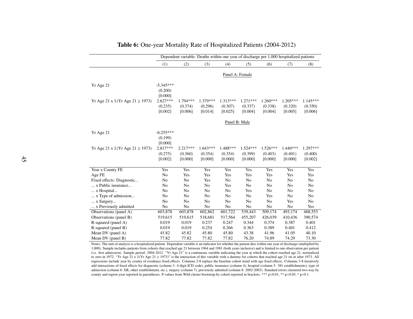|                                                       |                                             | Dependent variable: Deaths within one year of discharge per 1,000 hospitalized patients |                                  |                                  |                                  |                                  |                                  |                                  |
|-------------------------------------------------------|---------------------------------------------|-----------------------------------------------------------------------------------------|----------------------------------|----------------------------------|----------------------------------|----------------------------------|----------------------------------|----------------------------------|
|                                                       | (1)                                         | (2)                                                                                     | (3)                              | (4)                              | (5)                              | (6)                              | (7)                              | (8)                              |
|                                                       |                                             |                                                                                         |                                  | Panel A: Female                  |                                  |                                  |                                  |                                  |
| Yr Age 21                                             | $-5.345***$<br>(0.200)                      |                                                                                         |                                  |                                  |                                  |                                  |                                  |                                  |
| Yr Age 21 x 1(Yr Age 21 ≥ 1973)                       | [0.000]<br>$2.627***$<br>(0.235)<br>[0.002] | 1.794***<br>(0.374)<br>[0.006]                                                          | 1.379***<br>(0.296)<br>[0.014]   | $1.313***$<br>(0.307)<br>[0.025] | $1.271***$<br>(0.337)<br>[0.004] | $1.260***$<br>(0.338)<br>[0.004] | $1.205***$<br>(0.320)<br>[0.005] | $1.145***$<br>(0.350)<br>[0.006] |
|                                                       |                                             |                                                                                         |                                  | Panel B: Male                    |                                  |                                  |                                  |                                  |
| Yr Age 21                                             | $-6.255***$<br>(0.199)                      |                                                                                         |                                  |                                  |                                  |                                  |                                  |                                  |
| Yr Age 21 x $\mathbb{I}(Yr \text{ Age } 21 \ge 1973)$ | [0.000]<br>2.817***<br>(0.275)<br>[0.002]   | $2.217***$<br>(0.360)<br>[0.000]                                                        | $1.643***$<br>(0.354)<br>[0.000] | 1.488***<br>(0.354)<br>[0.000]   | $1.524***$<br>(0.399)<br>[0.000] | $1.526***$<br>(0.403)<br>[0.000] | $1.440***$<br>(0.401)<br>[0.000] | 1.297***<br>(0.400)<br>[0.002]   |
| Year x County FE                                      | Yes                                         | Yes                                                                                     | Yes                              | Yes                              | Yes                              | Yes                              | Yes                              | Yes                              |
| Age FE                                                | No                                          | Yes                                                                                     | Yes                              | Yes                              | Yes                              | Yes                              | Yes                              | Yes                              |
| Fixed effects: Diagnostic                             | No                                          | No                                                                                      | Yes                              | No                               | No                               | No                               | No                               | No                               |
| x Public insurance                                    | No                                          | No                                                                                      | No                               | Yes                              | No                               | No                               | No                               | No                               |
| x Hospital                                            | No                                          | No                                                                                      | No                               | No                               | Yes                              | No                               | No                               | No                               |
| x Type of admission                                   | No                                          | No                                                                                      | No                               | No                               | No                               | Yes                              | No                               | No                               |
| x Surgery                                             | No                                          | No                                                                                      | No                               | No                               | No                               | No                               | Yes                              | No                               |
| x Previously admitted                                 | No                                          | No                                                                                      | No                               | No                               | No                               | No                               | No                               | Yes                              |
| Observations (panel A)                                | 603,878                                     | 603,878                                                                                 | 602,862                          | 601,722                          | 539,443                          | 509,174                          | 493,174                          | 468,553                          |
| Observations (panel B)                                | 519,615                                     | 519,615                                                                                 | 518,681                          | 517,564                          | 455,207                          | 426,039                          | 410,436                          | 390,574                          |
| R-squared (panel A)                                   | 0.019                                       | 0.019                                                                                   | 0.237                            | 0.247                            | 0.344                            | 0.374                            | 0.387                            | 0.401                            |
| R-squared (panel B)                                   | 0.019                                       | 0.019                                                                                   | 0.254                            | 0.266                            | 0.363                            | 0.389                            | 0.401                            | 0.412                            |
| Mean DV (panel A)                                     | 45.82                                       | 45.82                                                                                   | 45.80                            | 45.80                            | 43.38                            | 41.96                            | 41.05                            | 40.10                            |
| Mean DV (panel B)                                     | 77.82                                       | 77.82                                                                                   | 77.82                            | 77.82                            | 76.20                            | 74.89                            | 74.29                            | 73.30                            |

## Table 6: One-year Mortality Rate of Hospitalized Patients (2004-2012)

<span id="page-47-0"></span> Notes: The unit of analysis is <sup>a</sup> hospitalized patient. Dependent variable is an indicator for whether the patient dies within one year of discharge (multiplied by 1,000). Sample includes patients from cohorts that reached age 21 between 1964 and 1981 (both years inclusive) and is limited to one observation per patient (i.e. first admission). Sample period: 2004-2012. "Yr Age 21" is <sup>a</sup> continuous variable indicating the year at which the cohort reached age 21, normalizedto zero in 1972. "Yr Age 21 x 1(Yr Age 21 ≥ 1973)" is the interaction of this variable with a dummy for cohorts that reached age 21 on or after 1973. All<br>recressions include veer by county of recidence fixed effects. Colu regressions include year by county of residence fixed <sup>e</sup>ffects. Columns 2-8 replace the baseline cohort trend with age fixed <sup>e</sup>ffects. Columns 3-8 iteratively add interactions of fixed <sup>e</sup>ffects for diagnostic (column 3: 4-digit ICD code), public insurance (column 4), hospital (column 5: 381 establishments), type of admission (column 6: ER, other establishment, etc.), surgery (column 7), previously admitted (column 8: 2002-2003). Standard errors clustered two-way bycounty and region-year reported in parentheses. P-values from Wild cluster bootstrap by cohort reported in brackets. \*\*\* p<0.01, \*\* p<0.05, \* p<0.1.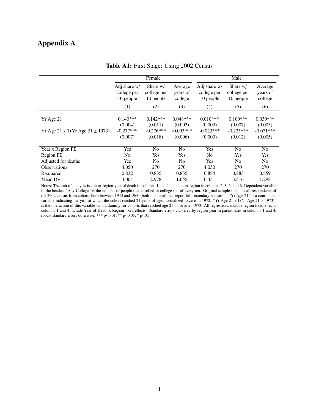# Appendix A

|                                                       | Female                                     |                                      |                                | Male                                     |                                      |                                |  |
|-------------------------------------------------------|--------------------------------------------|--------------------------------------|--------------------------------|------------------------------------------|--------------------------------------|--------------------------------|--|
|                                                       | Adj share $w/$<br>college per<br>10 people | Share w/<br>college per<br>10 people | Average<br>years of<br>college | Adj share w/<br>college per<br>10 people | Share w/<br>college per<br>10 people | Average<br>years of<br>college |  |
|                                                       | (1)                                        | (2)                                  | (3)                            | (4)                                      | (5)                                  | (6)                            |  |
| Yr Age 21                                             | $0.140***$<br>(0.004)                      | $0.142***$<br>(0.011)                | $0.048***$<br>(0.003)          | $0.010***$<br>(0.000)                    | $0.100***$<br>(0.007)                | $0.030***$<br>(0.003)          |  |
| Yr Age 21 x $\mathbb{I}(Yr \text{ Age } 21 \ge 1973)$ | $-0.277***$                                | $-0.276***$                          | $-0.093***$                    | $-0.023***$                              | $-0.225***$                          | $-0.071***$                    |  |
|                                                       | (0.007)                                    | (0.018)                              | (0.006)                        | (0.000)                                  | (0.012)                              | (0.005)                        |  |
| Year x Region FE                                      | Yes                                        | N <sub>0</sub>                       | N <sub>o</sub>                 | Yes                                      | N <sub>o</sub>                       | N <sub>o</sub>                 |  |
| Region FE                                             | N <sub>0</sub>                             | Yes                                  | Yes                            | N <sub>0</sub>                           | Yes                                  | Yes                            |  |
| Adjusted for deaths                                   | Yes                                        | No.                                  | N <sub>0</sub>                 | Yes                                      | N <sub>0</sub>                       | N <sub>0</sub>                 |  |
| <b>Observations</b>                                   | 4,050                                      | 270                                  | 270                            | 4.050                                    | 270                                  | 270                            |  |
| R-squared                                             | 0.832                                      | 0.835                                | 0.835                          | 0.884                                    | 0.883                                | 0.859                          |  |
| Mean DV                                               | 3.004                                      | 2.978                                | 1.055                          | 0.351                                    | 3.516                                | 1.298                          |  |

Table A1: First Stage: Using 2002 Census

Notes: The unit of analysis is cohort-region-year of death in columns 1 and 4, and cohort-region in columns 2, 3, 5, and 6. Dependent variable in the header. "Any College" is the number of people that enrolled in college out of every ten. Original sample includes all respondents of the 2002 census from cohorts born between 1943 and 1960 (both inclusive) that report full secondary education. "Yr Age 21" is a continuous variable indicating the year at which the cohort reached 21 years of age, normalized to zero in 1972. "Yr Age 21 x  $\mathbb{1}(Yr \text{ Age } 21 \ge 1973)$ " is the interaction of this variable with a dummy for cohorts that reached age 21 on or after 1973. All regressions include region fixed effects, columns 1 and 4 include Year of Death x Region fixed effects. Standard errors clustered by region-year in parentheses in columns 1 and 4, robust standard errors otherwise. \*\*\* p<0.01, \*\* p<0.05, \* p<0.1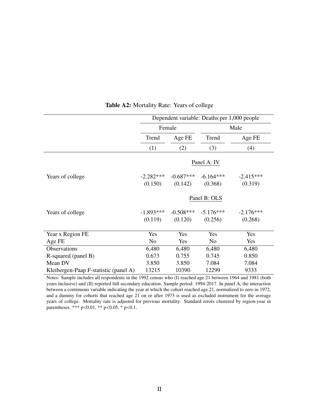|                                       | Dependent variable: Deaths per 1,000 people |             |                |             |  |  |  |
|---------------------------------------|---------------------------------------------|-------------|----------------|-------------|--|--|--|
|                                       |                                             | Female      |                | Male        |  |  |  |
|                                       | Trend                                       | Age FE      | Trend          | Age FE      |  |  |  |
|                                       | (1)                                         | (2)         | (3)            | (4)         |  |  |  |
|                                       |                                             |             | Panel A: IV    |             |  |  |  |
| Years of college                      | $-2.282***$                                 | $-0.687***$ | $-6.164***$    | $-2.415***$ |  |  |  |
|                                       | (0.150)                                     | (0.142)     | (0.368)        | (0.319)     |  |  |  |
|                                       |                                             |             | Panel B: OLS   |             |  |  |  |
| Years of college                      | $-1.893***$                                 | $-0.508***$ | $-5.176***$    | $-2.176***$ |  |  |  |
|                                       | (0.119)                                     | (0.120)     | (0.256)        | (0.268)     |  |  |  |
| Year x Region FE                      | Yes                                         | Yes         | Yes            | Yes         |  |  |  |
| Age FE                                | No                                          | Yes         | N <sub>o</sub> | Yes         |  |  |  |
| Observations                          | 6,480                                       | 6,480       | 6,480          | 6,480       |  |  |  |
| R-squared (panel B)                   | 0.673                                       | 0.755       | 0.745          | 0.850       |  |  |  |
| Mean DV                               | 3.850                                       | 3.850       | 7.084          | 7.084       |  |  |  |
| Kleibergen-Paap F-statistic (panel A) | 13215                                       | 10390       | 12299          | 9333        |  |  |  |

#### Table A2: Mortality Rate: Years of college

Notes: Sample includes all respondents in the 1992 census who (I) reached age 21 between 1964 and 1981 (both years inclusive) and (II) reported full secondary education. Sample period: 1994-2017. In panel A, the interaction between a continuous variable indicating the year at which the cohort reached age 21, normalized to zero in 1972, and a dummy for cohorts that reached age 21 on or after 1973 is used as excluded instrument for the average years of college. Mortality rate is adjusted for previous mortality. Standard errors clustered by region-year in parentheses. \*\*\*  $p < 0.01$ , \*\*  $p < 0.05$ , \*  $p < 0.1$ .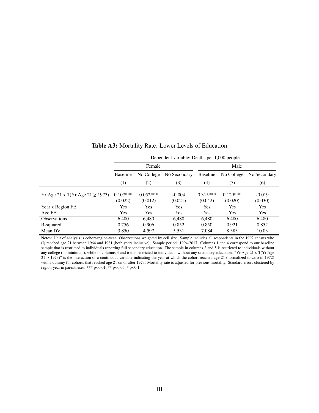|                                                       | Dependent variable: Deaths per 1,000 people |            |              |                 |            |              |  |  |  |  |
|-------------------------------------------------------|---------------------------------------------|------------|--------------|-----------------|------------|--------------|--|--|--|--|
|                                                       |                                             | Female     |              |                 | Male       |              |  |  |  |  |
|                                                       | <b>Baseline</b><br>No College               |            | No Secondary | <b>Baseline</b> | No College | No Secondary |  |  |  |  |
|                                                       | (1)                                         | $\rm(2)$   | (3)          | (4)             | (5)        | (6)          |  |  |  |  |
| Yr Age 21 x $\mathbb{I}(Yr \text{ Age } 21 \ge 1973)$ | $0.107***$                                  | $0.052***$ | $-0.004$     | $0.315***$      | $0.129***$ | $-0.019$     |  |  |  |  |
|                                                       | (0.022)                                     | (0.012)    | (0.021)      | (0.042)         | (0.020)    | (0.030)      |  |  |  |  |
| Year x Region FE                                      | <b>Yes</b>                                  | <b>Yes</b> | Yes          | <b>Yes</b>      | <b>Yes</b> | <b>Yes</b>   |  |  |  |  |
| Age FE                                                | Yes                                         | Yes        | Yes          | Yes             | Yes        | Yes          |  |  |  |  |
| <b>Observations</b>                                   | 6.480                                       | 6.480      | 6.480        | 6.480           | 6.480      | 6.480        |  |  |  |  |
| R-squared                                             | 0.756                                       | 0.906      | 0.852        | 0.850           | 0.921      | 0.852        |  |  |  |  |
| Mean DV                                               | 3.850                                       | 4.597      | 5.531        | 7.084           | 8.383      | 10.03        |  |  |  |  |

## Table A3: Mortality Rate: Lower Levels of Education

Notes: Unit of analysis is cohort-region-year. Observations weighted by cell size. Sample includes all respondents in the 1992 census who (I) reached age 21 between 1964 and 1981 (both years inclusive). Sample period: 1994-2017. Columns 1 and 4 correspond to our baseline sample that is restricted to individuals reporting full secondary education. The sample in columns 2 and 5 is restricted to individuals without any college (no minimum), while in columns 3 and 6 it is restricted to individuals without any secondary education. "Yr Age 21 x 1(Yr Age  $21 \ge 1973$ )" is the interaction of a continuous variable indicating the year at which the cohort reached age 21 (normalized to zero in 1972) with a dummy for cohorts that reached age 21 on or after 1973. Mortality rate is adjusted for previous mortality. Standard errors clustered by region-year in parentheses. \*\*\* p<0.01, \*\* p<0.05, \* p<0.1.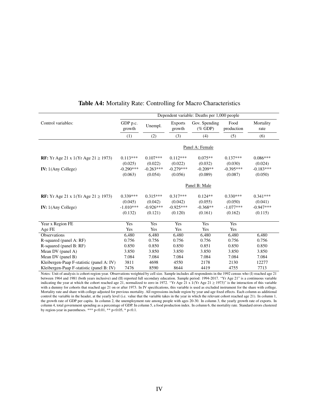|                                                                  | Dependent variable: Deaths per 1,000 people |                                   |                                   |                                  |                                   |                                   |  |
|------------------------------------------------------------------|---------------------------------------------|-----------------------------------|-----------------------------------|----------------------------------|-----------------------------------|-----------------------------------|--|
| Control variables:                                               | GDP p.c.<br>growth                          | Unempl.                           | <b>Exports</b><br>growth          | Gov. Spending<br>$(\%$ GDP)      | Food<br>production                | Mortality<br>rate                 |  |
|                                                                  | (1)                                         | (2)                               | (3)                               | (4)                              | (5)                               | (6)                               |  |
|                                                                  |                                             |                                   |                                   | Panel A: Female                  |                                   |                                   |  |
| <b>RF:</b> Yr Age 21 x $1$ (Yr Age 21 $\ge$ 1973)                | $0.113***$<br>(0.025)                       | $0.107***$<br>(0.022)             | $0.112***$<br>(0.022)             | $0.075**$<br>(0.032)             | $0.137***$<br>(0.030)             | $0.086***$<br>(0.024)             |  |
| <b>IV:</b> $\mathbb{I}$ (Any College)                            | $-0.290***$<br>(0.063)                      | $-0.263***$<br>(0.054)            | $-0.279***$<br>(0.056)            | $-0.209**$<br>(0.089)            | $-0.395***$<br>(0.087)            | $-0.183***$<br>(0.050)            |  |
|                                                                  |                                             |                                   |                                   | Panel B: Male                    |                                   |                                   |  |
| <b>RF:</b> Yr Age 21 x $\mathbb{I}(Yr \text{ Age } 21 \ge 1973)$ | $0.339***$                                  | $0.315***$                        | $0.317***$                        | $0.124**$                        | $0.330***$                        | $0.341***$                        |  |
| <b>IV:</b> $\mathbb{I}$ (Any College)                            | (0.045)<br>$-1.010***$<br>(0.132)           | (0.042)<br>$-0.926***$<br>(0.121) | (0.042)<br>$-0.925***$<br>(0.120) | (0.055)<br>$-0.368**$<br>(0.161) | (0.050)<br>$-1.077***$<br>(0.162) | (0.041)<br>$-0.947***$<br>(0.115) |  |
| Year x Region FE                                                 | Yes                                         | Yes                               | Yes                               | Yes                              | Yes                               |                                   |  |
| Age FE                                                           | Yes                                         | Yes                               | Yes                               | Yes                              | Yes                               |                                   |  |
| <b>Observations</b>                                              | 6,480                                       | 6,480                             | 6,480                             | 6,480                            | 6,480                             | 6,480                             |  |
| R-squared (panel A: RF)                                          | 0.756                                       | 0.756                             | 0.756                             | 0.756                            | 0.756                             | 0.756                             |  |
| R-squared (panel B: RF)                                          | 0.850                                       | 0.850                             | 0.850                             | 0.851                            | 0.850                             | 0.850                             |  |
| Mean DV (panel A)                                                | 3.850                                       | 3.850                             | 3.850                             | 3.850                            | 3.850                             | 3.850                             |  |
| Mean DV (panel B)                                                | 7.084                                       | 7.084                             | 7.084                             | 7.084                            | 7.084                             | 7.084                             |  |
| Kleibergen-Paap F-statistic (panel A: IV)                        | 3811                                        | 4698                              | 4550                              | 2178                             | 2130                              | 12277                             |  |
| Kleibergen-Paap F-statistic (panel B: IV)                        | 7476                                        | 8590                              | 8644                              | 4419                             | 4755                              | 7713                              |  |

## Table A4: Mortality Rate: Controlling for Macro Characteristics

Notes: Unit of analysis is cohort-region-year. Observations weighted by cell size. Sample includes all respondents in the 1992 census who (I) reached age 21 between 1964 and 1981 (both years inclusive) and (II) reported full secondary education. Sample period: 1994-2017. "Yr Age 21" is a continuous variable indicating the year at which the cohort reached age 21, normalized to zero in 1972. "Yr Age 21 x 1(Yr Age 21 ≥ 1973)" is the interaction of this variable with a dummy for cohorts that reached age 21 on or after 1973. In IV specifications, this variable is used as excluded instrument for the share with college. Mortality rate and share with college adjusted for previous mortality. All regressions include region by year and age fixed effects. Each column as additional control the variable in the header, at the yearly level (i.e. value that the variable takes in the year in which the relevant cohort reached age 21). In column 1, the growth rate of GDP per capita. In column 2, the unemployment rate among people with ages 20-30. In column 3, the yearly growth rate of exports. In column 4, total government spending as a percentage of GDP. In column 5, a food production index. In column 6, the mortality rate. Standard errors clustered by region-year in parentheses. \*\*\*  $p < 0.01$ , \*\*  $p < 0.05$ , \*  $p < 0.1$ .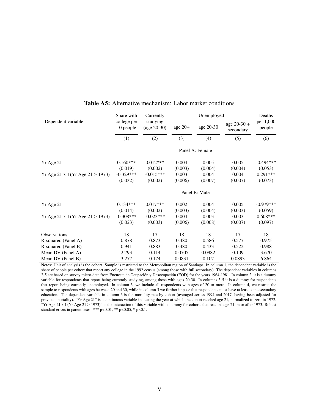|                                              | Share with               | Currently                 |           |                 | Unemployed                 |                     |  |
|----------------------------------------------|--------------------------|---------------------------|-----------|-----------------|----------------------------|---------------------|--|
| Dependent variable:                          | college per<br>10 people | studying<br>$(age 20-30)$ | age $20+$ | age 20-30       | age $20-30 +$<br>secondary | per 1,000<br>people |  |
|                                              | (1)                      | (2)                       | (3)       | (4)             | (5)                        | (6)                 |  |
|                                              |                          |                           |           | Panel A: Female |                            |                     |  |
| Yr Age 21                                    | $0.160***$               | $0.012***$                | 0.004     | 0.005           | 0.005                      | $-0.494***$         |  |
|                                              | (0.019)                  | (0.002)                   | (0.003)   | (0.004)         | (0.004)                    | (0.053)             |  |
| Yr Age 21 x $1$ (Yr Age 21 $\ge$ 1973)       | $-0.329***$              | $-0.015***$               | 0.003     | 0.004           | 0.004                      | $0.291***$          |  |
|                                              | (0.032)                  | (0.002)                   | (0.006)   | (0.007)         | (0.007)                    | (0.073)             |  |
|                                              |                          |                           |           | Panel B: Male   |                            |                     |  |
| Yr Age 21                                    | $0.134***$               | $0.017***$                | 0.002     | 0.004           | 0.005                      | $-0.979***$         |  |
|                                              | (0.014)                  | (0.002)                   | (0.003)   | (0.004)         | (0.003)                    | (0.059)             |  |
| Yr Age 21 x $1(Yr \text{ Age } 21 \ge 1973)$ | $-0.308***$              | $-0.023***$               | 0.004     | 0.003           | 0.003                      | $0.608***$          |  |
|                                              | (0.023)                  | (0.003)                   | (0.006)   | (0.008)         | (0.007)                    | (0.097)             |  |
| <b>Observations</b>                          | 18                       | 17                        | 18        | 18              | 17                         | 18                  |  |
| R-squared (Panel A)                          | 0.878                    | 0.873                     | 0.480     | 0.586           | 0.577                      | 0.975               |  |
| R-squared (Panel B)                          | 0.941                    | 0.883                     | 0.480     | 0.433           | 0.522                      | 0.988               |  |
| Mean DV (Panel A)                            | 2.793                    | 0.114                     | 0.0705    | 0.0982          | 0.109                      | 3.670               |  |
| Mean DV (Panel B)                            | 3.277                    | 0.174                     | 0.0831    | 0.107           | 0.0893                     | 6.864               |  |

## Table A5: Alternative mechanism: Labor market conditions

Notes: Unit of analysis is the cohort. Sample is restricted to the Metropolitan region of Santiago. In column 1, the dependent variable is the share of people per cohort that report any college in the 1992 census (among those with full secondary). The dependent variables in columns 2-5 are based on survey micro-data from Encuesta de Ocupación y Desocupación (EOD) for the years 1964-1981. In column 2, it is a dummy variable for respondents that report being currently studying, among those with ages 20-30. In columns 3-5 it is a dummy for respondents that report being currently unemployed. In column 3, we include all respondents with ages of 20 or more. In column 4, we restrict the sample to respondents with ages between 20 and 30, while in column 5 we further impose that respondents must have at least some secondary education. The dependent variable in column 6 is the mortality rate by cohort (averaged across 1994 and 2017, having been adjusted for previous mortality). "Yr Age 21" is a continuous variable indicating the year at which the cohort reached age 21, normalized to zero in 1972. "Yr Age 21 x  $\mathbb{1}(Yr)$  Age 21  $\geq$  1973)" is the interaction of this variable with a dummy for cohorts that reached age 21 on or after 1973. Robust standard errors in parentheses. \*\*\*  $p<0.01$ , \*\*  $p<0.05$ , \*  $p<0.1$ .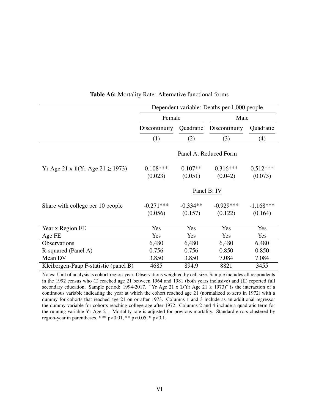|                                              | Dependent variable: Deaths per 1,000 people |            |                       |             |  |  |
|----------------------------------------------|---------------------------------------------|------------|-----------------------|-------------|--|--|
|                                              | Female                                      |            | Male                  |             |  |  |
|                                              | Discontinuity                               | Quadratic  | Discontinuity         | Quadratic   |  |  |
|                                              | (1)                                         | (2)        | (3)                   | (4)         |  |  |
|                                              |                                             |            | Panel A: Reduced Form |             |  |  |
| Yr Age 21 x $1(Yr \text{ Age } 21 \ge 1973)$ | $0.108***$                                  | $0.107**$  | $0.316***$            | $0.512***$  |  |  |
|                                              | (0.023)                                     | (0.051)    | (0.042)               | (0.073)     |  |  |
|                                              |                                             |            | Panel B: IV           |             |  |  |
| Share with college per 10 people             | $-0.271***$                                 | $-0.334**$ | $-0.929***$           | $-1.168***$ |  |  |
|                                              | (0.056)                                     | (0.157)    | (0.122)               | (0.164)     |  |  |
| Year x Region FE                             | Yes                                         | Yes        | Yes                   | Yes         |  |  |
| Age FE                                       | Yes                                         | Yes        | Yes                   | Yes         |  |  |
| Observations                                 | 6,480                                       | 6,480      | 6,480                 | 6,480       |  |  |
| R-squared (Panel A)                          | 0.756                                       | 0.756      | 0.850                 | 0.850       |  |  |
| Mean DV                                      | 3.850                                       | 3.850      | 7.084                 | 7.084       |  |  |
| Kleibergen-Paap F-statistic (panel B)        | 4685                                        | 894.9      | 8821                  | 3455        |  |  |

Table A6: Mortality Rate: Alternative functional forms

Notes: Unit of analysis is cohort-region-year. Observations weighted by cell size. Sample includes all respondents in the 1992 census who (I) reached age 21 between 1964 and 1981 (both years inclusive) and (II) reported full secondary education. Sample period: 1994-2017. "Yr Age 21 x  $\mathbb{I}(Yr \text{ Age } 21 \ge 1973)$ " is the interaction of a continuous variable indicating the year at which the cohort reached age 21 (normalized to zero in 1972) with a dummy for cohorts that reached age 21 on or after 1973. Columns 1 and 3 include as an additional regressor the dummy variable for cohorts reaching college age after 1972. Columns 2 and 4 include a quadratic term for the running variable Yr Age 21. Mortality rate is adjusted for previous mortality. Standard errors clustered by region-year in parentheses. \*\*\* p<0.01, \*\* p<0.05, \* p<0.1.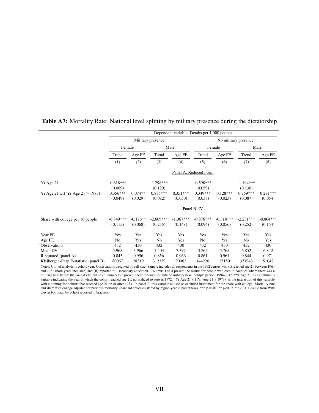|                                                       | Dependent variable: Deaths per 1,000 people |                       |                        |                        |                        |                        |                        |                        |
|-------------------------------------------------------|---------------------------------------------|-----------------------|------------------------|------------------------|------------------------|------------------------|------------------------|------------------------|
|                                                       |                                             |                       | Military presence      |                        | No military presence   |                        |                        |                        |
|                                                       | Female                                      |                       |                        | Male                   |                        | Female                 |                        | Male                   |
|                                                       | Trend                                       | Age FE                | Trend                  | Age FE                 | Trend                  |                        | Trend                  | Age FE                 |
|                                                       | (1)                                         | (2)                   | (3)                    | (4)                    | (5)                    | (6)                    | (7)                    | (8)                    |
|                                                       | Panel A: Reduced Form                       |                       |                        |                        |                        |                        |                        |                        |
| Yr Age 21                                             | $-0.618***$<br>(0.069)                      |                       | $-1.298***$<br>(0.129) |                        | $-0.598***$<br>(0.059) |                        | $-1.194***$<br>(0.130) |                        |
| Yr Age 21 x $\mathbb{I}(Yr \text{ Age } 21 \ge 1973)$ | $0.356***$<br>(0.049)                       | $0.074**$<br>(0.029)  | $0.835***$<br>(0.082)  | $0.351***$<br>(0.050)  | $0.349***$<br>(0.038)  | $0.128***$<br>(0.023)  | $0.759***$<br>(0.087)  | $0.281***$<br>(0.054)  |
|                                                       | Panel B: IV                                 |                       |                        |                        |                        |                        |                        |                        |
| Share with college per 10 people                      | $-0.849***$<br>(0.115)                      | $-0.176**$<br>(0.068) | $-2.609***$<br>(0.255) | $-1.067***$<br>(0.148) | $-0.876***$<br>(0.094) | $-0.318***$<br>(0.056) | $-2.231***$<br>(0.252) | $-0.804***$<br>(0.154) |
| Year FE                                               | Yes                                         | Yes                   | Yes                    | Yes                    | Yes                    | Yes                    | Yes                    | Yes                    |
| Age FE                                                | No                                          | Yes                   | No                     | Yes                    | No                     | Yes                    | No                     | Yes                    |
| Observations                                          | 432                                         | 430                   | 432                    | 430                    | 432                    | 430                    | 432                    | 430                    |
| Mean DV                                               | 3.968                                       | 3.966                 | 7.403                  | 7.397                  | 3.765                  | 3.765                  | 6.852                  | 6.842                  |
| R-squared (panel A)                                   | 0.845                                       | 0.956                 | 0.856                  | 0.966                  | 0.861                  | 0.961                  | 0.844                  | 0.971                  |
| Kleibergen-Paap F-statistic (panel B)                 | 80067                                       | 28319                 | 312339                 | 90062                  | 144220                 | 25150                  | 377943                 | 51042                  |

# Table A7: Mortality Rate: National level splitting by military presence during the dictatorship

Notes: Unit of analysis is cohort-year. Observations weighted by cell size. Sample includes all respondents in the 1992 census who (I) reached age 21 between 1964 and 1981 (both years inclusive) and (II) reported full secondary education. Columns 1 to 4 present the results for people who died in counties where there was a military base before the coup d'etat, while columns 5 to 8 present them for counties with no military base. Sample period: 1994-2017. "Yr Age 21" is a continuous variable indicating the year at which the cohort reached age 21, normalized to zero in 1972. "Yr Age 21 x 1(Yr Age 21 ≥ 1973)" is the interaction of this variable with a dummy for cohorts that reached age 21 on or after 1973. In panel B, this variable is used as excluded instrument for the share with college. Mortality rate and share with college adjusted for previous mortality. Standard errors clustered by region-year in parentheses. \*\*\* p<0.01, \*\* p<0.05, \* p<0.1. P-value from Wild cluster bootstrap by cohort reported in brackets.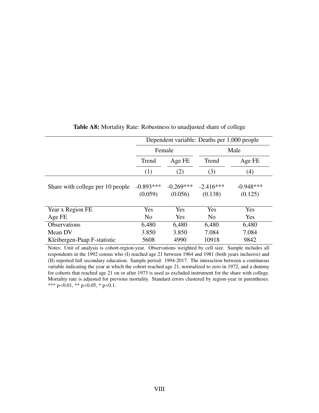|                                  | Dependent variable: Deaths per 1,000 people |             |                |             |  |  |  |  |
|----------------------------------|---------------------------------------------|-------------|----------------|-------------|--|--|--|--|
|                                  |                                             | Female      |                | Male        |  |  |  |  |
|                                  | Trend                                       | Age FE      |                | Age FE      |  |  |  |  |
|                                  | (1)                                         | (2)         | (3)            | (4)         |  |  |  |  |
| Share with college per 10 people | $-0.893***$                                 | $-0.269***$ | $-2.416***$    | $-0.948***$ |  |  |  |  |
|                                  | (0.059)                                     | (0.056)     | (0.138)        | (0.125)     |  |  |  |  |
| Year x Region FE                 | Yes                                         | Yes         | Yes            | Yes         |  |  |  |  |
| Age FE                           | N <sub>0</sub>                              | Yes         | N <sub>0</sub> | Yes         |  |  |  |  |
| Observations                     | 6,480                                       | 6,480       | 6,480          | 6,480       |  |  |  |  |
| Mean DV                          | 3.850                                       | 3.850       | 7.084          | 7.084       |  |  |  |  |
| Kleibergen-Paap F-statistic      | 5608                                        | 4990        | 10918          | 9842        |  |  |  |  |

# Table A8: Mortality Rate: Robustness to unadjusted share of college

Notes: Unit of analysis is cohort-region-year. Observations weighted by cell size. Sample includes all respondents in the 1992 census who (I) reached age 21 between 1964 and 1981 (both years inclusive) and (II) reported full secondary education. Sample period: 1994-2017. The interaction between a continuous variable indicating the year at which the cohort reached age 21, normalized to zero in 1972, and a dummy for cohorts that reached age 21 on or after 1973 is used as excluded instrument for the share with college. Mortality rate is adjusted for previous mortality. Standard errors clustered by region-year in parentheses. \*\*\* p<0.01, \*\* p<0.05, \* p<0.1.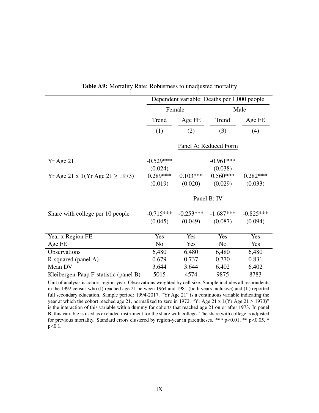|                                                       | Dependent variable: Deaths per 1,000 people |             |                       |             |  |  |
|-------------------------------------------------------|---------------------------------------------|-------------|-----------------------|-------------|--|--|
|                                                       |                                             | Female      |                       | Male        |  |  |
|                                                       | Trend                                       | Age FE      | Trend                 | Age FE      |  |  |
|                                                       | (1)                                         | (2)         | (3)                   | (4)         |  |  |
|                                                       |                                             |             | Panel A: Reduced Form |             |  |  |
| Yr Age 21                                             | $-0.529***$                                 |             | $-0.961***$           |             |  |  |
|                                                       | (0.024)                                     |             | (0.038)               |             |  |  |
| Yr Age 21 x $\mathbb{I}(Yr \text{ Age } 21 \ge 1973)$ | $0.289***$                                  | $0.103***$  | $0.560***$            | $0.282***$  |  |  |
|                                                       | (0.019)                                     | (0.020)     | (0.029)               | (0.033)     |  |  |
|                                                       |                                             |             | Panel B: IV           |             |  |  |
| Share with college per 10 people                      | $-0.715***$                                 | $-0.253***$ | $-1.687***$           | $-0.825***$ |  |  |
|                                                       | (0.045)                                     | (0.049)     | (0.087)               | (0.094)     |  |  |
| Year x Region FE                                      | Yes                                         | Yes         | Yes                   | Yes         |  |  |
| Age FE                                                | N <sub>o</sub>                              | Yes         | N <sub>0</sub>        | Yes         |  |  |
| Observations                                          | 6,480                                       | 6,480       | 6,480                 | 6,480       |  |  |
| R-squared (panel A)                                   | 0.679                                       | 0.737       | 0.770                 | 0.831       |  |  |
| Mean DV                                               | 3.644                                       | 3.644       | 6.402                 | 6.402       |  |  |
| Kleibergen-Paap F-statistic (panel B)                 | 5015                                        | 4574        | 9875                  | 8783        |  |  |

Table A9: Mortality Rate: Robustness to unadjusted mortality

Unit of analysis is cohort-region-year. Observations weighted by cell size. Sample includes all respondents in the 1992 census who (I) reached age 21 between 1964 and 1981 (both years inclusive) and (II) reported full secondary education. Sample period: 1994-2017. "Yr Age 21" is a continuous variable indicating the year at which the cohort reached age 21, normalized to zero in 1972. "Yr Age 21 x  $\mathbb{1}(Yr \text{ Age } 21 \ge 1973)$ " is the interaction of this variable with a dummy for cohorts that reached age 21 on or after 1973. In panel B, this variable is used as excluded instrument for the share with college. The share with college is adjusted for previous mortality. Standard errors clustered by region-year in parentheses. \*\*\* p<0.01, \*\* p<0.05, \*  $p < 0.1$ .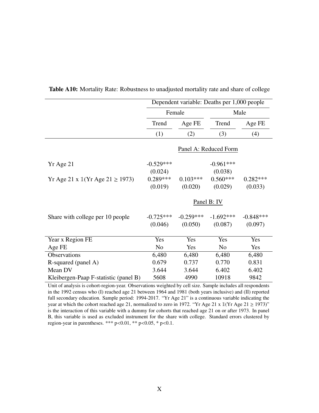|                                                       | Dependent variable: Deaths per 1,000 people |             |                       |             |  |  |
|-------------------------------------------------------|---------------------------------------------|-------------|-----------------------|-------------|--|--|
|                                                       |                                             | Female      |                       | Male        |  |  |
|                                                       | Trend                                       | Age FE      | Trend                 | Age FE      |  |  |
|                                                       | (1)                                         | (2)         | (3)                   | (4)         |  |  |
|                                                       |                                             |             | Panel A: Reduced Form |             |  |  |
| Yr Age 21                                             | $-0.529***$                                 |             | $-0.961***$           |             |  |  |
|                                                       | (0.024)                                     |             | (0.038)               |             |  |  |
| Yr Age 21 x $\mathbb{I}(Yr \text{ Age } 21 \ge 1973)$ | $0.289***$                                  | $0.103***$  | $0.560***$            | $0.282***$  |  |  |
|                                                       | (0.019)                                     | (0.020)     | (0.029)               | (0.033)     |  |  |
|                                                       |                                             |             | Panel B: IV           |             |  |  |
| Share with college per 10 people                      | $-0.725***$                                 | $-0.259***$ | $-1.692***$           | $-0.848***$ |  |  |
|                                                       | (0.046)                                     | (0.050)     | (0.087)               | (0.097)     |  |  |
| Year x Region FE                                      | Yes                                         | Yes         | Yes                   | Yes         |  |  |
| Age FE                                                | N <sub>o</sub>                              | Yes         | N <sub>0</sub>        | Yes         |  |  |
| Observations                                          | 6,480                                       | 6,480       | 6,480                 | 6,480       |  |  |
| R-squared (panel A)                                   | 0.679                                       | 0.737       | 0.770                 | 0.831       |  |  |
| Mean DV                                               | 3.644                                       | 3.644       | 6.402                 | 6.402       |  |  |
| Kleibergen-Paap F-statistic (panel B)                 | 5608                                        | 4990        | 10918                 | 9842        |  |  |

Table A10: Mortality Rate: Robustness to unadjusted mortality rate and share of college

Unit of analysis is cohort-region-year. Observations weighted by cell size. Sample includes all respondents in the 1992 census who (I) reached age 21 between 1964 and 1981 (both years inclusive) and (II) reported full secondary education. Sample period: 1994-2017. "Yr Age 21" is a continuous variable indicating the year at which the cohort reached age 21, normalized to zero in 1972. "Yr Age 21 x  $\mathbb{1}(Yr \text{ Age } 21 \ge 1973)$ " is the interaction of this variable with a dummy for cohorts that reached age 21 on or after 1973. In panel B, this variable is used as excluded instrument for the share with college. Standard errors clustered by region-year in parentheses. \*\*\*  $p < 0.01$ , \*\*  $p < 0.05$ , \*  $p < 0.1$ .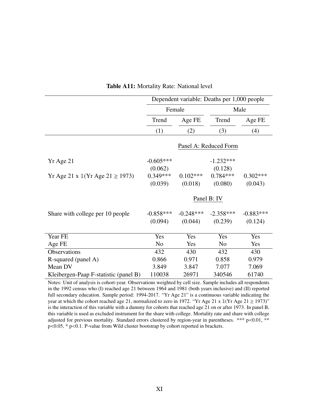|                                                       | Dependent variable: Deaths per 1,000 people |             |                       |             |  |  |
|-------------------------------------------------------|---------------------------------------------|-------------|-----------------------|-------------|--|--|
|                                                       |                                             | Female      |                       | Male        |  |  |
|                                                       | Trend                                       | Age FE      | Trend                 | Age FE      |  |  |
|                                                       | (1)                                         | (2)         | (3)                   | (4)         |  |  |
|                                                       |                                             |             | Panel A: Reduced Form |             |  |  |
| Yr Age 21                                             | $-0.605***$                                 |             | $-1.232***$           |             |  |  |
|                                                       | (0.062)                                     |             | (0.128)               |             |  |  |
| Yr Age 21 x $\mathbb{I}(Yr \text{ Age } 21 \ge 1973)$ | $0.349***$                                  | $0.102***$  | $0.784***$            | $0.302***$  |  |  |
|                                                       | (0.039)                                     | (0.018)     | (0.080)               | (0.043)     |  |  |
|                                                       |                                             |             | Panel B: IV           |             |  |  |
| Share with college per 10 people                      | $-0.858***$                                 | $-0.248***$ | $-2.358***$           | $-0.883***$ |  |  |
|                                                       | (0.094)                                     | (0.044)     | (0.239)               | (0.124)     |  |  |
| Year FE                                               | Yes                                         | Yes         | Yes                   | Yes         |  |  |
| Age FE                                                | N <sub>0</sub>                              | Yes         | N <sub>0</sub>        | Yes         |  |  |
| Observations                                          | 432                                         | 430         | 432                   | 430         |  |  |
| R-squared (panel A)                                   | 0.866                                       | 0.971       | 0.858                 | 0.979       |  |  |
| Mean DV                                               | 3.849                                       | 3.847       | 7.077                 | 7.069       |  |  |
| Kleibergen-Paap F-statistic (panel B)                 | 110038                                      | 26971       | 340546                | 61740       |  |  |

#### Table A11: Mortality Rate: National level

Notes: Unit of analysis is cohort-year. Observations weighted by cell size. Sample includes all respondents in the 1992 census who (I) reached age 21 between 1964 and 1981 (both years inclusive) and (II) reported full secondary education. Sample period: 1994-2017. "Yr Age 21" is a continuous variable indicating the year at which the cohort reached age 21, normalized to zero in 1972. "Yr Age 21 x  $\mathbb{1}(Yr \text{ Age } 21 \ge 1973)$ " is the interaction of this variable with a dummy for cohorts that reached age 21 on or after 1973. In panel B, this variable is used as excluded instrument for the share with college. Mortality rate and share with college adjusted for previous mortality. Standard errors clustered by region-year in parentheses. \*\*\* p<0.01, \*\* <sup>p</sup><0.05, \* p<0.1. P-value from Wild cluster bootstrap by cohort reported in brackets.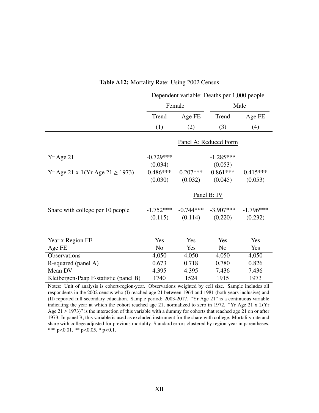|                                              | Dependent variable: Deaths per 1,000 people |             |                       |             |  |  |
|----------------------------------------------|---------------------------------------------|-------------|-----------------------|-------------|--|--|
|                                              |                                             | Female      |                       | Male        |  |  |
|                                              | Trend                                       | Age FE      | Trend                 | Age FE      |  |  |
|                                              | (1)                                         | (2)         | (3)                   | (4)         |  |  |
|                                              |                                             |             | Panel A: Reduced Form |             |  |  |
| Yr Age 21                                    | $-0.729***$                                 |             | $-1.285***$           |             |  |  |
|                                              | (0.034)                                     |             | (0.053)               |             |  |  |
| Yr Age 21 x $1(Yr \text{ Age } 21 \ge 1973)$ | $0.486***$                                  | $0.207***$  | $0.861***$            | $0.415***$  |  |  |
|                                              | (0.030)                                     | (0.032)     | (0.045)               | (0.053)     |  |  |
|                                              |                                             |             | Panel B: IV           |             |  |  |
| Share with college per 10 people             | $-1.752***$                                 | $-0.744***$ | $-3.907***$           | $-1.796***$ |  |  |
|                                              | (0.115)                                     | (0.114)     | (0.220)               | (0.232)     |  |  |
|                                              |                                             |             |                       |             |  |  |
| Year x Region FE                             | Yes                                         | Yes         | Yes                   | Yes         |  |  |
| Age FE                                       | N <sub>o</sub>                              | Yes         | N <sub>o</sub>        | Yes         |  |  |
| Observations                                 | 4,050                                       | 4,050       | 4,050                 | 4,050       |  |  |
| R-squared (panel A)                          | 0.673                                       | 0.718       | 0.780                 | 0.826       |  |  |
| Mean DV                                      | 4.395                                       | 4.395       | 7.436                 | 7.436       |  |  |
| Kleibergen-Paap F-statistic (panel B)        | 1740                                        | 1524        | 1915                  | 1973        |  |  |

Table A12: Mortality Rate: Using 2002 Census

Notes: Unit of analysis is cohort-region-year. Observations weighted by cell size. Sample includes all respondents in the 2002 census who (I) reached age 21 between 1964 and 1981 (both years inclusive) and (II) reported full secondary education. Sample period: 2003-2017. "Yr Age 21" is a continuous variable indicating the year at which the cohort reached age 21, normalized to zero in 1972. "Yr Age 21 x 1(Yr Age  $21 \ge 1973$ )" is the interaction of this variable with a dummy for cohorts that reached age 21 on or after 1973. In panel B, this variable is used as excluded instrument for the share with college. Mortality rate and share with college adjusted for previous mortality. Standard errors clustered by region-year in parentheses. \*\*\* p<0.01, \*\* p<0.05, \* p<0.1.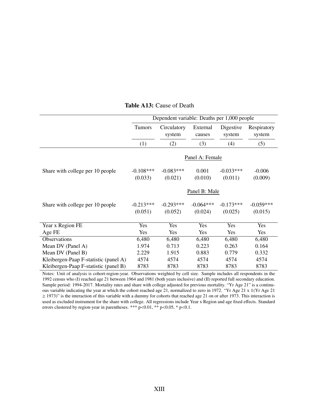|                                       | Dependent variable: Deaths per 1,000 people |                       |                    |                     |                       |  |  |
|---------------------------------------|---------------------------------------------|-----------------------|--------------------|---------------------|-----------------------|--|--|
|                                       | <b>Tumors</b>                               | Circulatory<br>system | External<br>causes | Digestive<br>system | Respiratory<br>system |  |  |
|                                       | (1)                                         | (2)                   | (3)                | (4)                 | (5)                   |  |  |
|                                       |                                             |                       | Panel A: Female    |                     |                       |  |  |
| Share with college per 10 people      | $-0.108***$                                 | $-0.083***$           | 0.001              | $-0.033***$         | $-0.006$              |  |  |
|                                       | (0.033)                                     | (0.021)               | (0.010)            | (0.011)             | (0.009)               |  |  |
|                                       |                                             |                       | Panel B: Male      |                     |                       |  |  |
| Share with college per 10 people      | $-0.213***$                                 | $-0.293***$           | $-0.064***$        | $-0.173***$         | $-0.059***$           |  |  |
|                                       | (0.051)                                     | (0.052)               | (0.024)            | (0.025)             | (0.015)               |  |  |
| Year x Region FE                      | Yes                                         | Yes                   | Yes                | Yes                 | Yes                   |  |  |
| Age FE                                | Yes                                         | Yes                   | Yes                | Yes                 | Yes                   |  |  |
| Observations                          | 6,480                                       | 6,480                 | 6,480              | 6,480               | 6,480                 |  |  |
| Mean DV (Panel A)                     | 1.974                                       | 0.713                 | 0.223              | 0.263               | 0.164                 |  |  |
| Mean DV (Panel B)                     | 2.229                                       | 1.915                 | 0.883              | 0.779               | 0.332                 |  |  |
| Kleibergen-Paap F-statistic (panel A) | 4574                                        | 4574                  | 4574               | 4574                | 4574                  |  |  |
| Kleibergen-Paap F-statistic (panel B) | 8783                                        | 8783                  | 8783               | 8783                | 8783                  |  |  |

## Table A13: Cause of Death

Notes: Unit of analysis is cohort-region-year. Observations weighted by cell size. Sample includes all respondents in the 1992 census who (I) reached age 21 between 1964 and 1981 (both years inclusive) and (II) reported full secondary education. Sample period: 1994-2017. Mortality rates and share with college adjusted for previous mortality. "Yr Age 21" is a continuous variable indicating the year at which the cohort reached age 21, normalized to zero in 1972. "Yr Age 21 x 1(Yr Age 21  $\geq$  1973)" is the interaction of this variable with a dummy for cohorts that reached age 21 on or after 1973. This interaction is used as excluded instrument for the share with college. All regressions include Year x Region and age fixed effects. Standard errors clustered by region-year in parentheses. \*\*\* p<0.01, \*\* p<0.05, \* p<0.1.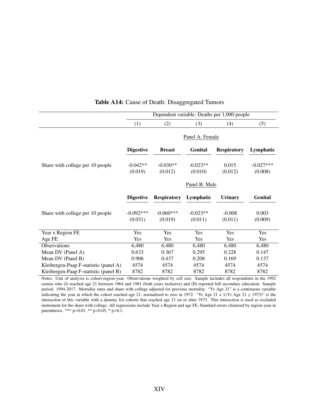|                                       | Dependent variable: Deaths per 1,000 people |                        |                       |                     |                        |  |  |
|---------------------------------------|---------------------------------------------|------------------------|-----------------------|---------------------|------------------------|--|--|
|                                       | (1)                                         | (2)                    | (3)                   | (4)                 | (5)                    |  |  |
|                                       |                                             |                        | Panel A: Female       |                     |                        |  |  |
|                                       | <b>Digestive</b>                            | <b>Breast</b>          | <b>Genital</b>        | <b>Respiratory</b>  | Lymphatic              |  |  |
| Share with college per 10 people      | $-0.042**$<br>(0.019)                       | $-0.030**$<br>(0.012)  | $-0.023**$<br>(0.010) | 0.015<br>(0.012)    | $-0.027***$<br>(0.008) |  |  |
|                                       |                                             |                        | Panel B: Male         |                     |                        |  |  |
|                                       | <b>Digestive</b>                            | <b>Respiratory</b>     | Lymphatic             | <b>Urinary</b>      | <b>Genital</b>         |  |  |
| Share with college per 10 people      | $-0.092***$<br>(0.031)                      | $-0.060***$<br>(0.019) | $-0.023**$<br>(0.011) | $-0.008$<br>(0.011) | 0.003<br>(0.009)       |  |  |
| Year x Region FE                      | Yes                                         | Yes                    | Yes                   | Yes                 | Yes                    |  |  |
| Age FE                                | Yes                                         | Yes                    | Yes                   | Yes                 | Yes                    |  |  |
| Observations                          | 6,480                                       | 6,480                  | 6,480                 | 6,480               | 6,480                  |  |  |
| Mean DV (Panel A)                     | 0.633                                       | 0.367                  | 0.295                 | 0.228               | 0.147                  |  |  |
| Mean DV (Panel B)                     | 0.906                                       | 0.437                  | 0.208                 | 0.169               | 0.137                  |  |  |
| Kleibergen-Paap F-statistic (panel A) | 4574                                        | 4574                   | 4574                  | 4574                | 4574                   |  |  |
| Kleibergen-Paap F-statistic (panel B) | 8782                                        | 8782                   | 8782                  | 8782                | 8782                   |  |  |

### Table A14: Cause of Death: Disaggregated Tumors

Notes: Unit of analysis is cohort-region-year. Observations weighted by cell size. Sample includes all respondents in the 1992 census who (I) reached age 21 between 1964 and 1981 (both years inclusive) and (II) reported full secondary education. Sample period: 1994-2017. Mortality rates and share with college adjusted for previous mortality. "Yr Age 21" is a continuous variable indicating the year at which the cohort reached age 21, normalized to zero in 1972. "Yr Age 21 x  $\mathbb{I}(Yr$  Age 21  $\geq$  1973)" is the interaction of this variable with a dummy for cohorts that reached age 21 on or after 1973. This interaction is used as excluded instrument for the share with college. All regressions include Year x Region and age FE. Standard errors clustered by region-year in parentheses. \*\*\* p<0.01, \*\* p<0.05, \* p<0.1.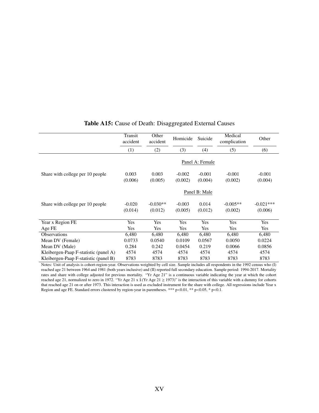|                                       | Transit<br>accident | Other<br>accident     | Homicide            | Suicide          | Medical<br>complication | Other                  |
|---------------------------------------|---------------------|-----------------------|---------------------|------------------|-------------------------|------------------------|
|                                       | (1)                 | (2)                   | (3)                 | (4)              | (5)                     | (6)                    |
|                                       |                     |                       |                     | Panel A: Female  |                         |                        |
| Share with college per 10 people      | 0.003               | 0.003                 | $-0.002$            | $-0.001$         | $-0.001$                | $-0.001$               |
|                                       | (0.006)             | (0.005)               | (0.002)             | (0.004)          | (0.002)                 | (0.004)                |
|                                       |                     |                       |                     | Panel B: Male    |                         |                        |
| Share with college per 10 people      | $-0.020$<br>(0.014) | $-0.030**$<br>(0.012) | $-0.003$<br>(0.005) | 0.014<br>(0.012) | $-0.005**$<br>(0.002)   | $-0.021***$<br>(0.006) |
| Year x Region FE                      | Yes                 | Yes                   | Yes                 | Yes              | Yes                     | Yes                    |
| Age FE                                | Yes                 | Yes                   | Yes                 | Yes              | Yes                     | Yes                    |
| <b>Observations</b>                   | 6,480               | 6,480                 | 6,480               | 6,480            | 6,480                   | 6,480                  |
| Mean DV (Female)                      | 0.0733              | 0.0540                | 0.0109              | 0.0567           | 0.0050                  | 0.0224                 |
| Mean DV (Male)                        | 0.284               | 0.242                 | 0.0454              | 0.219            | 0.0066                  | 0.0856                 |
| Kleibergen-Paap F-statistic (panel A) | 4574                | 4574                  | 4574                | 4574             | 4574                    | 4574                   |
| Kleibergen-Paap F-statistic (panel B) | 8783                | 8783                  | 8783                | 8783             | 8783                    | 8783                   |

# Table A15: Cause of Death: Disaggregated External Causes

Notes: Unit of analysis is cohort-region-year. Observations weighted by cell size. Sample includes all respondents in the 1992 census who (I) reached age 21 between 1964 and 1981 (both years inclusive) and (II) reported full secondary education. Sample period: 1994-2017. Mortality rates and share with college adjusted for previous mortality. "Yr Age 21" is a continuous variable indicating the year at which the cohort reached age 21, normalized to zero in 1972. "Yr Age 21 x  $1(Yr Age 21 \ge 1973)$ " is the interaction of this variable with a dummy for cohorts that reached age 21 on or after 1973. This interaction is used as excluded instrument for the share with college. All regressions include Year x Region and age FE. Standard errors clustered by region-year in parentheses. \*\*\* p<0.01, \*\* p<0.05, \* p<0.1.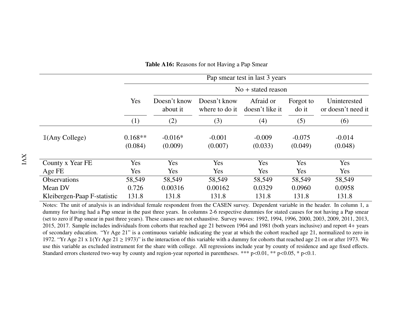|                             | Pap smear test in last 3 years |                          |                                |                              |                     |                                    |  |  |  |  |
|-----------------------------|--------------------------------|--------------------------|--------------------------------|------------------------------|---------------------|------------------------------------|--|--|--|--|
|                             |                                | $No + stated reason$     |                                |                              |                     |                                    |  |  |  |  |
|                             | Yes                            | Doesn't know<br>about it | Doesn't know<br>where to do it | Afraid or<br>doesn't like it | Forgot to<br>do it  | Uninterested<br>or doesn't need it |  |  |  |  |
|                             | (1)                            | (2)                      | (3)                            | (4)                          | (5)                 | (6)                                |  |  |  |  |
| $\mathbb{1}($ Any College)  | $0.168**$<br>(0.084)           | $-0.016*$<br>(0.009)     | $-0.001$<br>(0.007)            | $-0.009$<br>(0.033)          | $-0.075$<br>(0.049) | $-0.014$<br>(0.048)                |  |  |  |  |
| County x Year FE            | Yes                            | Yes                      | Yes                            | Yes                          | Yes                 | Yes                                |  |  |  |  |
| Age FE                      | <b>Yes</b>                     | Yes                      | Yes                            | Yes                          | Yes                 | Yes                                |  |  |  |  |
| <b>Observations</b>         | 58,549                         | 58,549                   | 58,549                         | 58,549                       | 58,549              | 58,549                             |  |  |  |  |
| Mean DV                     | 0.726                          | 0.00316                  | 0.00162                        | 0.0329                       | 0.0960              | 0.0958                             |  |  |  |  |
| Kleibergen-Paap F-statistic | 131.8                          | 131.8                    | 131.8                          | 131.8                        | 131.8               | 131.8                              |  |  |  |  |

Table A16: Reasons for not Having <sup>a</sup> Pap Smear

 Notes: The unit of analysis is an individual female respondent from the CASEN survey. Dependent variable in the header. In column 1, <sup>a</sup> dummy for having had <sup>a</sup> Pap smear in the pas<sup>t</sup> three years. In columns 2-6 respective dummies for stated causes for not having <sup>a</sup> Pap smear (set to zero if Pap smear in pas<sup>t</sup> three years). These causes are not exhaustive. Survey waves: 1992, 1994, 1996, 2000, 2003, 2009, 2011, 2013,2015, 2017. Sample includes individuals from cohorts that reached age 21 between 1964 and 1981 (both years inclusive) and repor<sup>t</sup> 4<sup>+</sup> years of secondary education. "Yr Age 21" is <sup>a</sup> continuous variable indicating the year at which the cohort reached age 21, normalized to zero in1972. "Yr Age 21 x  $\mathbb{1}(Yr \text{ Age } 21 \ge 1973)$ " is the interaction of this variable with a dummy for cohorts that reached age 21 on or after 1973. We use this variable as excluded instrument for the share with college. All regressions include year by county of residence and age fixed <sup>e</sup>ffects.Standard errors clustered two-way by county and region-year reported in parentheses. \*\*\* p<0.01, \*\* p<0.05, \* p<0.1.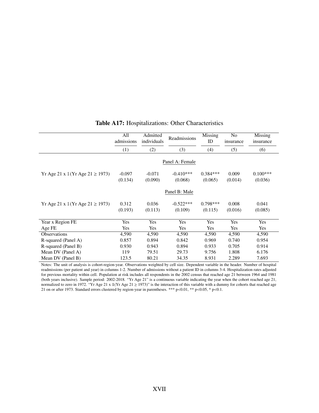|                                                       | All<br>admissions | Admitted<br>individuals | Readmissions    | Missing<br>ID | N <sub>o</sub><br>insurance | Missing<br>insurance |  |
|-------------------------------------------------------|-------------------|-------------------------|-----------------|---------------|-----------------------------|----------------------|--|
|                                                       |                   |                         |                 |               |                             |                      |  |
|                                                       | (1)               | (2)                     | (3)             | (4)           | (5)                         | (6)                  |  |
|                                                       |                   |                         | Panel A: Female |               |                             |                      |  |
| Yr Age 21 x $\mathbb{I}(Yr \text{ Age } 21 \ge 1973)$ | $-0.097$          | $-0.071$                | $-0.410***$     | $0.384***$    | 0.009                       | $0.100***$           |  |
|                                                       | (0.134)           | (0.090)                 | (0.068)         | (0.065)       | (0.014)                     | (0.036)              |  |
|                                                       |                   |                         | Panel B: Male   |               |                             |                      |  |
| Yr Age 21 x $\mathbb{I}(Yr \text{ Age } 21 \ge 1973)$ | 0.312             | 0.036                   | $-0.522***$     | $0.798***$    | 0.008                       | 0.041                |  |
|                                                       | (0.193)           | (0.113)                 | (0.109)         | (0.115)       | (0.016)                     | (0.085)              |  |
| Year x Region FE                                      | Yes               | Yes                     | Yes             | Yes           | Yes                         | Yes                  |  |
| Age FE                                                | Yes               | Yes                     | Yes             | Yes           | Yes                         | Yes                  |  |
| <b>Observations</b>                                   | 4,590             | 4,590                   | 4,590           | 4,590         | 4,590                       | 4,590                |  |
| R-squared (Panel A)                                   | 0.857             | 0.894                   | 0.842           | 0.969         | 0.740                       | 0.954                |  |
| R-squared (Panel B)                                   | 0.930             | 0.943                   | 0.894           | 0.933         | 0.705                       | 0.914                |  |
| Mean DV (Panel A)                                     | 119               | 79.51                   | 29.73           | 9.756         | 1.808                       | 6.176                |  |
| Mean DV (Panel B)                                     | 123.5             | 80.21                   | 34.35           | 8.931         | 2.289                       | 7.693                |  |

# Table A17: Hospitalizations: Other Characteristics

Notes: The unit of analysis is cohort-region-year. Observations weighted by cell size. Dependent variable in the header. Number of hospital readmissions (per patient and year) in columns 1-2. Number of admissions without a patient ID in columns 3-4. Hospitalization rates adjusted for previous mortality within cell. Population at risk includes all respondents in the 2002 census that reached age 21 between 1964 and 1981 (both years inclusive). Sample period: 2002-2018. "Yr Age 21" is a continuous variable indicating the year when the cohort reached age 21, normalized to zero in 1972. "Yr Age 21 x  $1$ (Yr Age 21  $\ge$  1973)" is the interaction of this variable with a dummy for cohorts that reached age 21 on or after 1973. Standard errors clustered by region-year in parentheses. \*\*\* p<0.01, \*\* p<0.05, \* p<0.1.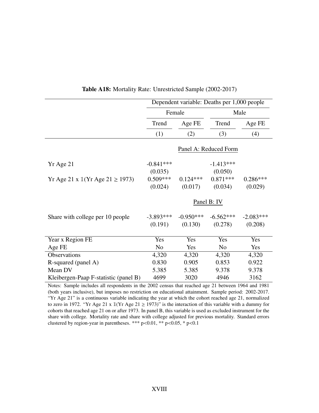|                                                       | Dependent variable: Deaths per 1,000 people |             |                |             |  |  |  |  |
|-------------------------------------------------------|---------------------------------------------|-------------|----------------|-------------|--|--|--|--|
|                                                       |                                             | Female      |                | Male        |  |  |  |  |
|                                                       | Trend                                       | Age FE      | Trend          | Age FE      |  |  |  |  |
|                                                       | (1)                                         | (2)         | (3)            | (4)         |  |  |  |  |
|                                                       | Panel A: Reduced Form                       |             |                |             |  |  |  |  |
| Yr Age 21                                             | $-0.841***$                                 |             | $-1.413***$    |             |  |  |  |  |
|                                                       | (0.035)                                     |             | (0.050)        |             |  |  |  |  |
| Yr Age 21 x $\mathbb{I}(Yr \text{ Age } 21 \ge 1973)$ | $0.509***$                                  | $0.124***$  | $0.871***$     | $0.286***$  |  |  |  |  |
|                                                       | (0.024)                                     | (0.017)     | (0.034)        | (0.029)     |  |  |  |  |
|                                                       |                                             |             | Panel B: IV    |             |  |  |  |  |
| Share with college per 10 people                      | $-3.893***$                                 | $-0.950***$ | $-6.562***$    | $-2.083***$ |  |  |  |  |
|                                                       | (0.191)                                     | (0.130)     | (0.278)        | (0.208)     |  |  |  |  |
| Year x Region FE                                      | Yes                                         | Yes         | Yes            | Yes         |  |  |  |  |
| Age FE                                                | N <sub>o</sub>                              | Yes         | N <sub>0</sub> | Yes         |  |  |  |  |
| Observations                                          | 4,320                                       | 4,320       | 4,320          | 4,320       |  |  |  |  |
| R-squared (panel A)                                   | 0.830                                       | 0.905       | 0.853          | 0.922       |  |  |  |  |
| Mean DV                                               | 5.385                                       | 5.385       | 9.378          | 9.378       |  |  |  |  |
| Kleibergen-Paap F-statistic (panel B)                 | 4699                                        | 3020        | 4946           | 3162        |  |  |  |  |

Table A18: Mortality Rate: Unrestricted Sample (2002-2017)

Notes: Sample includes all respondents in the 2002 census that reached age 21 between 1964 and 1981 (both years inclusive), but imposes no restriction on educational attainment. Sample period: 2002-2017. "Yr Age 21" is a continuous variable indicating the year at which the cohort reached age 21, normalized to zero in 1972. "Yr Age 21 x  $\mathbb{1}(Yr \text{ Age } 21 \ge 1973)$ " is the interaction of this variable with a dummy for cohorts that reached age 21 on or after 1973. In panel B, this variable is used as excluded instrument for the share with college. Mortality rate and share with college adjusted for previous mortality. Standard errors clustered by region-year in parentheses. \*\*\*  $p<0.01$ , \*\*  $p<0.05$ , \*  $p<0.1$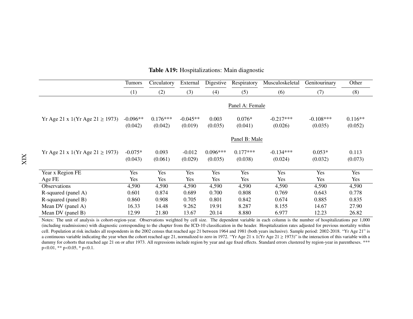|                                                       | <b>Tumors</b>         | Circulatory           | External              | Digestive             | Respiratory           | Musculoskeletal        | Genitourinary          | Other                |  |  |
|-------------------------------------------------------|-----------------------|-----------------------|-----------------------|-----------------------|-----------------------|------------------------|------------------------|----------------------|--|--|
|                                                       | (1)                   | (2)                   | (3)                   | (4)                   | (5)                   | (6)                    | (7)                    | (8)                  |  |  |
|                                                       | Panel A: Female       |                       |                       |                       |                       |                        |                        |                      |  |  |
| Yr Age 21 x $1(Yr \text{ Age } 21 \ge 1973)$          | $-0.096**$<br>(0.042) | $0.176***$<br>(0.042) | $-0.045**$<br>(0.019) | 0.003<br>(0.035)      | $0.076*$<br>(0.041)   | $-0.217***$<br>(0.026) | $-0.108***$<br>(0.035) | $0.116**$<br>(0.052) |  |  |
|                                                       |                       |                       |                       |                       | Panel B: Male         |                        |                        |                      |  |  |
| Yr Age 21 x $\mathbb{I}(Yr \text{ Age } 21 \ge 1973)$ | $-0.075*$<br>(0.043)  | 0.093<br>(0.061)      | $-0.012$<br>(0.029)   | $0.096***$<br>(0.035) | $0.177***$<br>(0.038) | $-0.134***$<br>(0.024) | $0.053*$<br>(0.032)    | 0.113<br>(0.073)     |  |  |
| Year x Region FE                                      | Yes                   | Yes                   | Yes                   | Yes                   | Yes                   | Yes                    | Yes                    | Yes                  |  |  |
| Age FE                                                | Yes                   | Yes                   | Yes                   | Yes                   | Yes                   | Yes                    | Yes                    | Yes                  |  |  |
| Observations                                          | 4,590                 | 4,590                 | 4,590                 | 4,590                 | 4,590                 | 4,590                  | 4,590                  | 4,590                |  |  |
| R-squared (panel A)                                   | 0.601                 | 0.874                 | 0.689                 | 0.700                 | 0.808                 | 0.769                  | 0.643                  | 0.778                |  |  |
| R-squared (panel B)                                   | 0.860                 | 0.908                 | 0.705                 | 0.801                 | 0.842                 | 0.674                  | 0.885                  | 0.835                |  |  |
| Mean DV (panel A)                                     | 16.33                 | 14.48                 | 9.262                 | 19.91                 | 8.287                 | 8.155                  | 14.67                  | 27.90                |  |  |
| Mean DV (panel B)                                     | 12.99                 | 21.80                 | 13.67                 | 20.14                 | 8.880                 | 6.977                  | 12.23                  | 26.82                |  |  |

## Table A19: Hospitalizations: Main diagnostic

 Notes: The unit of analysis is cohort-region-year. Observations weighted by cell size. The dependent variable in each column is the number of hospitalizations per 1,000 (including readmissions) with diagnostic corresponding to the chapter from the ICD-10 classification in the header. Hospitalization rates adjusted for previous mortality within cell. Population at risk includes all respondents in the 2002 census that reached age 21 between 1964 and 1981 (both years inclusive). Sample period: 2002-2018. "Yr Age 21" isa continuous variable indicating the year when the cohort reached age 21, normalized to zero in 1972. "Yr Age  $21 \times 1$  (Yr Age  $21 \ge 1973$ )" is the interaction of this variable with a dummy for cohorts that reached age 21 on or after 1973. All regressions include region by year and age fixed effects. Standard errors clustered by region-year in parentheses. \*\*\*  $p<0.01$ , \*\*  $p<0.05$ , \*  $p<0.1$ .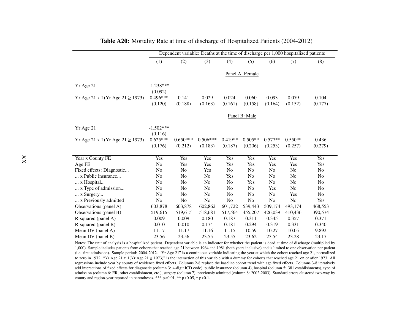|                                                       | Dependent variable: Deaths at the time of discharge per 1,000 hospitalized patients |                |                |                |                 |                |                |                |
|-------------------------------------------------------|-------------------------------------------------------------------------------------|----------------|----------------|----------------|-----------------|----------------|----------------|----------------|
|                                                       | (1)                                                                                 | (2)            | (3)            | (4)            | (5)             | (6)            | (7)            | (8)            |
|                                                       |                                                                                     |                |                |                | Panel A: Female |                |                |                |
|                                                       |                                                                                     |                |                |                |                 |                |                |                |
| Yr Age 21                                             | $-1.238***$                                                                         |                |                |                |                 |                |                |                |
|                                                       | (0.092)                                                                             |                |                |                |                 |                |                |                |
| Yr Age 21 x $\mathbb{I}(Yr \text{ Age } 21 \ge 1973)$ | $0.496***$                                                                          | 0.141          | 0.029          | 0.024          | 0.060           | 0.093          | 0.079          | 0.104          |
|                                                       | (0.120)                                                                             | (0.188)        | (0.163)        | (0.161)        | (0.158)         | (0.164)        | (0.152)        | (0.177)        |
|                                                       |                                                                                     |                |                |                | Panel B: Male   |                |                |                |
|                                                       |                                                                                     |                |                |                |                 |                |                |                |
| Yr Age 21                                             | $-1.502***$                                                                         |                |                |                |                 |                |                |                |
|                                                       | (0.116)                                                                             |                |                |                |                 |                |                |                |
| Yr Age 21 x 1(Yr Age 21 ≥ 1973)                       | $0.625***$                                                                          | $0.650***$     | $0.506***$     | $0.419**$      | $0.505**$       | $0.577**$      | $0.550**$      | 0.436          |
|                                                       | (0.176)                                                                             | (0.212)        | (0.183)        | (0.187)        | (0.206)         | (0.253)        | (0.257)        | (0.279)        |
|                                                       |                                                                                     |                |                |                |                 |                |                |                |
| Year x County FE                                      | Yes                                                                                 | Yes            | Yes            | Yes            | Yes             | Yes            | Yes            | Yes            |
| Age FE                                                | No                                                                                  | Yes            | Yes            | Yes            | Yes             | Yes            | Yes            | Yes            |
| Fixed effects: Diagnostic                             | No                                                                                  | No             | Yes            | N <sub>0</sub> | N <sub>0</sub>  | N <sub>0</sub> | N <sub>0</sub> | No             |
| x Public insurance                                    | No                                                                                  | No             | No             | Yes            | N <sub>o</sub>  | N <sub>0</sub> | N <sub>o</sub> | No             |
| x Hospital                                            | No                                                                                  | No             | N <sub>o</sub> | N <sub>0</sub> | Yes             | N <sub>0</sub> | N <sub>o</sub> | N <sub>0</sub> |
| x Type of admission                                   | No                                                                                  | No             | No             | N <sub>0</sub> | N <sub>o</sub>  | Yes            | No             | N <sub>0</sub> |
| x Surgery                                             | N <sub>0</sub>                                                                      | N <sub>0</sub> | N <sub>0</sub> | N <sub>0</sub> | N <sub>0</sub>  | N <sub>0</sub> | Yes            | N <sub>0</sub> |
| x Previously admitted                                 | No                                                                                  | No             | No             | N <sub>0</sub> | No              | No             | N <sub>o</sub> | Yes            |
| Observations (panel A)                                | 603,878                                                                             | 603,878        | 602,862        | 601,722        | 539,443         | 509,174        | 493,174        | 468,553        |
| Observations (panel B)                                | 519,615                                                                             | 519,615        | 518,681        | 517,564        | 455,207         | 426,039        | 410,436        | 390,574        |
| R-squared (panel A)                                   | 0.009                                                                               | 0.009          | 0.180          | 0.187          | 0.311           | 0.345          | 0.357          | 0.371          |
| R-squared (panel B)                                   | 0.010                                                                               | 0.010          | 0.174          | 0.181          | 0.294           | 0.319          | 0.331          | 0.340          |
| Mean DV (panel A)                                     | 11.17                                                                               | 11.17          | 11.16          | 11.15          | 10.59           | 10.27          | 10.05          | 9.892          |
| Mean DV (panel B)                                     | 23.56                                                                               | 23.56          | 23.55          | 23.55          | 23.62           | 23.54          | 23.28          | 23.17          |

## Table A20: Mortality Rate at time of discharge of Hospitalized Patients (2004-2012)

 Notes: The unit of analysis is <sup>a</sup> hospitalized patient. Dependent variable is an indicator for whether the patient is dead at time of discharge (multiplied by 1,000). Sample includes patients from cohorts that reached age 21 between 1964 and 1981 (both years inclusive) and is limited to one observation per patient (i.e. first admission). Sample period: 2004-2012. "Yr Age 21" is <sup>a</sup> continuous variable indicating the year at which the cohort reached age 21, normalizedto zero in 1972. "Yr Age 21 x 1(Yr Age 21  $\geq$  1973)" is the interaction of this variable with a dummy for cohorts that reached age 21 on or after 1973. All<br>secondary is that we shall constant of weighted a first a Colum regressions include year by county of residence fixed <sup>e</sup>ffects. Columns 2-8 replace the baseline cohort trend with age fixed <sup>e</sup>ffects. Columns 3-8 iteratively add interactions of fixed <sup>e</sup>ffects for diagnostic (column 3: 4-digit ICD code), public insurance (column 4), hospital (column 5: 381 establishments), type of admission (column 6: ER, other establishment, etc.), surgery (column 7), previously admitted (column 8: 2002-2003). Standard errors clustered two-way bycounty and region-year reported in parentheses. \*\*\*  $p<0.01$ , \*\*  $p<0.05$ , \*  $p<0.1$ .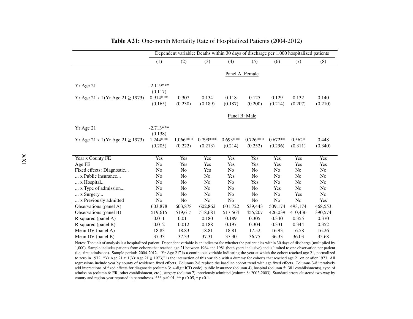|                                                       | Dependent variable: Deaths within 30 days of discharge per 1,000 hospitalized patients |                |                |                 |                |                |                |         |
|-------------------------------------------------------|----------------------------------------------------------------------------------------|----------------|----------------|-----------------|----------------|----------------|----------------|---------|
|                                                       | (1)                                                                                    | (2)            | (3)            | (4)             | (5)            | (6)            | (7)            | (8)     |
|                                                       |                                                                                        |                |                | Panel A: Female |                |                |                |         |
|                                                       |                                                                                        |                |                |                 |                |                |                |         |
| Yr Age 21                                             | $-2.119***$                                                                            |                |                |                 |                |                |                |         |
|                                                       | (0.117)                                                                                |                |                |                 |                |                |                |         |
| Yr Age 21 x 1(Yr Age 21 ≥ 1973)                       | $0.914***$                                                                             | 0.307          | 0.134          | 0.118           | 0.125          | 0.129          | 0.132          | 0.140   |
|                                                       | (0.165)                                                                                | (0.230)        | (0.189)        | (0.187)         | (0.200)        | (0.214)        | (0.207)        | (0.210) |
|                                                       |                                                                                        |                |                | Panel B: Male   |                |                |                |         |
|                                                       |                                                                                        |                |                |                 |                |                |                |         |
| Yr Age 21                                             | $-2.713***$                                                                            |                |                |                 |                |                |                |         |
|                                                       | (0.138)                                                                                |                |                |                 |                |                |                |         |
| Yr Age 21 x $\mathbb{I}(Yr \text{ Age } 21 \ge 1973)$ | $1.244***$                                                                             | $1.066***$     | $0.799***$     | $0.693***$      | $0.726***$     | $0.672**$      | $0.562*$       | 0.448   |
|                                                       | (0.205)                                                                                | (0.222)        | (0.213)        | (0.214)         | (0.252)        | (0.296)        | (0.311)        | (0.340) |
|                                                       |                                                                                        |                |                |                 |                |                |                |         |
| Year x County FE                                      | Yes                                                                                    | Yes            | Yes            | Yes             | Yes            | Yes            | Yes            | Yes     |
| Age FE                                                | No                                                                                     | Yes            | Yes            | Yes             | Yes            | Yes            | Yes            | Yes     |
| Fixed effects: Diagnostic                             | No                                                                                     | No             | Yes            | No              | No             | No             | No             | No      |
| x Public insurance                                    | No                                                                                     | No             | N <sub>o</sub> | Yes             | No             | N <sub>o</sub> | No             | No      |
| x Hospital                                            | N <sub>0</sub>                                                                         | N <sub>0</sub> | N <sub>0</sub> | N <sub>0</sub>  | Yes            | No             | N <sub>0</sub> | No      |
| x Type of admission                                   | N <sub>0</sub>                                                                         | N <sub>0</sub> | N <sub>0</sub> | N <sub>0</sub>  | N <sub>o</sub> | Yes            | N <sub>0</sub> | No      |
| x Surgery                                             | No                                                                                     | No             | N <sub>0</sub> | N <sub>0</sub>  | N <sub>o</sub> | N <sub>0</sub> | Yes            | No      |
| x Previously admitted                                 | No                                                                                     | No             | N <sub>o</sub> | No              | No             | N <sub>o</sub> | No             | Yes     |
| Observations (panel A)                                | 603,878                                                                                | 603,878        | 602,862        | 601,722         | 539,443        | 509,174        | 493,174        | 468,553 |
| Observations (panel B)                                | 519,615                                                                                | 519,615        | 518,681        | 517,564         | 455,207        | 426,039        | 410,436        | 390,574 |
| R-squared (panel A)                                   | 0.011                                                                                  | 0.011          | 0.180          | 0.189           | 0.305          | 0.340          | 0.355          | 0.370   |
| R-squared (panel B)                                   | 0.012                                                                                  | 0.012          | 0.188          | 0.197           | 0.304          | 0.331          | 0.344          | 0.352   |
| Mean DV (panel A)                                     | 18.83                                                                                  | 18.83          | 18.81          | 18.81           | 17.52          | 16.93          | 16.58          | 16.26   |
| Mean DV (panel B)                                     | 37.33                                                                                  | 37.33          | 37.31          | 37.30           | 36.75          | 36.33          | 36.03          | 35.68   |

#### Table A21: One-month Mortality Rate of Hospitalized Patients (2004-2012)

 Notes: The unit of analysis is <sup>a</sup> hospitalized patient. Dependent variable is an indicator for whether the patient dies within 30 days of discharge (multiplied by 1,000). Sample includes patients from cohorts that reached age 21 between 1964 and 1981 (both years inclusive) and is limited to one observation per patient (i.e. first admission). Sample period: 2004-2012. "Yr Age 21" is <sup>a</sup> continuous variable indicating the year at which the cohort reached age 21, normalizedto zero in 1972. "Yr Age 21 x 1(Yr Age 21  $\geq$  1973)" is the interaction of this variable with a dummy for cohorts that reached age 21 on or after 1973. All<br>secondary is that we shall constant of weighted a first a Colum regressions include year by county of residence fixed <sup>e</sup>ffects. Columns 2-8 replace the baseline cohort trend with age fixed <sup>e</sup>ffects. Columns 3-8 iteratively add interactions of fixed <sup>e</sup>ffects for diagnostic (column 3: 4-digit ICD code), public insurance (column 4), hospital (column 5: 381 establishments), type of admission (column 6: ER, other establishment, etc.), surgery (column 7), previously admitted (column 8: 2002-2003). Standard errors clustered two-way bycounty and region-year reported in parentheses. \*\*\*  $p<0.01$ , \*\*  $p<0.05$ , \*  $p<0.1$ .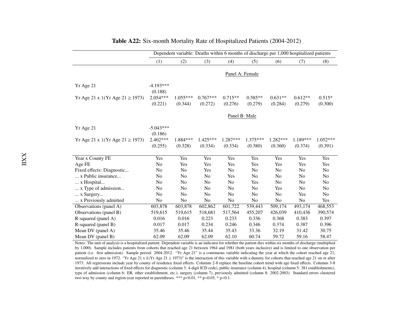|                                 | Dependent variable: Deaths within 6 months of discharge per 1,000 hospitalized patients |                       |                       |                       |                       |                       |                       |                       |
|---------------------------------|-----------------------------------------------------------------------------------------|-----------------------|-----------------------|-----------------------|-----------------------|-----------------------|-----------------------|-----------------------|
|                                 | (1)                                                                                     | (2)                   | (3)                   | (4)                   | (5)                   | (6)                   | (7)                   | (8)                   |
|                                 |                                                                                         |                       |                       | Panel A: Female       |                       |                       |                       |                       |
| Yr Age 21                       | $-4.193***$<br>(0.188)                                                                  |                       |                       |                       |                       |                       |                       |                       |
| Yr Age 21 x 1(Yr Age 21 ≥ 1973) | $2.054***$<br>(0.221)                                                                   | $1.055***$<br>(0.344) | $0.767***$<br>(0.272) | $0.715**$<br>(0.276)  | $0.585**$<br>(0.279)  | $0.631**$<br>(0.284)  | $0.612**$<br>(0.279)  | $0.515*$<br>(0.300)   |
|                                 |                                                                                         |                       |                       | Panel B: Male         |                       |                       |                       |                       |
| Yr Age 21                       | $-5.043***$<br>(0.186)                                                                  |                       |                       |                       |                       |                       |                       |                       |
| Yr Age 21 x 1(Yr Age 21 ≥ 1973) | $2.402***$<br>(0.255)                                                                   | 1.884 ***<br>(0.328)  | $1.425***$<br>(0.334) | $1.287***$<br>(0.334) | $1.375***$<br>(0.380) | $1.282***$<br>(0.360) | $1.189***$<br>(0.374) | $1.052***$<br>(0.391) |
| Year x County FE                | Yes                                                                                     | Yes                   | Yes                   | Yes                   | Yes                   | Yes                   | Yes                   | Yes                   |
| Age FE                          | No                                                                                      | Yes                   | Yes                   | Yes                   | Yes                   | Yes                   | Yes                   | Yes                   |
| Fixed effects: Diagnostic       | N <sub>0</sub>                                                                          | No                    | Yes                   | No                    | No                    | N <sub>0</sub>        | N <sub>0</sub>        | No                    |
| x Public insurance              | No                                                                                      | No                    | N <sub>o</sub>        | Yes                   | No                    | N <sub>o</sub>        | N <sub>0</sub>        | No                    |
| x Hospital                      | N <sub>0</sub>                                                                          | No                    | N <sub>o</sub>        | No                    | Yes                   | N <sub>o</sub>        | N <sub>0</sub>        | No                    |
| x Type of admission             | No                                                                                      | No                    | N <sub>o</sub>        | N <sub>o</sub>        | No                    | Yes                   | N <sub>o</sub>        | N <sub>0</sub>        |
| x Surgery                       | N <sub>0</sub>                                                                          | No                    | N <sub>o</sub>        | No                    | N <sub>0</sub>        | No                    | Yes                   | No                    |
| x Previously admitted           | No                                                                                      | No                    | No                    | No                    | No                    | N <sub>0</sub>        | N <sub>0</sub>        | Yes                   |
| Observations (panel A)          | 603,878                                                                                 | 603,878               | 602,862               | 601,722               | 539,443               | 509,174               | 493,174               | 468,553               |
| Observations (panel B)          | 519,615                                                                                 | 519,615               | 518,681               | 517,564               | 455,207               | 426,039               | 410,436               | 390,574               |
| R-squared (panel A)             | 0.016                                                                                   | 0.016                 | 0.223                 | 0.233                 | 0.336                 | 0.368                 | 0.383                 | 0.397                 |
| R-squared (panel B)             | 0.017                                                                                   | 0.017                 | 0.234                 | 0.246                 | 0.346                 | 0.374                 | 0.387                 | 0.396                 |
| Mean DV (panel A)               | 35.46                                                                                   | 35.46                 | 35.44                 | 35.43                 | 33.36                 | 32.19                 | 31.42                 | 30.75                 |
| Mean DV (panel B)               | 62.09                                                                                   | 62.09                 | 62.09                 | 62.10                 | 60.74                 | 59.72                 | 59.16                 | 58.47                 |

## Table A22: Six-month Mortality Rate of Hospitalized Patients (2004-2012)

 Notes: The unit of analysis is <sup>a</sup> hospitalized patient. Dependent variable is an indicator for whether the patient dies within six months of discharge (multiplied by 1,000). Sample includes patients from cohorts that reached age 21 between 1964 and 1981 (both years inclusive) and is limited to one observation perpatient (i.e. first admission). Sample period: 2004-2012. "Yr Age 21" is a continuous variable indicating the year at which the cohort reached age 21, normalized to zero in 1972. "Yr Age 21 x  $1(\text{Yr} \text{ Age } 21 \ge 1973)$ " is the interaction of this variable with a dummy for cohorts that reached age 21 on or after 1973. All regressions include year by county of residence fixed <sup>e</sup>ffects. Columns 2-8 replace the baseline cohort trend with age fixed <sup>e</sup>ffects. Columns 3-8 iteratively add interactions of fixed <sup>e</sup>ffects for diagnostic (column 3: 4-digit ICD code), public insurance (column 4), hospital (column 5: 381 establishments), type of admission (column 6: ER, other establishment, etc.), surgery (column 7), previously admitted (column 8: 2002-2003). Standard errors clusteredtwo-way by county and region-year reported in parentheses. \*\*\*  $p<0.01$ , \*\*  $p<0.05$ , \*  $p<0.1$ .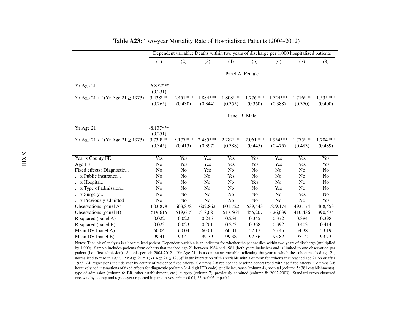|                                        | Dependent variable: Deaths within two years of discharge per 1,000 hospitalized patients |                       |                       |                     |                       |                       |                       |                       |  |
|----------------------------------------|------------------------------------------------------------------------------------------|-----------------------|-----------------------|---------------------|-----------------------|-----------------------|-----------------------|-----------------------|--|
|                                        | (1)                                                                                      | (2)                   | (3)                   | (4)                 | (5)                   | (6)                   | (7)                   | (8)                   |  |
|                                        |                                                                                          | Panel A: Female       |                       |                     |                       |                       |                       |                       |  |
| Yr Age 21                              | $-6.872***$<br>(0.231)                                                                   |                       |                       |                     |                       |                       |                       |                       |  |
| Yr Age 21 x 1(Yr Age 21 ≥ 1973)        | 3.438***<br>(0.265)                                                                      | $2.451***$<br>(0.430) | 1.884 ***<br>(0.344)  | 1.808***<br>(0.355) | $1.776***$<br>(0.360) | $1.724***$<br>(0.388) | $1.716***$<br>(0.370) | $1.535***$<br>(0.400) |  |
|                                        |                                                                                          |                       |                       | Panel B: Male       |                       |                       |                       |                       |  |
| Yr Age 21                              | $-8.137***$<br>(0.251)                                                                   |                       |                       |                     |                       |                       |                       |                       |  |
| Yr Age 21 x $1$ (Yr Age 21 $\ge$ 1973) | 3.739 ***<br>(0.345)                                                                     | $3.177***$<br>(0.413) | $2.485***$<br>(0.397) | 2.282***<br>(0.388) | $2.061***$<br>(0.445) | $1.954***$<br>(0.475) | $1.775***$<br>(0.483) | $1.704***$<br>(0.489) |  |
| Year x County FE                       | Yes                                                                                      | Yes                   | Yes                   | Yes                 | Yes                   | Yes                   | Yes                   | Yes                   |  |
| Age FE                                 | No                                                                                       | Yes                   | Yes                   | Yes                 | Yes                   | Yes                   | Yes                   | Yes                   |  |
| Fixed effects: Diagnostic              | No                                                                                       | No                    | Yes                   | N <sub>0</sub>      | No                    | N <sub>o</sub>        | N <sub>0</sub>        | No                    |  |
| x Public insurance                     | No                                                                                       | No                    | No                    | Yes                 | No                    | No                    | No                    | $\rm No$              |  |
| x Hospital                             | No                                                                                       | No                    | No                    | N <sub>o</sub>      | Yes                   | N <sub>o</sub>        | N <sub>0</sub>        | No                    |  |
| x Type of admission                    | No                                                                                       | No                    | No                    | N <sub>o</sub>      | No                    | Yes                   | N <sub>0</sub>        | No                    |  |
| x Surgery                              | No                                                                                       | No                    | No                    | No                  | No                    | N <sub>o</sub>        | Yes                   | No                    |  |
| x Previously admitted                  | No                                                                                       | No                    | No                    | N <sub>o</sub>      | No                    | N <sub>0</sub>        | N <sub>0</sub>        | Yes                   |  |
| Observations (panel A)                 | 603,878                                                                                  | 603,878               | 602,862               | 601,722             | 539,443               | 509,174               | 493,174               | 468,553               |  |
| Observations (panel B)                 | 519,615                                                                                  | 519,615               | 518,681               | 517,564             | 455,207               | 426,039               | 410,436               | 390,574               |  |
| R-squared (panel A)                    | 0.022                                                                                    | 0.022                 | 0.245                 | 0.254               | 0.345                 | 0.372                 | 0.384                 | 0.398                 |  |
| R-squared (panel B)                    | 0.023                                                                                    | 0.023                 | 0.261                 | 0.273               | 0.368                 | 0.392                 | 0.403                 | 0.414                 |  |
| Mean DV (panel A)                      | 60.04                                                                                    | 60.04                 | 60.01                 | 60.01               | 57.17                 | 55.45                 | 54.38                 | 53.19                 |  |
| Mean DV (panel B)                      | 99.41                                                                                    | 99.41                 | 99.39                 | 99.38               | 97.36                 | 95.82                 | 95.12                 | 93.73                 |  |

## Table A23: Two-year Mortality Rate of Hospitalized Patients (2004-2012)

 Notes: The unit of analysis is <sup>a</sup> hospitalized patient. Dependent variable is an indicator for whether the patient dies within two years of discharge (multiplied by 1,000). Sample includes patients from cohorts that reached age 21 between 1964 and 1981 (both years inclusive) and is limited to one observation perpatient (i.e. first admission). Sample period: 2004-2012. "Yr Age 21" is a continuous variable indicating the year at which the cohort reached age 21, normalized to zero in 1972. "Yr Age 21 x  $1(\text{Yr} \text{ Age } 21 \ge 1973)$ " is the interaction of this variable with a dummy for cohorts that reached age 21 on or after 1973. All regressions include year by county of residence fixed <sup>e</sup>ffects. Columns 2-8 replace the baseline cohort trend with age fixed <sup>e</sup>ffects. Columns 3-8 iteratively add interactions of fixed <sup>e</sup>ffects for diagnostic (column 3: 4-digit ICD code), public insurance (column 4), hospital (column 5: 381 establishments), type of admission (column 6: ER, other establishment, etc.), surgery (column 7), previously admitted (column 8: 2002-2003). Standard errors clusteredtwo-way by county and region-year reported in parentheses. \*\*\*  $p<0.01$ , \*\*  $p<0.05$ , \*  $p<0.1$ .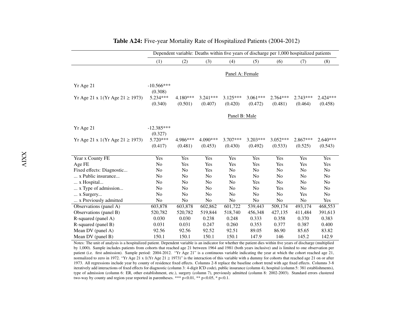|                                                       | Dependent variable: Deaths within five years of discharge per 1,000 hospitalized patients |                     |                       |                       |                       |                       |                       |                       |  |  |
|-------------------------------------------------------|-------------------------------------------------------------------------------------------|---------------------|-----------------------|-----------------------|-----------------------|-----------------------|-----------------------|-----------------------|--|--|
|                                                       | (1)                                                                                       | (2)                 | (3)                   | (4)                   | (5)                   | (6)                   | (7)                   | (8)                   |  |  |
|                                                       |                                                                                           | Panel A: Female     |                       |                       |                       |                       |                       |                       |  |  |
| Yr Age 21                                             | $-10.566***$<br>(0.308)                                                                   |                     |                       |                       |                       |                       |                       |                       |  |  |
| Yr Age 21 x $\mathbb{I}$ (Yr Age 21 $\geq$ 1973)      | $5.234***$<br>(0.340)                                                                     | 4.180***<br>(0.501) | $3.241***$<br>(0.407) | $3.125***$<br>(0.420) | $3.061***$<br>(0.472) | 2.764***<br>(0.481)   | $2.743***$<br>(0.464) | $2.424***$<br>(0.458) |  |  |
|                                                       | Panel B: Male                                                                             |                     |                       |                       |                       |                       |                       |                       |  |  |
| Yr Age 21                                             | $-12.385***$<br>(0.327)                                                                   |                     |                       |                       |                       |                       |                       |                       |  |  |
| Yr Age 21 x $\mathbb{I}(Yr \text{ Age } 21 \ge 1973)$ | $5.720***$<br>(0.417)                                                                     | 4.986***<br>(0.481) | $4.090***$<br>(0.453) | $3.707***$<br>(0.430) | $3.203***$<br>(0.492) | $3.052***$<br>(0.533) | $2.867***$<br>(0.525) | $2.640***$<br>(0.543) |  |  |
| Year x County FE                                      | Yes                                                                                       | Yes                 | Yes                   | Yes                   | Yes                   | Yes                   | Yes                   | Yes                   |  |  |
| Age FE                                                | No                                                                                        | Yes                 | Yes                   | Yes                   | Yes                   | Yes                   | Yes                   | Yes                   |  |  |
| Fixed effects: Diagnostic                             | No                                                                                        | No                  | Yes                   | N <sub>0</sub>        | No                    | No                    | No                    | No                    |  |  |
| x Public insurance                                    | N <sub>0</sub>                                                                            | No                  | No                    | Yes                   | No                    | No                    | N <sub>o</sub>        | No                    |  |  |
| x Hospital                                            | No                                                                                        | N <sub>0</sub>      | No                    | N <sub>0</sub>        | Yes                   | No                    | N <sub>0</sub>        | N <sub>o</sub>        |  |  |
| x Type of admission                                   | N <sub>0</sub>                                                                            | N <sub>o</sub>      | N <sub>0</sub>        | N <sub>0</sub>        | N <sub>0</sub>        | Yes                   | N <sub>0</sub>        | N <sub>o</sub>        |  |  |
| x Surgery                                             | No                                                                                        | N <sub>0</sub>      | N <sub>0</sub>        | N <sub>0</sub>        | No                    | No                    | Yes                   | N <sub>0</sub>        |  |  |
| x Previously admitted                                 | No                                                                                        | No                  | No                    | N <sub>0</sub>        | No                    | No                    | No                    | Yes                   |  |  |
| Observations (panel A)                                | 603,878                                                                                   | 603,878             | 602,862               | 601,722               | 539,443               | 509,174               | 493,174               | 468,553               |  |  |
| Observations (panel B)                                | 520,782                                                                                   | 520,782             | 519,844               | 518,740               | 456,348               | 427,135               | 411,484               | 391,613               |  |  |
| R-squared (panel A)                                   | 0.030                                                                                     | 0.030               | 0.238                 | 0.248                 | 0.333                 | 0.358                 | 0.370                 | 0.383                 |  |  |
| R-squared (panel B)                                   | 0.031                                                                                     | 0.031               | 0.247                 | 0.260                 | 0.353                 | 0.377                 | 0.387                 | 0.400                 |  |  |
| Mean DV (panel A)                                     | 92.56                                                                                     | 92.56               | 92.52                 | 92.51                 | 89.05                 | 86.90                 | 85.65                 | 83.82                 |  |  |
| Mean DV (panel B)                                     | 150.1                                                                                     | 150.1               | 150.1                 | 150.1                 | 147.9                 | 146                   | 145.2                 | 142.9                 |  |  |

## Table A24: Five-year Mortality Rate of Hospitalized Patients (2004-2012)

 Notes: The unit of analysis is <sup>a</sup> hospitalized patient. Dependent variable is an indicator for whether the patient dies within five years of discharge (multiplied by 1,000). Sample includes patients from cohorts that reached age 21 between 1964 and 1981 (both years inclusive) and is limited to one observation perpatient (i.e. first admission). Sample period: 2004-2012. "Yr Age 21" is a continuous variable indicating the year at which the cohort reached age 21, normalized to zero in 1972. "Yr Age 21 x  $\mathbb{1}(Yr \text{ Age } 21 \ge 1973)$ " is the interaction of this variable with a dummy for cohorts that reached age 21 on or after 1973. All regressions include year by county of residence fixed <sup>e</sup>ffects. Columns 2-8 replace the baseline cohort trend with age fixed <sup>e</sup>ffects. Columns 3-8 iteratively add interactions of fixed <sup>e</sup>ffects for diagnostic (column 3: 4-digit ICD code), public insurance (column 4), hospital (column 5: 381 establishments), type of admission (column 6: ER, other establishment, etc.), surgery (column 7), previously admitted (column 8: 2002-2003). Standard errors clusteredtwo-way by county and region-year reported in parentheses. \*\*\*  $p<0.01$ , \*\*  $p<0.05$ , \*  $p<0.1$ .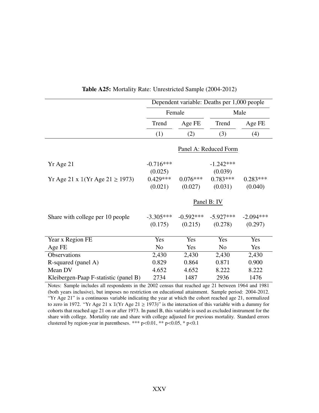|                                                       | Dependent variable: Deaths per 1,000 people |             |                |             |
|-------------------------------------------------------|---------------------------------------------|-------------|----------------|-------------|
|                                                       | Female                                      |             | Male           |             |
|                                                       | Trend                                       | Age FE      | Trend          | Age FE      |
|                                                       | (1)                                         | (2)         | (3)            | (4)         |
|                                                       | Panel A: Reduced Form                       |             |                |             |
| Yr Age 21                                             | $-0.716***$                                 |             | $-1.242***$    |             |
|                                                       | (0.025)                                     |             | (0.039)        |             |
| Yr Age 21 x $\mathbb{I}(Yr \text{ Age } 21 \ge 1973)$ | $0.429***$                                  | $0.076***$  | $0.783***$     | $0.283***$  |
|                                                       | (0.021)                                     | (0.027)     | (0.031)        | (0.040)     |
|                                                       | Panel B: IV                                 |             |                |             |
| Share with college per 10 people                      | $-3.305***$                                 | $-0.592***$ | $-5.927***$    | $-2.094***$ |
|                                                       | (0.175)                                     | (0.215)     | (0.278)        | (0.297)     |
| Year x Region FE                                      | Yes                                         | Yes         | Yes            | Yes         |
| Age FE                                                | N <sub>o</sub>                              | Yes         | N <sub>0</sub> | Yes         |
| Observations                                          | 2,430                                       | 2,430       | 2,430          | 2,430       |
| R-squared (panel A)                                   | 0.829                                       | 0.864       | 0.871          | 0.900       |
| Mean DV                                               | 4.652                                       | 4.652       | 8.222          | 8.222       |
|                                                       | 2734                                        | 1487        | 2936           | 1476        |
| Kleibergen-Paap F-statistic (panel B)                 |                                             |             |                |             |

Table A25: Mortality Rate: Unrestricted Sample (2004-2012)

Notes: Sample includes all respondents in the 2002 census that reached age 21 between 1964 and 1981 (both years inclusive), but imposes no restriction on educational attainment. Sample period: 2004-2012. "Yr Age 21" is a continuous variable indicating the year at which the cohort reached age 21, normalized to zero in 1972. "Yr Age 21 x  $\mathbb{1}(Yr \text{ Age } 21 \ge 1973)$ " is the interaction of this variable with a dummy for cohorts that reached age 21 on or after 1973. In panel B, this variable is used as excluded instrument for the share with college. Mortality rate and share with college adjusted for previous mortality. Standard errors clustered by region-year in parentheses. \*\*\*  $p<0.01$ , \*\*  $p<0.05$ , \*  $p<0.1$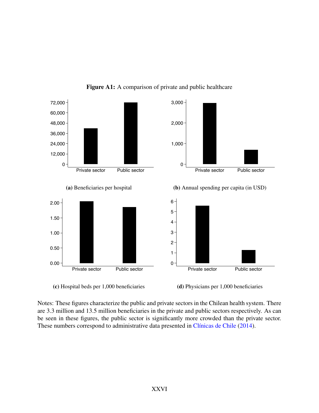

Figure A1: A comparison of private and public healthcare

(c) Hospital beds per 1,000 beneficiaries

(d) Physicians per 1,000 beneficiaries

Notes: These figures characterize the public and private sectors in the Chilean health system. There are 3.3 million and 13.5 million beneficiaries in the private and public sectors respectively. As can be seen in these figures, the public sector is significantly more crowded than the private sector. These numbers correspond to administrative data presented in Clínicas de Chile [\(2014\)](#page-33-0).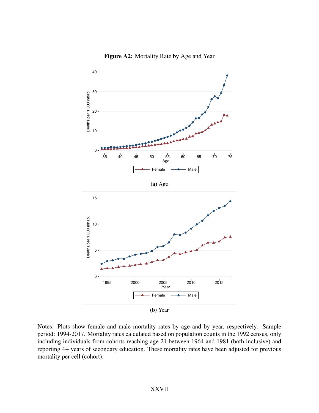

Figure A2: Mortality Rate by Age and Year





(b) Year

Notes: Plots show female and male mortality rates by age and by year, respectively. Sample period: 1994-2017. Mortality rates calculated based on population counts in the 1992 census, only including individuals from cohorts reaching age 21 between 1964 and 1981 (both inclusive) and reporting 4+ years of secondary education. These mortality rates have been adjusted for previous mortality per cell (cohort).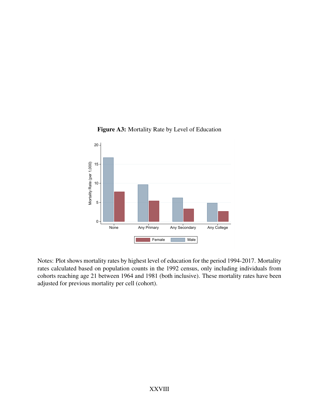

Figure A3: Mortality Rate by Level of Education

Notes: Plot shows mortality rates by highest level of education for the period 1994-2017. Mortality rates calculated based on population counts in the 1992 census, only including individuals from cohorts reaching age 21 between 1964 and 1981 (both inclusive). These mortality rates have been adjusted for previous mortality per cell (cohort).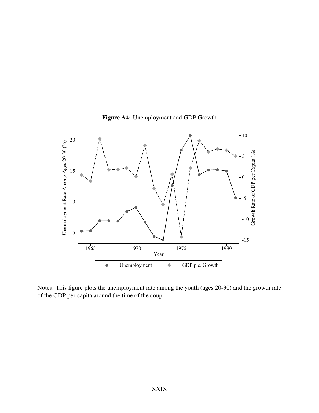

Figure A4: Unemployment and GDP Growth

Notes: This figure plots the unemployment rate among the youth (ages 20-30) and the growth rate of the GDP per-capita around the time of the coup.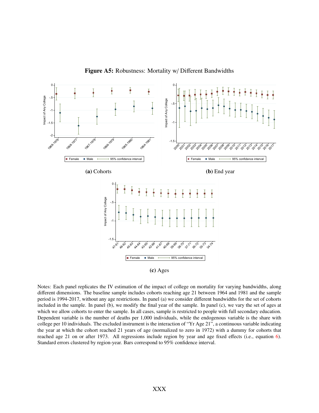

Figure A5: Robustness: Mortality w/ Different Bandwidths

Notes: Each panel replicates the IV estimation of the impact of college on mortality for varying bandwidths, along different dimensions. The baseline sample includes cohorts reaching age 21 between 1964 and 1981 and the sample period is 1994-2017, without any age restrictions. In panel (a) we consider different bandwidths for the set of cohorts included in the sample. In panel (b), we modify the final year of the sample. In panel (c), we vary the set of ages at which we allow cohorts to enter the sample. In all cases, sample is restricted to people with full secondary education. Dependent variable is the number of deaths per 1,000 individuals, while the endogenous variable is the share with college per 10 individuals. The excluded instrument is the interaction of "Yr Age 21", a continuous variable indicating the year at which the cohort reached 21 years of age (normalized to zero in 1972) with a dummy for cohorts that reached age 21 on or after 1973. All regressions include region by year and age fixed effects (i.e., equation [6\)](#page-14-0). Standard errors clustered by region-year. Bars correspond to 95% confidence interval.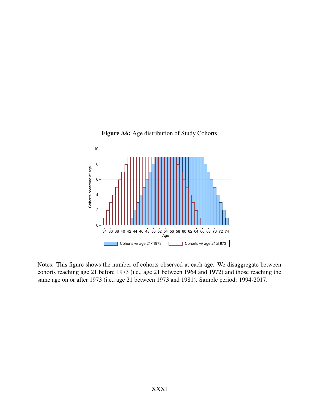

Figure A6: Age distribution of Study Cohorts

Notes: This figure shows the number of cohorts observed at each age. We disaggregate between cohorts reaching age 21 before 1973 (i.e., age 21 between 1964 and 1972) and those reaching the same age on or after 1973 (i.e., age 21 between 1973 and 1981). Sample period: 1994-2017.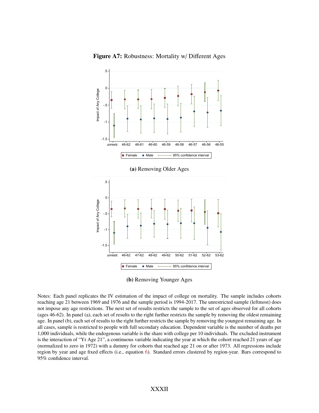

Figure A7: Robustness: Mortality w/ Different Ages

(b) Removing Younger Ages

Notes: Each panel replicates the IV estimation of the impact of college on mortality. The sample includes cohorts reaching age 21 between 1969 and 1976 and the sample period is 1994-2017. The unrestricted sample (leftmost) does not impose any age restrictions. The next set of results restricts the sample to the set of ages observed for all cohorts (ages 46-62). In panel (a), each set of results to the right further restricts the sample by removing the oldest remaining age. In panel (b), each set of results to the right further restricts the sample by removing the youngest remaining age. In all cases, sample is restricted to people with full secondary education. Dependent variable is the number of deaths per 1,000 individuals, while the endogenous variable is the share with college per 10 individuals. The excluded instrument is the interaction of "Yr Age 21", a continuous variable indicating the year at which the cohort reached 21 years of age (normalized to zero in 1972) with a dummy for cohorts that reached age 21 on or after 1973. All regressions include region by year and age fixed effects (i.e., equation [6\)](#page-14-0). Standard errors clustered by region-year. Bars correspond to 95% confidence interval.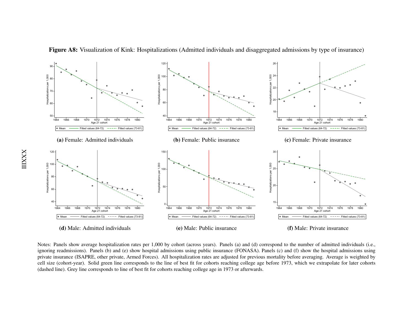

In The Fitted values (64-72)  $---$  Fitted values (73-81)<br>
(Male: Admitted individuals<br>
So show average hospitalization rates<br>
Imissions). Panels (b) and (e) show<br>
Innce (ISAPRE, other private, Armed<br>
ort-year). Solid green **n** <u>Fitted values (64-72)</u>  $---$  Fitted values (73-81)<br> **(e)** Male: Public insurance<br>
hort (across years). Panels (a) and (ons using public insurance (FONAS.<br>
pitalization rates are adjusted for pre<br>
f best fit for cohorts Fitted values (64-72)  $---$  Fitted values (73-81)<br>
(**f**) Male: Private insurance<br>
b the number of admitted individuals<br>
hefore averaging. Average is weight<br>
73, which we extrapolate for later co Notes: Panels show average hospitalization rates per 1,000 by cohort (across years). Panels (a) and (d) correspond to the number of admitted individuals (i.e., ignoring readmissions). Panels (b) and (e) show hospital admissions using public insurance (FONASA). Panels (c) and (f) show the hospital admissions using private insurance (ISAPRE, other private, Armed Forces). All hospitalization rates are adjusted for previous mortality before averaging. Average is weighted by cell size (cohort-year). Solid green line corresponds to the line of best fit for cohorts reaching college age before 1973, which we extrapolate for later cohorts(dashed line). Grey line corresponds to line of best fit for cohorts reaching college age in 1973 or afterwards.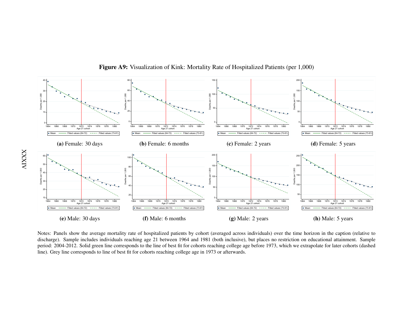

Figure A9: Visualization of Kink: Mortality Rate of Hospitalized Patients (per 1,000)

 period: 2004-2012. Solid green line corresponds to the line of best fit for cohorts reaching college age before 1973, which we extrapolate for later cohorts (dashedFitted values (64-72)  $\rightarrow$  Fitted values (73-81)<br>
(e) Male: 30 days<br>
Panels show the average morta<br>
(e). Sample includes individua<br>
2004-2012. Solid green line corresponds to line of the corresponds to line of the corresp Fitted values (64-72)  $---$  Fitted values (73-81)<br>
(**f**) Male: 6 months<br>
f hospitalized patients by coh<br>
g age 21 between 1964 and 1<br>
to the line of best fit for cohors<br>
cohorts reaching college age in Fitted values (64-72)  $---$  Fitted values (73-81)<br>
(g) Male: 2 years<br>
ged across individuals) over the inclusive), but places no restre<br>
college age before 1973, which<br>
fterwards.  $\sum_{\text{Fitted values} (64-72)}$   $\sum_{\text{Fitted values} (73-81)}$ <br>
(h) Male: 5 years<br>
Fizon in the caption (relative teducational attainment. Samp<br>
apolate for later cohorts (dashe Notes: Panels show the average mortality rate of hospitalized patients by cohort (averaged across individuals) over the time horizon in the caption (relative to discharge). Sample includes individuals reaching age 21 between 1964 and 1981 (both inclusive), but places no restriction on educational attainment. Sampleline). Grey line corresponds to line of best fit for cohorts reaching college age in 1973 or afterwards.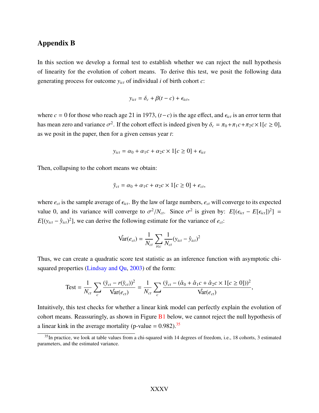## Appendix B

In this section we develop a formal test to establish whether we can reject the null hypothesis of linearity for the evolution of cohort means. To derive this test, we posit the following data generating process for outcome *yict* of individual *i* of birth cohort *c*:

$$
y_{ict} = \delta_c + \beta(t - c) + \epsilon_{ict},
$$

where  $c = 0$  for those who reach age 21 in 1973,  $(t - c)$  is the age effect, and  $\epsilon_{ict}$  is an error term that has mean zero and variance  $\sigma^2$ . If the cohort effect is indeed given by  $\delta_c = \pi_0 + \pi_1 c + \pi_2 c \times 1[c \ge 0],$ as we posit in the paper, then for a given census year *t*:

$$
y_{ict} = \alpha_0 + \alpha_1 c + \alpha_2 c \times 1[c \ge 0] + \epsilon_{ict}
$$

Then, collapsing to the cohort means we obtain:

$$
\bar{y}_{ct} = \alpha_0 + \alpha_1 c + \alpha_2 c \times 1[c \ge 0] + e_{ct},
$$

where  $e_{ct}$  is the sample average of  $\epsilon_{ict}$ . By the law of large numbers,  $e_{ct}$  will converge to its expected value 0, and its variance will converge to  $\sigma^2/N_{ct}$ . Since  $\sigma^2$  is given by:  $E[(\epsilon_{ict} - E[\epsilon_{ict}])^2] = E[(\epsilon_{ict} - \epsilon_{ict}])^2]$  $E[(y_{ict} - \hat{y}_{ict})^2]$ , we can derive the following estimate for the variance of  $e_{ct}$ :

$$
\hat{\text{Var}}(e_{ct}) = \frac{1}{N_{ct}} \sum_{i \in c} \frac{1}{N_{ct}} (y_{ict} - \hat{y}_{ict})^2
$$

Thus, we can create a quadratic score test statistic as an inference function with asymptotic chisquared properties [\(Lindsay and Qu,](#page-34-0) [2003\)](#page-34-0) of the form:

Test = 
$$
\frac{1}{N_{ct}} \sum_{c} \frac{(\bar{y}_{ct} - r(\bar{y}_{ct}))^2}{\hat{V}_{\hat{a}r}(e_{ct})} = \frac{1}{N_{ct}} \sum_{c} \frac{(\bar{y}_{ct} - (\hat{\alpha}_0 + \hat{\alpha}_1 c + \hat{\alpha}_2 c \times 1[c \ge 0]))^2}{\hat{V}_{\hat{a}r}(e_{ct})},
$$

Intuitively, this test checks for whether a linear kink model can perfectly explain the evolution of cohort means. Reassuringly, as shown in Figure [B1](#page-83-0) below, we cannot reject the null hypothesis of a linear kink in the average mortality (p-value =  $0.982$ ).<sup>[35](#page-1-0)</sup>

<sup>&</sup>lt;sup>35</sup>In practice, we look at table values from a chi-squared with 14 degrees of freedom, i.e., 18 cohorts, 3 estimated parameters, and the estimated variance.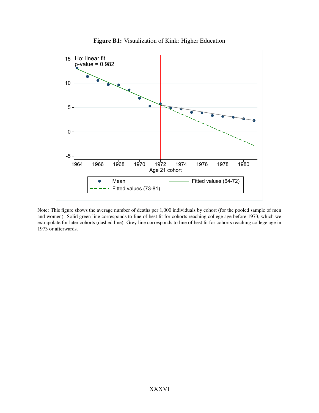<span id="page-83-0"></span>

Figure B1: Visualization of Kink: Higher Education

Note: This figure shows the average number of deaths per 1,000 individuals by cohort (for the pooled sample of men and women). Solid green line corresponds to line of best fit for cohorts reaching college age before 1973, which we extrapolate for later cohorts (dashed line). Grey line corresponds to line of best fit for cohorts reaching college age in 1973 or afterwards.